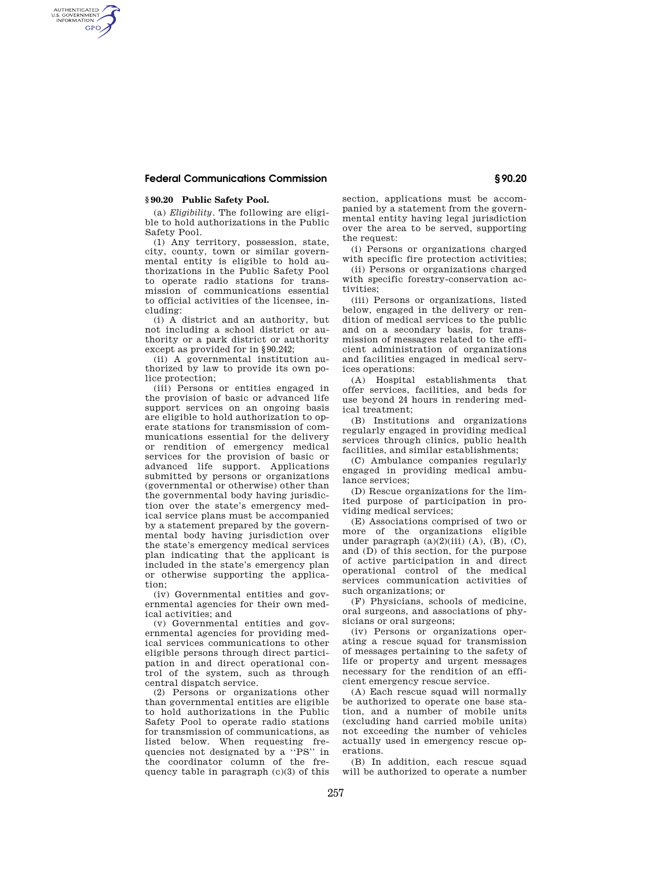#### **§ 90.20 Public Safety Pool.**

AUTHENTICATED<br>U.S. GOVERNMENT<br>INFORMATION **GPO** 

> (a) *Eligibility*. The following are eligible to hold authorizations in the Public Safety Pool.

> (1) Any territory, possession, state, city, county, town or similar governmental entity is eligible to hold authorizations in the Public Safety Pool to operate radio stations for transmission of communications essential to official activities of the licensee, including:

> (i) A district and an authority, but not including a school district or authority or a park district or authority except as provided for in § 90.242;

> (ii) A governmental institution authorized by law to provide its own police protection;

> (iii) Persons or entities engaged in the provision of basic or advanced life support services on an ongoing basis are eligible to hold authorization to operate stations for transmission of communications essential for the delivery or rendition of emergency medical services for the provision of basic or advanced life support. Applications submitted by persons or organizations (governmental or otherwise) other than the governmental body having jurisdiction over the state's emergency medical service plans must be accompanied by a statement prepared by the governmental body having jurisdiction over the state's emergency medical services plan indicating that the applicant is included in the state's emergency plan or otherwise supporting the application;

(iv) Governmental entities and governmental agencies for their own medical activities; and

(v) Governmental entities and governmental agencies for providing medical services communications to other eligible persons through direct participation in and direct operational control of the system, such as through central dispatch service.

(2) Persons or organizations other than governmental entities are eligible to hold authorizations in the Public Safety Pool to operate radio stations for transmission of communications, as listed below. When requesting frequencies not designated by a ''PS'' in the coordinator column of the frequency table in paragraph (c)(3) of this

section, applications must be accompanied by a statement from the governmental entity having legal jurisdiction over the area to be served, supporting the request:

(i) Persons or organizations charged with specific fire protection activities;

(ii) Persons or organizations charged with specific forestry-conservation activities;

(iii) Persons or organizations, listed below, engaged in the delivery or rendition of medical services to the public and on a secondary basis, for transmission of messages related to the efficient administration of organizations and facilities engaged in medical services operations:

(A) Hospital establishments that offer services, facilities, and beds for use beyond 24 hours in rendering medical treatment;

(B) Institutions and organizations regularly engaged in providing medical services through clinics, public health facilities, and similar establishments;

(C) Ambulance companies regularly engaged in providing medical ambulance services;

(D) Rescue organizations for the limited purpose of participation in providing medical services;

(E) Associations comprised of two or more of the organizations eligible under paragraph  $(a)(2)(iii)$   $(A)$ ,  $(B)$ ,  $(C)$ , and (D) of this section, for the purpose of active participation in and direct operational control of the medical services communication activities of such organizations; or

(F) Physicians, schools of medicine, oral surgeons, and associations of physicians or oral surgeons;

(iv) Persons or organizations operating a rescue squad for transmission of messages pertaining to the safety of life or property and urgent messages necessary for the rendition of an efficient emergency rescue service.

(A) Each rescue squad will normally be authorized to operate one base station, and a number of mobile units (excluding hand carried mobile units) not exceeding the number of vehicles actually used in emergency rescue operations.

(B) In addition, each rescue squad will be authorized to operate a number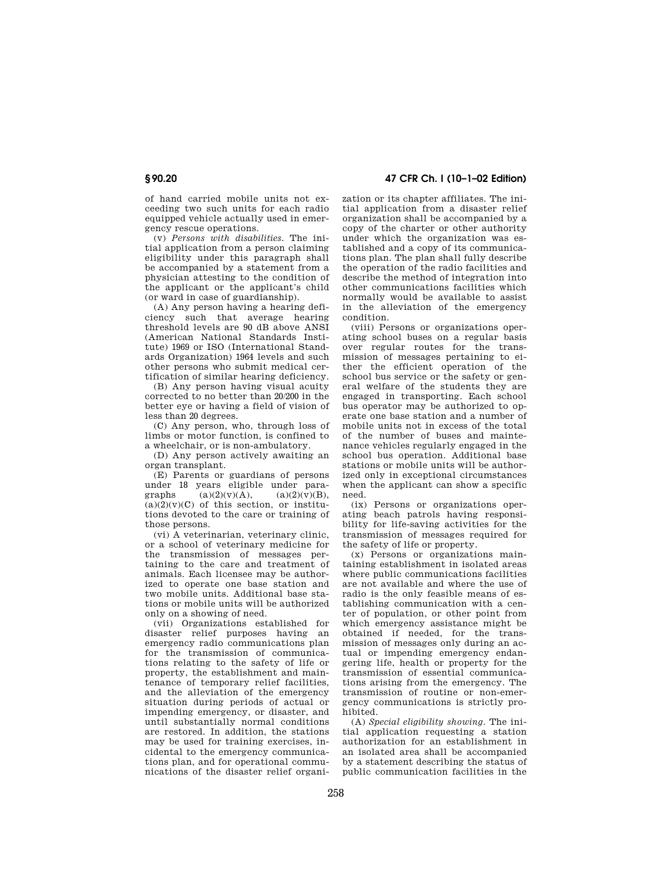of hand carried mobile units not exceeding two such units for each radio equipped vehicle actually used in emergency rescue operations.

(v) *Persons with disabilities.* The initial application from a person claiming eligibility under this paragraph shall be accompanied by a statement from a physician attesting to the condition of the applicant or the applicant's child (or ward in case of guardianship).

(A) Any person having a hearing deficiency such that average hearing threshold levels are 90 dB above ANSI (American National Standards Institute) 1969 or ISO (International Standards Organization) 1964 levels and such other persons who submit medical certification of similar hearing deficiency.

(B) Any person having visual acuity corrected to no better than 20/200 in the better eye or having a field of vision of less than 20 degrees.

(C) Any person, who, through loss of limbs or motor function, is confined to a wheelchair, or is non-ambulatory.

(D) Any person actively awaiting an organ transplant.

(E) Parents or guardians of persons under 18 years eligible under para-<br>graphs  $(a)(2)(v)(A),$   $(a)(2)(v)(B),$ graphs  $(a)(2)(v)(A),$  $(a)(2)(y)(C)$  of this section, or institutions devoted to the care or training of those persons.

(vi) A veterinarian, veterinary clinic, or a school of veterinary medicine for the transmission of messages pertaining to the care and treatment of animals. Each licensee may be authorized to operate one base station and two mobile units. Additional base stations or mobile units will be authorized only on a showing of need.

(vii) Organizations established for disaster relief purposes having an emergency radio communications plan for the transmission of communications relating to the safety of life or property, the establishment and maintenance of temporary relief facilities, and the alleviation of the emergency situation during periods of actual or impending emergency, or disaster, and until substantially normal conditions are restored. In addition, the stations may be used for training exercises, incidental to the emergency communications plan, and for operational communications of the disaster relief organi-

**§ 90.20 47 CFR Ch. I (10–1–02 Edition)**

zation or its chapter affiliates. The initial application from a disaster relief organization shall be accompanied by a copy of the charter or other authority under which the organization was established and a copy of its communications plan. The plan shall fully describe the operation of the radio facilities and describe the method of integration into other communications facilities which normally would be available to assist in the alleviation of the emergency condition.

(viii) Persons or organizations operating school buses on a regular basis over regular routes for the transmission of messages pertaining to either the efficient operation of the school bus service or the safety or general welfare of the students they are engaged in transporting. Each school bus operator may be authorized to operate one base station and a number of mobile units not in excess of the total of the number of buses and maintenance vehicles regularly engaged in the school bus operation. Additional base stations or mobile units will be authorized only in exceptional circumstances when the applicant can show a specific need.

(ix) Persons or organizations operating beach patrols having responsibility for life-saving activities for the transmission of messages required for the safety of life or property.

(x) Persons or organizations maintaining establishment in isolated areas where public communications facilities are not available and where the use of radio is the only feasible means of establishing communication with a center of population, or other point from which emergency assistance might be obtained if needed, for the transmission of messages only during an actual or impending emergency endangering life, health or property for the transmission of essential communications arising from the emergency. The transmission of routine or non-emergency communications is strictly prohibited.

(A) *Special eligibility showing.* The initial application requesting a station authorization for an establishment in an isolated area shall be accompanied by a statement describing the status of public communication facilities in the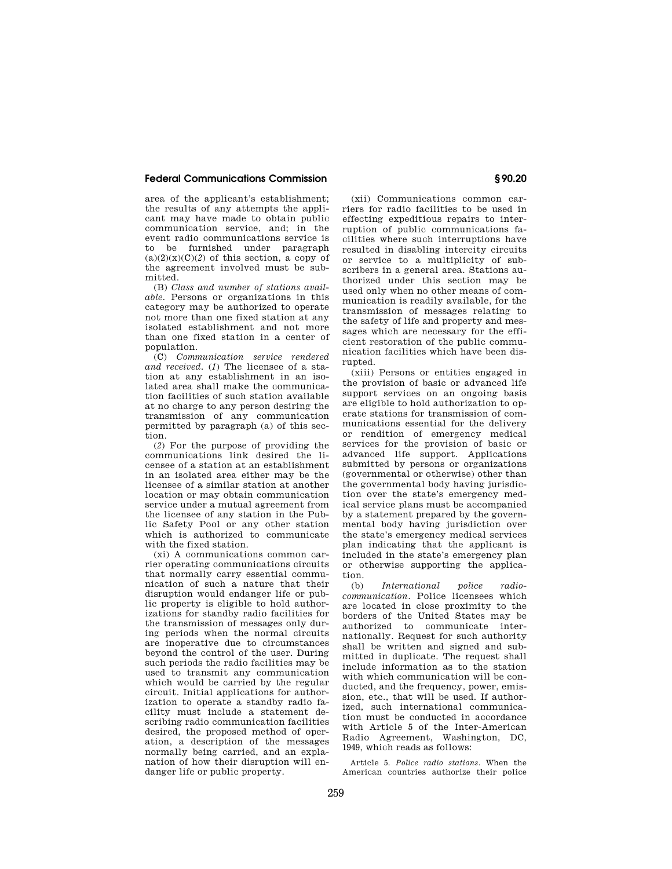area of the applicant's establishment; the results of any attempts the applicant may have made to obtain public communication service, and; in the event radio communications service is to be furnished under paragraph  $(a)(2)(x)(C)(2)$  of this section, a copy of the agreement involved must be submitted.

(B) *Class and number of stations available.* Persons or organizations in this category may be authorized to operate not more than one fixed station at any isolated establishment and not more than one fixed station in a center of population.

(C) *Communication service rendered and received.* (*1*) The licensee of a station at any establishment in an isolated area shall make the communication facilities of such station available at no charge to any person desiring the transmission of any communication permitted by paragraph (a) of this section.

(*2*) For the purpose of providing the communications link desired the licensee of a station at an establishment in an isolated area either may be the licensee of a similar station at another location or may obtain communication service under a mutual agreement from the licensee of any station in the Public Safety Pool or any other station which is authorized to communicate with the fixed station.

(xi) A communications common carrier operating communications circuits that normally carry essential communication of such a nature that their disruption would endanger life or public property is eligible to hold authorizations for standby radio facilities for the transmission of messages only during periods when the normal circuits are inoperative due to circumstances beyond the control of the user. During such periods the radio facilities may be used to transmit any communication which would be carried by the regular circuit. Initial applications for authorization to operate a standby radio facility must include a statement describing radio communication facilities desired, the proposed method of operation, a description of the messages normally being carried, and an explanation of how their disruption will endanger life or public property.

(xii) Communications common carriers for radio facilities to be used in effecting expeditious repairs to interruption of public communications facilities where such interruptions have resulted in disabling intercity circuits or service to a multiplicity of subscribers in a general area. Stations authorized under this section may be used only when no other means of communication is readily available, for the transmission of messages relating to the safety of life and property and messages which are necessary for the efficient restoration of the public communication facilities which have been disrupted.

(xiii) Persons or entities engaged in the provision of basic or advanced life support services on an ongoing basis are eligible to hold authorization to operate stations for transmission of communications essential for the delivery or rendition of emergency medical services for the provision of basic or advanced life support. Applications submitted by persons or organizations (governmental or otherwise) other than the governmental body having jurisdiction over the state's emergency medical service plans must be accompanied by a statement prepared by the governmental body having jurisdiction over the state's emergency medical services plan indicating that the applicant is included in the state's emergency plan or otherwise supporting the application.

(b) *International police radiocommunication.* Police licensees which are located in close proximity to the borders of the United States may be authorized to communicate internationally. Request for such authority shall be written and signed and submitted in duplicate. The request shall include information as to the station with which communication will be conducted, and the frequency, power, emission, etc., that will be used. If authorized, such international communication must be conducted in accordance with Article 5 of the Inter-American Radio Agreement, Washington, DC, 1949, which reads as follows:

Article 5. *Police radio stations.* When the American countries authorize their police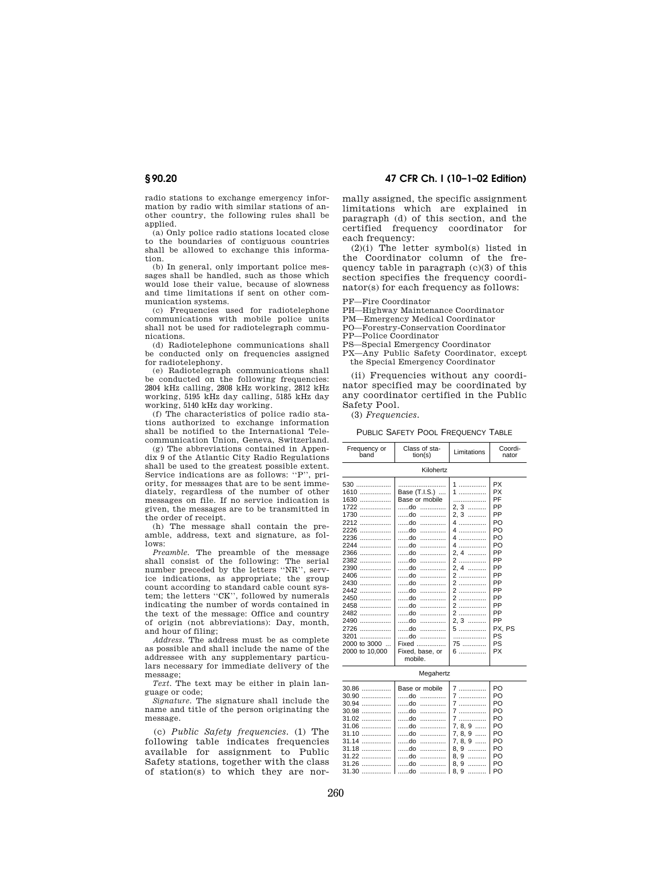**§ 90.20 47 CFR Ch. I (10–1–02 Edition)**

radio stations to exchange emergency information by radio with similar stations of another country, the following rules shall be applied.

(a) Only police radio stations located close to the boundaries of contiguous countries shall be allowed to exchange this information.

(b) In general, only important police messages shall be handled, such as those which would lose their value, because of slowness and time limitations if sent on other communication systems.

(c) Frequencies used for radiotelephone communications with mobile police units shall not be used for radiotelegraph communications.

(d) Radiotelephone communications shall be conducted only on frequencies assigned for radiotelephony.

(e) Radiotelegraph communications shall be conducted on the following frequencies: 2804 kHz calling, 2808 kHz working, 2812 kHz working, 5195 kHz day calling, 5185 kHz day working, 5140 kHz day working.

(f) The characteristics of police radio stations authorized to exchange information shall be notified to the International Telecommunication Union, Geneva, Switzerland.

(g) The abbreviations contained in Appendix 9 of the Atlantic City Radio Regulations shall be used to the greatest possible extent. Service indications are as follows: ''P'', priority, for messages that are to be sent immediately, regardless of the number of other messages on file. If no service indication is given, the messages are to be transmitted in the order of receipt.

(h) The message shall contain the preamble, address, text and signature, as follows:

*Preamble.* The preamble of the message shall consist of the following: The serial number preceded by the letters ''NR'', service indications, as appropriate; the group count according to standard cable count system; the letters ''CK'', followed by numerals indicating the number of words contained in the text of the message: Office and country of origin (not abbreviations): Day, month, and hour of filing;

*Address.* The address must be as complete as possible and shall include the name of the addressee with any supplementary particulars necessary for immediate delivery of the message;

*Text.* The text may be either in plain language or code;

*Signature.* The signature shall include the name and title of the person originating the message.

(c) *Public Safety frequencies.* (1) The following table indicates frequencies available for assignment to Public Safety stations, together with the class of station(s) to which they are normally assigned, the specific assignment limitations which are explained in paragraph (d) of this section, and the certified frequency coordinator for each frequency:

(2)(i) The letter symbol(s) listed in the Coordinator column of the frequency table in paragraph (c)(3) of this section specifies the frequency coordinator(s) for each frequency as follows:

PF—Fire Coordinator

PH—Highway Maintenance Coordinator

PM—Emergency Medical Coordinator

PO—Forestry-Conservation Coordinator

PP—Police Coordinator

PS—Special Emergency Coordinator

PX—Any Public Safety Coordinator, except the Special Emergency Coordinator

(ii) Frequencies without any coordinator specified may be coordinated by any coordinator certified in the Public Safety Pool.

(3) *Frequencies.*

PUBLIC SAFETY POOL FREQUENCY TABLE

| Frequency or<br>band                                                                                                                                                                                | Class of sta-<br>tion(s)                                                                                                                                                                                                                                               | Limitations                                                                                                              | Coordi-<br>nator                                                                                                                                   |
|-----------------------------------------------------------------------------------------------------------------------------------------------------------------------------------------------------|------------------------------------------------------------------------------------------------------------------------------------------------------------------------------------------------------------------------------------------------------------------------|--------------------------------------------------------------------------------------------------------------------------|----------------------------------------------------------------------------------------------------------------------------------------------------|
|                                                                                                                                                                                                     | Kilohertz                                                                                                                                                                                                                                                              |                                                                                                                          |                                                                                                                                                    |
| $530$<br>$1610$<br>$1630$<br>$1722$<br>1730<br>2212<br>2226<br>$2236$<br>2244<br>$2366$<br>2382<br>2390<br>$2406$<br>2430<br>2442<br>2450<br>2458<br>2482<br>2490<br>2726<br>$3201$<br>2000 to 3000 | Base (T.I.S.)<br>Base or mobile<br>do<br>do<br>do<br>do<br>$ch$<br>do<br>$ch$<br>.<br>$ch$<br>$\ldots \ldots \ldots \ldots$<br>$ch$<br>.<br>$ob$<br>$\ldots \ldots \ldots \ldots$<br>$ob$<br>.<br>do<br>$ch$<br>.<br>do<br>.<br>$ch$<br>do<br>$ch$<br>.<br>do<br>Fixed | 1<br>1<br>.<br>$2.3$<br>2, 3<br>4<br>4<br>4<br>4<br>2.4<br>2<br>2.4<br>2<br>2<br>2<br>2<br>2<br>2<br>2.3<br>5<br>.<br>75 | <b>PX</b><br><b>PX</b><br>PF<br>PP<br>PP<br>PO<br>PO<br>PO<br>PO<br>PP<br>PP<br>PP<br>PP<br>PP<br>PP<br>PP<br>PP<br>PP<br>PP<br>PX. PS<br>PS<br>PS |
| 2000 to 10,000                                                                                                                                                                                      | Fixed, base, or<br>mobile.                                                                                                                                                                                                                                             |                                                                                                                          | <b>PX</b>                                                                                                                                          |

Megahertz

|  | PO.            |
|--|----------------|
|  | PO.            |
|  | PO.            |
|  | PO.            |
|  | PO.            |
|  |                |
|  |                |
|  | $\overline{P}$ |
|  | I PO           |
|  |                |
|  |                |
|  |                |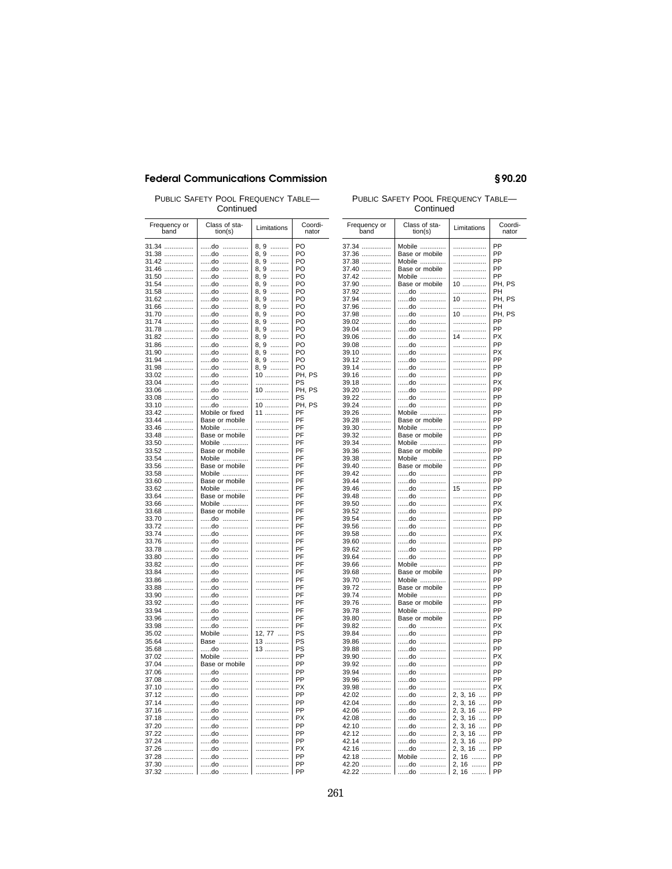PUBLIC SAFETY POOL FREQUENCY TABLE—<br>Continued Continued Continued Continued

| Frequency or<br>band | Class of sta-<br>tion(s) | Limitations                                 | Coordi-<br>nator |
|----------------------|--------------------------|---------------------------------------------|------------------|
| 31.34<br>31.38       | do<br>.<br>do<br>.       | 8, 9<br>.<br>.                              | PO<br>PO         |
| 31.42                | do<br>.                  | 8, 9<br>8, 9<br>.                           | PO               |
| 31.46                | do<br>.                  | 8,9<br>.                                    | PO               |
| 31.50                | do<br>.                  | .                                           | PO               |
| 31.54                | do<br>.                  | $\frac{8,9}{8,9}$<br>.                      | PO               |
| 31.58                | do<br>.                  | 8, 9<br>.                                   | PO               |
| 31.62                | do<br>.                  | $\begin{matrix} 8,9\\8,9 \end{matrix}$<br>. | PO               |
| 31.66                | do<br>.                  | .                                           | PO               |
| 31.70                | do<br>.                  | 8, 9<br>.                                   | PO               |
| 31.74                | do<br>.                  | 8, 9<br>.                                   | PO               |
| 31.78                | do<br>.                  | 8, 9<br>.                                   | PO               |
| 31.82                | do<br>.                  | 8, 9<br>.                                   | PO               |
| 31.86                | do<br>.                  | 8, 9<br>.                                   | PO               |
| 31.90                | do<br>.<br>do            | 8, 9<br>.                                   | PO<br>PO         |
| 31.94                | .<br>do<br>.             | 8, 9<br>.<br>.                              | PO               |
| 31.98<br>33.02       | do<br>.                  | 8, 9<br>10                                  | PH, PS           |
| 33.04                | do<br>.                  | .                                           | PS               |
| 33.06                | do<br>.                  | $10$                                        | PH, PS           |
| 33.08                | do<br>.                  | .                                           | PS               |
| 33.10                | do<br>.                  | 10                                          | PH, PS           |
| 33.42                | Mobile or fixed          | 11                                          | PF               |
| 33.44                | Base or mobile           | .                                           | PF               |
| 33.46                | Mobile                   | .                                           | PF               |
| 33.48                | Base or mobile           | .                                           | PF               |
| 33.50                | Mobile                   |                                             | PF               |
| 33.52                | Base or mobile           | .                                           | PF               |
| 33.54                | Mobile                   | .                                           | PF               |
| 33.56                | Base or mobile           |                                             | PF               |
| 33.58                | Mobile                   | .                                           | PF               |
| 33.60                | Base or mobile           | .                                           | PF<br>PF         |
| 33.62<br>33.64       | Mobile<br>Base or mobile | .<br>.                                      | PF               |
| 33.66                | Mobile                   | .                                           | PF               |
| 33.68                | Base or mobile           | .                                           | PF               |
| 33.70                | do                       | .                                           | PF               |
| 33.72                | do<br>.                  | .                                           | PF               |
| 33.74                | do<br>.                  |                                             | PF               |
| 33.76                | do<br>.                  | .                                           | PF               |
| 33.78                | do<br>.                  | .                                           | PF               |
| 33.80                | do<br>.                  | .                                           | PF               |
| 33.82                | do<br>.                  | .                                           | PF               |
| 33.84                | do<br>.                  |                                             | PF               |
| 33.86                | do<br>                   | .                                           | PF               |
| 33.88                | do<br>.                  | .                                           | PF<br>PF         |
| 33.90<br>33.92       | do<br>.<br>do<br>.       | .<br>.                                      | PF               |
| 33.94                | do<br>.                  | .                                           | PF               |
| 33.96                | do<br>.                  | .                                           | PF               |
| 33.98                | do<br>.                  | .                                           | PF               |
| 35.02                | Mobile                   | 12, 77                                      | PS               |
| 35.64                | Base                     | 13                                          | PS               |
| 35.68                | do                       | 13                                          | PS               |
| 37.02                | Mobile                   | .                                           | PP               |
| 37.04                | Base or mobile           | .                                           | PP               |
| 37.06                | do<br>.                  | .                                           | PP               |
| 37.08                | do<br>.                  | .                                           | PP               |
| 37.10                | do<br>.                  | .                                           | PX               |
| 37.12                | do<br>.                  |                                             | PP<br>PP         |
| 37.14                | do<br>.<br>do            | .                                           | PP               |
| 37.16<br>37.18       | .<br>do<br>.             | .<br>.                                      | <b>PX</b>        |
| 37.20                | do<br>.                  | .                                           | PP               |
| 37.22                | do<br>.                  | .                                           | PP               |
| 37.24                | do<br>.                  | .                                           | PP               |
| 37.26                | do<br>.                  | .                                           | <b>PX</b>        |
| 37.28                | do<br>.                  | .                                           | PP               |
| 37.30                | do<br>.                  | .                                           | PP               |
| 37.32                | do<br>.                  | .                                           | PP               |

| Frequency or<br>band | Class of sta-<br>tion(s) | Limitations                                  | Coordi-<br>nator |
|----------------------|--------------------------|----------------------------------------------|------------------|
| 37.34                | Mobile                   | .                                            | PP               |
| 37.36                | Base or mobile           | .                                            | PP               |
| 37.38                | Mobile                   |                                              | PP               |
| 37.40                | Base or mobile           | .                                            | PP               |
| 37.42                | Mobile                   | .                                            | PP               |
| 37.90                | Base or mobile           | $10$                                         | PH, PS           |
| 37.92                | do<br>                   | .                                            | PH               |
| 37.94                | do<br>.                  | $10^{10}$                                    | PH, PS           |
| 37.96                | do<br>.                  | .                                            | PH               |
| 37.98                | do<br>.                  | 10                                           | PH, PS<br>PP     |
| 39.02<br>39.04       | do<br>.<br>do<br>.       | .                                            | PP               |
| 39.06                | do<br>.                  | 14                                           | PX               |
| 39.08                | do<br>.                  |                                              | PP               |
| 39.10                | do<br>.                  | .                                            | PX               |
| 39.12                | do<br>.                  |                                              | PP               |
| 39.14                | do<br>.                  | .                                            | PP               |
| 39.16                | do<br>.                  | .                                            | PP               |
| 39.18                | do<br>.                  |                                              | РX               |
| 39.20                | do<br>                   | .                                            | PP               |
| 39.22                | do<br>.<br>do            | .                                            | PP<br>PP         |
| 39.24<br>39.26       | <br>Mobile               | .                                            | PP               |
| 39.28                | Base or mobile           |                                              | PP               |
| 39.30                | Mobile                   | .                                            | PP               |
| 39.32                | Base or mobile           |                                              | PP               |
| 39.34                | Mobile                   | .                                            | PP               |
| 39.36<br>39.38       | Base or mobile<br>Mobile | .                                            | PP<br>PP         |
| 39.40                | Base or mobile           | .                                            | PP               |
| 39.42                | do                       | .                                            | PP               |
| 39.44                | do<br>.                  | .                                            | PP               |
| 39.46                | do<br>.                  | $15$                                         | PP               |
| 39.48                | do<br>.                  |                                              | PP               |
| 39.50<br>39.52       | do<br>.<br>do<br>.       | .<br>.                                       | PX<br>PP         |
| 39.54                | do<br>.                  | .                                            | PP               |
| 39.56                | do<br>.                  | .                                            | PP               |
| 39.58                | do<br>.                  | .                                            | PX               |
| 39.60                | do<br>.                  | .                                            | PP               |
| 39.62                | do<br>.                  | .                                            | PP               |
| 39.64                | do<br>.<br>Mobile        | .                                            | PP<br>PP         |
| 39.66<br>39.68       | Base or mobile           | .                                            | PP               |
| 39.70                | Mobile                   | .                                            | PP               |
| 39.72                | Base or mobile           | .                                            | PP               |
| 39.74                | Mobile                   | .                                            | PP               |
| 39.76                | Base or mobile           | .                                            | PP               |
| 39.78                | Mobile                   | .                                            | PP               |
| 39.80                | Base or mobile           |                                              | PP<br>PX         |
| 39.82                | do<br>do<br>.            |                                              | PP               |
| 39.84<br>39.86       | do<br>.                  |                                              | PP               |
| 39.88                | do<br>.                  |                                              | PP               |
| 39.90                | do<br>.                  |                                              | <b>PX</b>        |
| 39.92                | do<br>.                  |                                              | PP               |
| 39.94                | do<br>.<br>do<br>.       | .<br>.                                       | PP<br>PP         |
| 39.96<br>39.98       | do<br>                   | .                                            | PX               |
| 42.02                | do<br>.                  | 2, 3, 16                                     | PP               |
| 42.04                | do<br>.                  | 2, 3, 16                                     | PP               |
| 42.06                | do<br>.                  | 2, 3, 16<br>$\ddotsc$                        | PP               |
| 42.08                | do<br>.                  | 2, 3, 16<br>$\cdots$                         | PP               |
| 42.10                | do<br>.                  | 2, 3, 16<br>$\ddotsc$                        | PP<br>PP         |
| 42.12<br>42.14       | do<br>.<br>do<br>.       | 2, 3, 16<br>$\cdots$<br>2, 3, 16<br>$\cdots$ | PP               |
| 42.16                | do<br>.                  | 2, 3, 16                                     | PP               |
| 42.18                | Mobile                   | 2, 16                                        | PP               |
| 42.20                | do<br>                   | 2, 16                                        | PP               |
| 42.22                | do<br>.                  | 2, 16                                        | PP               |

# §90.20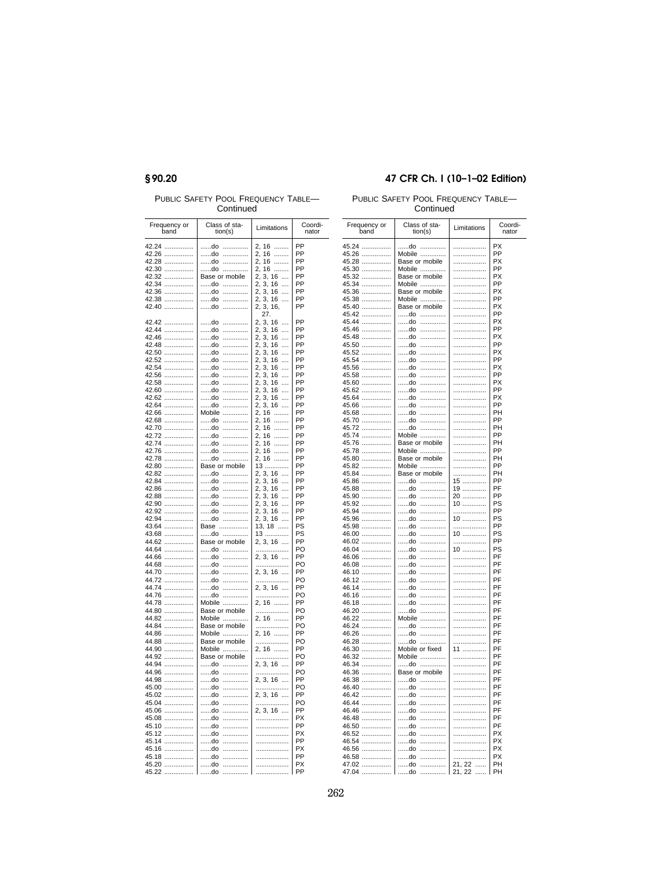## §90.20

PUBLIC SAFETY POOL FREQUENCY TABLE-

## 47 CFR Ch. I (10-1-02 Edition)

PUBLIC SAFETY POOL FREQUENCY TABLE-Continued

| Frequency or<br>band     | Class of sta-<br>tion(s) | Limitations                                              | Coordi-<br>nator |
|--------------------------|--------------------------|----------------------------------------------------------|------------------|
| 42.24                    | do<br>.                  | 2, 16<br>1, 1, 1, 1, 1, 1                                | PP               |
| 42.26                    | do<br>.                  | 2, 16<br>.                                               | PP               |
| 42.28                    | do<br>.                  | 2, 16<br>$\cdots$                                        | PP               |
| 42.30                    | do<br>.                  | 2, 16                                                    | PP               |
| 42.32                    | Base or mobile           | 2, 3, 16                                                 | PP               |
| 42.34                    | do<br>.                  | 2, 3, 16                                                 | PP               |
| 42.36<br>.               | do<br>.                  | $2, 3, 16$                                               | PP               |
| 42.38<br>.               | do<br>.                  | 2, 3, 16<br>2, 3, 16,                                    | PP               |
| 42.40                    | do<br>.                  |                                                          | PP               |
|                          |                          | 27.                                                      |                  |
| 42.42                    | do<br>.                  | 2, 3, 16<br>$\cdots$                                     | PP               |
| 42.44                    | do<br>.                  | 2, 3, 16                                                 | PP               |
| 42.46                    | .<br>do                  | 2, 3, 16                                                 | PP<br>PP         |
| 42.48                    | do<br>.<br>do<br>.       | 2, 3, 16<br>$\ddotsc$<br>2, 3, 16                        | ΡP               |
| 42.50<br>42.52           | do<br>.                  |                                                          | PP               |
| 42.54                    | do<br>.                  | 2, 3, 16<br>2, 3, 16                                     | ΡP               |
| 42.56                    | do<br>.                  | 2, 3, 16                                                 | PP               |
| 42.58                    | do                       |                                                          | PP               |
| 42.60                    | do<br>                   | 2, 3, 16<br>2, 3, 16                                     | PP               |
| 42.62                    | do                       |                                                          | PP               |
| 42.64                    | do                       | 2, 3, 16<br>2, 3, 16                                     | PP               |
| 42.66                    | Mobile<br>.              | 2, 16                                                    | PP               |
| 42.68                    | do                       | 2, 16<br>2, 16                                           | PP               |
| 42.70                    | do<br>.                  |                                                          | PP               |
| 42.72                    | do<br>                   | $2, 16$<br>2, 16<br>2, 16                                | PP               |
| 42.74                    | do<br>.                  |                                                          | PP               |
| 42.76                    | do<br>.                  |                                                          | PP               |
| 42.78                    | do<br>.                  | 2, 16                                                    | PP               |
| 42.80                    | Base or mobile           | 13                                                       | PP               |
| 42.82                    | do                       |                                                          | PP<br>PP         |
| 42.84<br>42.86           | do<br>.<br>do<br>.       |                                                          | PP               |
| 42.88                    | do<br>.                  |                                                          | ΡP               |
| 42.90                    | do<br>.                  | 2, 3, 16<br>2, 3, 16<br>2, 3, 16<br>2, 3, 16<br>2, 3, 16 | PP               |
| 42.92                    | do<br>.                  |                                                          | ΡP               |
| 42.94                    | do<br>.                  | $2, 3, 16$<br>2, 3, 16                                   | PP               |
| 43.64                    | Base                     | 13, 18                                                   | PS               |
| 43.68                    | do                       | 13                                                       | PS               |
| 44.62                    | Base or mobile           | 2, 3, 16                                                 | PP               |
| 44.64                    | do                       | .                                                        | PO               |
| 44.66                    | do<br>.                  | 2, 3, 16                                                 | PP               |
| 44.68                    | do<br>.                  | .                                                        | PO               |
| 44.70                    | do                       | 2, 3, 16                                                 | PP               |
| 44.72                    | do<br>.                  |                                                          | PO               |
| 44.74                    | do<br>.                  | 2, 3, 16                                                 | PP               |
| 44.76                    | do<br>.                  | .                                                        | PO<br>PP         |
| 44.78<br>44.80           | Mobile<br>Base or mobile | 2, 16<br>.                                               | PO               |
| 44.82                    | Mobile                   | 2, 16                                                    | PP               |
| 44.84                    | Base or mobile           | .                                                        | PO               |
| 44.86                    | Mobile                   | 2, 16                                                    | PP               |
| 44.88                    | Base or mobile           | .                                                        | PO               |
| 44.90                    | Mobile                   | 2, 16                                                    | PP               |
| 44.92                    | Base or mobile           | .                                                        | PO               |
| 44.94                    | do                       | 2, 3, 16                                                 | PP               |
| 44.96                    | do<br>.                  | .                                                        | PO               |
| 44.98                    | do<br>.                  | 2, 3, 16                                                 | PP               |
| 45.00<br>                | do<br>.                  | .                                                        | PO               |
| 45.02<br>.               | do<br>.                  | 2, 3, 16                                                 | PP               |
| 45.04<br>                | do<br>.                  | .                                                        | PO               |
| 45.06<br>.               | do<br>.                  | 2, 3, 16                                                 | PP               |
| 45.08<br>                | do<br>.                  | .                                                        | РX               |
| 45.10<br>.               | do<br>.                  | .                                                        | PP               |
| 45.12<br>.<br>45.14<br>. | do<br>.<br>do<br>.       | .<br>.                                                   | PX<br>PP         |
| 45.16                    | do<br>.                  | .                                                        | PX               |
| 45.18                    | do<br>.                  | .                                                        | PP               |
| 45.20                    | do<br>.                  | .                                                        | PX               |
| 45.22                    | do<br>.                  | .                                                        | PP               |
|                          |                          |                                                          |                  |

| Frequency or<br>band     | Class of sta-<br>tion(s) | Limitations                 | Coordi-<br>nator |
|--------------------------|--------------------------|-----------------------------|------------------|
| 45.24                    | do                       |                             | PX               |
| 45.26                    | Mobile                   |                             | PP               |
| 45.28                    | Base or mobile           |                             | PX               |
| 45.30                    | Mobile                   |                             | PP               |
| 45.32<br>45.34           | Base or mobile<br>Mobile | .                           | <b>PX</b><br>PP  |
| 45.36                    | Base or mobile           |                             | <b>PX</b>        |
| 45.38                    | Mobile                   | .                           | PP               |
| 45.40                    | Base or mobile           | .                           | <b>PX</b>        |
| 45.42<br>                | do<br>                   | .                           | PP               |
| 45.44                    | do<br>.                  | .                           | PX               |
| 45.46<br>45.48           | do<br>.<br>do<br>.       | .<br>.                      | PP<br><b>PX</b>  |
| 45.50                    | do<br>.                  | .                           | PP               |
| 45.52                    | .<br>do                  | .                           | PX               |
| 45.54                    | .<br>do                  | .                           | PP               |
| 45.56                    | do<br>.                  | .                           | PX               |
| 45.58                    | do<br>.                  | .                           | PP               |
| 45.60                    | do<br>.                  | .                           | PX<br>PP         |
| 45.62<br>.<br>45.64<br>. | do<br>.<br>do<br>.       | .<br>.                      | <b>PX</b>        |
| 45.66                    | do<br>.                  |                             | PP               |
| .<br>45.68               | do<br>.                  |                             | PH               |
| 45.70                    | do<br>.                  |                             | PP               |
| 45.72                    | do<br>                   | .                           | PH               |
| 45.74<br>.               | Mobile                   |                             | PP               |
| 45.76<br>45.78           | Base or mobile<br>Mobile | .                           | PH<br>PP         |
| 45.80                    | Base or mobile           | .                           | PH               |
| 45.82                    | Mobile                   | .                           | PP               |
| 45.84                    | Base or mobile           | .                           | PH               |
| 45.86                    | do                       | 15                          | PP               |
| 45.88                    | do<br>.<br>do            | 19                          | PF<br>PP         |
| 45.90<br>45.92           | <br>do<br>.              | 20<br>10                    | PS               |
| 45.94                    | do<br>.                  | .                           | PP               |
| 45.96                    | do<br>.                  | 10                          | PS               |
| 45.98                    | do<br>.                  | .                           | PP               |
| 46.00                    | do<br>                   | 10                          | PS               |
| 46.02<br>46.04           | do<br>.<br>do            | .<br>$10$                   | PP<br>PS         |
| 46.06                    | .<br>do<br>.             |                             | PF               |
| 46.08                    | do<br>.                  | .                           | PF               |
| 46.10                    | do<br>.                  | .                           | PF               |
| 46.12                    | do<br>.                  | .                           | PF               |
| 46.14                    | do<br>.                  | .                           | PF               |
| 46.16                    | do<br>.                  | .<br>.                      | PF<br>PF         |
| 46.18<br>46.20           | do<br>.<br>do<br>.       | .                           | PF               |
| 46.22                    | Mobile<br>.              |                             | PF               |
| 46.24                    | do<br>.                  |                             | PF               |
| 46.26                    | do<br>                   |                             | PF               |
| 46.28<br>.               | do<br>.                  | .                           | PF               |
| 46.30<br>                | Mobile or fixed          | 11<br>                      | PF               |
| 46.32<br>46.34           | Mobile<br>do<br>         | .<br>.                      | PF<br>PF         |
| 46.36<br>.               | Base or mobile           | .                           | PF               |
| 46.38                    | do<br>.                  | .                           | PF               |
| 46.40                    | do<br>.                  |                             | PF               |
| 46.42<br>                | do<br>.                  |                             | PF               |
| 46.44                    | do<br>.                  | .                           | PF               |
| 46.46<br>46.48           | do<br>.<br>do<br>.       | .                           | PF<br>PF         |
| 46.50                    | do<br>.                  | .                           | PF               |
| 46.52<br>                | do<br>.                  | .                           | PX               |
| 46.54<br>.               | do<br>.                  | .                           | PX               |
| 46.56<br>.               | do<br>.                  | .                           | PX               |
| 46.58<br>.<br>47.02      | do<br>.                  | .                           | PX<br>PH         |
| 47.04<br>.               | do<br>.<br>do            | 21, 22<br>1.1.1.1<br>21, 22 | PH               |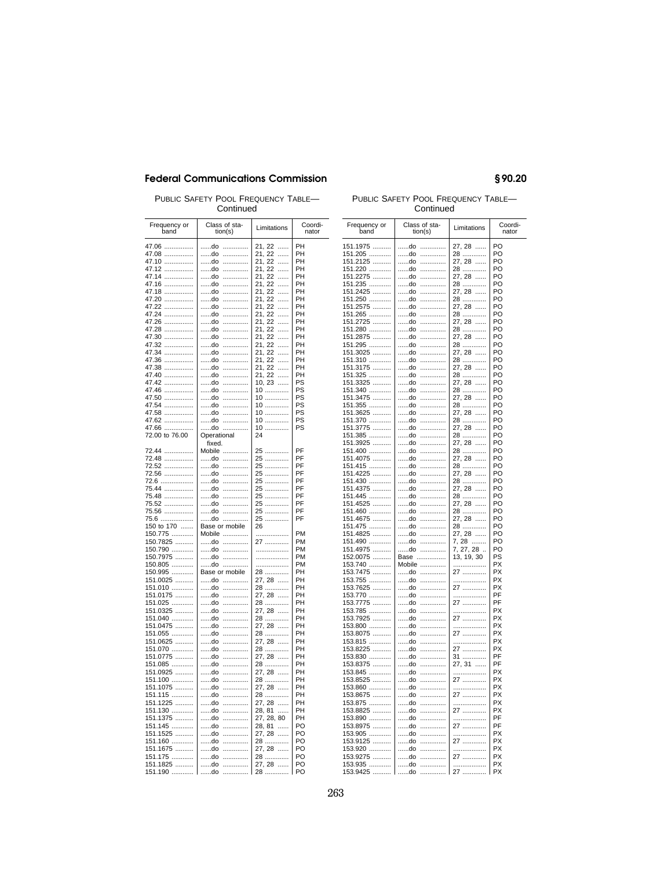PUBLIC SAFETY POOL FREQUENCY TABLE-Continued

| Frequency or<br>hand                                                                                          | Class of sta-<br>tion(s)                                                                                 | Limitations                                                                                                                 | Coordi-<br>nator                                   |
|---------------------------------------------------------------------------------------------------------------|----------------------------------------------------------------------------------------------------------|-----------------------------------------------------------------------------------------------------------------------------|----------------------------------------------------|
| 47.06<br>47.08<br>47.10<br>47.12<br>47.14<br>47.16<br>47.18<br>47.20                                          | do<br>.<br>do<br>.<br>do<br>.<br>do<br>.<br>do<br>.<br>do<br>.<br>do<br>.<br>.<br>do                     | 21, 22<br>.<br>21, 22<br>1.1.1.1<br>21, 22<br>.<br>21, 22<br>.<br>21, 22<br>.<br>21, 22<br>.<br>21, 22<br>.<br>21, 22<br>.  | PH<br>PH<br>PH<br>PH<br>PH<br>PH<br>PH<br>PH       |
| 47.22<br>47.24<br>47.26<br>47.28<br>47.30<br>47.32<br>47.34<br>47.36<br>47.38                                 | .<br>do<br>do<br>.<br>do<br>.<br>do<br>.<br>do<br>.<br>do<br>.<br>do<br>.<br>do<br>.<br>.<br>do          | 21, 22<br>.<br>21, 22<br>.<br>21, 22<br>.<br>21, 22<br>.<br>21, 22<br>.<br>21, 22<br><br>21, 22<br><br>21, 22<br><br>21, 22 | PH<br>PH<br>PH<br>PH<br>PH<br>PH<br>PH<br>PH<br>PH |
| 47.40<br>47.42<br>47.46<br>47.50<br>47.54<br>47.58<br>47.62<br>47.66<br>72.00 to 76.00                        | .<br>do<br>do<br>.<br>.<br>do<br>.<br>do<br>do<br>.<br>do<br>.<br>do<br>.<br>do<br>.<br>Operational      | <br>21, 22<br><br>$10, 23$<br>10<br>10<br>10<br>10<br>10<br>10<br>24                                                        | PH<br>PS<br>PS<br>PS<br>PS<br>PS<br>PS<br>PS       |
| 72.44<br>72.48<br>72.52<br>72.56<br>72.6<br>75.44<br>75.48<br>75.52<br>75.56                                  | fixed.<br>Mobile<br>do<br>.<br>do<br>.<br>do<br>.<br>do<br>.<br>do<br>.<br>do<br>.<br>do<br>.<br>do<br>. | 25<br>25<br>25<br>25<br>25<br>25<br>25<br>25<br>25                                                                          | PF<br>PF<br>PF<br>PF<br>PF<br>PF<br>PF<br>PF<br>PF |
| 75.6<br>150 to 170<br>150.775<br>150.7825<br>150.790<br>150.7975<br>150.805<br>150.995<br>151.0025<br>151.010 | do<br>.<br>Base or mobile<br>Mobile<br>do<br><br>do<br>.<br>do<br>.<br>do<br>.<br>Base or mobile<br>do   | 25<br>26<br>.<br>27<br>.<br>.<br>.<br>28<br>27, 28<br>28                                                                    | PF<br>PM<br>PM<br>PM<br>PM<br>PM<br>PH<br>PH<br>PH |
| 151.0175<br>151.025<br>151.0325<br>151.040<br>151.0475<br>151.055<br>151.0625<br>151.070<br>151.0775          | do<br>do<br>do<br>do<br>.<br>do<br>.<br>do<br>.<br>do<br>.<br>do<br><br>do<br>.                          | 27, 28<br>28<br>27, 28<br>28<br>27, 28<br>28<br>27, 28<br>28<br>27, 28                                                      | PH<br>PH<br>PН<br>PН<br>PН<br>PH<br>PH<br>PН<br>PH |
| 151.085<br>151.0925<br>151.100<br>151.1075<br>151.115<br>151.1225<br>151.130<br>151.1375<br>151.145           | do<br>.<br>do<br>.<br>.<br>do<br>do<br>.<br>.<br>do<br>.<br>do<br>do<br>.<br>do<br>.<br>do<br>.          | 28<br>27, 28<br>28<br>27, 28<br>28<br>27, 28<br>28, 81<br>27, 28, 80<br><br>28, 81                                          | PH<br>PH<br>PH<br>PH<br>PH<br>PH<br>PH<br>PH<br>PO |
| 151.1525<br>151.160<br>151.1675<br>151.175<br>151.1825<br>151.190                                             | .<br>do<br>.<br>do<br>do<br>.<br>do<br>.<br>do<br>do<br>.                                                | 27, 28<br>28<br>27, 28<br>28<br>27, 28<br>28                                                                                | PO<br>PO<br>PO<br>PO<br>PO<br>PO                   |

### PUBLIC SAFETY POOL FREQUENCY TABLE-Continued

§90.20

| Frequency or<br>band | Class of sta-<br>tion(s) | Limitations               | Coordi-<br>nator       |
|----------------------|--------------------------|---------------------------|------------------------|
|                      |                          |                           |                        |
| 151.1975             | do<br>.<br>do            | 27, 28                    | PO<br>PO               |
| 151.205<br>151.2125  | .<br>do<br>.             | 28<br>27, 28              | PO                     |
| 151.220              | do<br>.                  | 28                        | PO                     |
| 151.2275             | do<br>.                  | $27, 28$                  | PO                     |
| 151.235              | do<br>.                  |                           | PO                     |
| 151.2425             | do<br>.                  | 28<br>27, 28              | PO                     |
| 151.250              | do<br>.                  | 28 <sup>.</sup><br>27, 28 | PO                     |
| 151.2575             | do<br>.                  |                           | PO                     |
| 151.265<br>151.2725  | do<br>.<br>do<br>.       | 28<br>27, 28              | PO<br>PO               |
| 151.280              | do<br>.                  |                           | PO                     |
| 151.2875             | do<br>.                  | 28<br>27, 28              | PO                     |
| 151.295              | do<br>.                  | 28                        | PO                     |
| 151.3025             | do<br>.                  | 27, 28                    | PO                     |
| 151.310              | do<br>.                  | 28                        | PO                     |
| 151.3175             | do<br>.                  | 27, 28                    | PO                     |
| 151.325              | do<br>.<br>do<br>.       | 28<br>27, 28              | PO<br>PO               |
| 151.3325<br>151.340  | do<br>.                  |                           | PO                     |
| 151.3475             | do<br>.                  | 28<br>27, 28              | PO                     |
| 151.355              | do<br>.                  | 28                        | PO                     |
| 151.3625             | do<br>.                  | 27, 28                    | PO                     |
| 151.370              | do<br>.                  | 28                        | PO                     |
| 151.3775             | do<br>.                  | 27, 28                    | PO                     |
| 151.385              | do<br>.                  | 28                        | PO                     |
| 151.3925<br>151.400  | do<br>.<br>do<br>.       | 27, 28                    | PO<br>PO               |
| 151.4075             | do<br>.                  | 28<br>27, 28              | PO                     |
| 151.415              | do<br>.                  | 28                        | PO                     |
| 151.4225             | do<br>.                  | 27, 28                    | PO                     |
| 151.430              | do<br>.                  | 28                        | PO                     |
| 151.4375             | do<br>                   | 27, 28                    | PO                     |
| 151.445              | do<br>.                  | 28                        | PO                     |
| 151.4525<br>151.460  | do<br><br>do<br>.        | 27, 28<br>28              | PO<br>PO               |
| 151.4675             | do<br>                   | 27, 28                    | PO                     |
| 151.475              | do<br>                   | 28                        | PO                     |
| 151.4825             | .<br>do                  | 27, 28                    | PO                     |
| 151.490              | do<br>.                  | 7, 28                     | PO                     |
| 151.4975             | do<br>.                  | 7, 27, 28.                | PO                     |
| 152.0075             | Base                     | 13, 19, 30                | PS                     |
| 153.740              | Mobile<br>do<br>.        | .                         | PX<br>PX               |
| 153.7475<br>153.755  | do<br>.                  | 27<br>.                   | PX                     |
| 153.7625             | do<br>.                  | 27                        | <b>PX</b>              |
| 153.770              | do<br>.                  | .                         | PF                     |
| 153.7775             | do<br>                   | 27                        | PF                     |
| 153.785              | do<br>.                  | .                         | <b>PX</b>              |
| 153.7925             | do<br>.                  | 27                        | PX                     |
| 153.800              | do<br>.                  | .                         | PX                     |
| 153.8075<br>153.815  | do<br>.<br>do<br>.       | 27<br>.                   | PX<br>PX               |
| 153.8225             | do<br>.                  |                           | PX                     |
| 153.830              | do<br>.                  | 27<br>31                  | PF                     |
| 153.8375             | do<br>.                  | 31<br>27, 31              | PF                     |
| 153.845              | do<br>.                  | .                         | <b>PX</b>              |
| 153.8525             | do<br>.                  | 27                        | <b>PX</b>              |
| 153.860              | do<br>.                  | .                         | <b>PX</b>              |
| 153.8675             | do<br>.<br>do<br>.       | 27<br>.                   | <b>PX</b><br><b>PX</b> |
| 153.875<br>153.8825  | do<br>.                  | 27                        | PX                     |
| 153.890              | do<br>.                  | .                         | PF                     |
| 153.8975             | .<br>do                  | 27                        | PF                     |
| 153.905              | do<br>.                  | .                         | PX                     |
| 153.9125             | do<br>.                  | 27                        | PX                     |
| 153.920              | .<br>do                  | .                         | PX                     |
| 153.9275<br>153.935  | do<br>.<br>.             | 27<br>.                   | РX<br>РX               |
| 153.9425             | do<br>do<br>.            | 27                        | PX                     |
|                      |                          |                           |                        |

# 263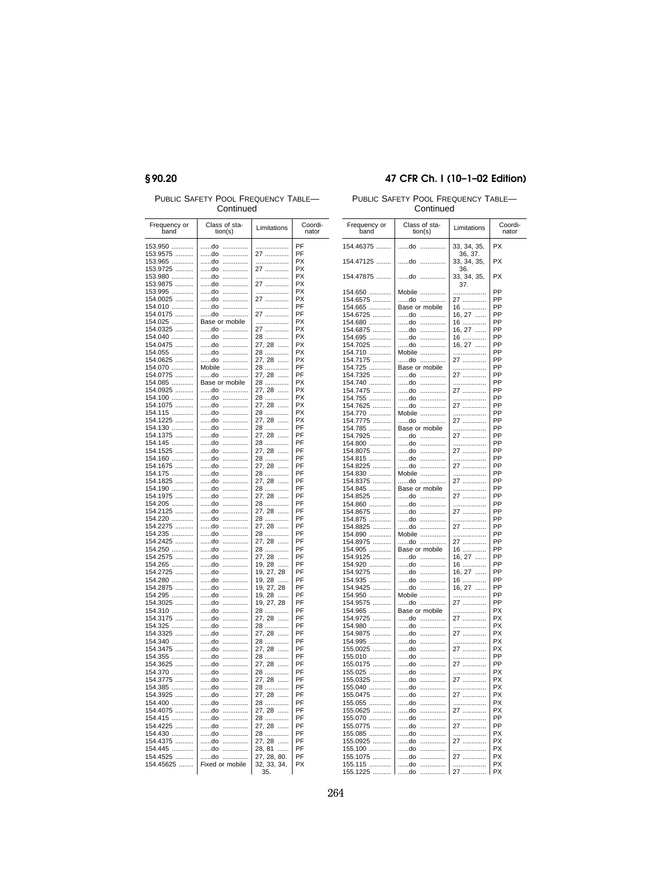# §90.20

PUBLIC SAFETY POOL FREQUENCY TABLE-Continued

| Frequency or<br>band     | Class of sta-<br>tion(s)  | Limitations                      | Coordi-<br>nator |
|--------------------------|---------------------------|----------------------------------|------------------|
| 153.950<br>153.9575      | do<br>.<br>do<br>.        | <br>27                           | PF<br>PF         |
| 153.965<br>153.9725      | do<br>.<br>do<br>.        | .<br>27                          | PX<br>PX         |
| 153.980<br>153.9875      | do<br>.<br>do<br>.        | .<br>27                          | PX<br>PX         |
| 153.995<br>154.0025      | do<br>.<br>.<br>do        | .<br>27                          | PX<br>PX         |
| 154.010<br>154.0175      | do<br>.<br>.<br>do        | .<br>27                          | PF<br>PF         |
| 154.025                  | Base or mobile            | .                                | PX               |
| 154.0325<br>154.040      | do<br>.<br>do<br>.        | 27<br>28                         | PX<br>PX         |
| 154.0475<br>154.055      | .<br>do<br>.<br>do        | 27, 28<br>28                     | PX<br>PX         |
| 154.0625<br>154.070      | do<br>.<br>Mobile<br>.    | 27, 28<br>28                     | PX<br>PF         |
| 154.0775<br>154.085 ………… | do<br>.<br>Base or mobile | 27, 28<br>28                     | PF<br>PX         |
| 154.0925<br>154.100      | do<br>.<br>do<br>.        | 27, 28<br>28                     | PX<br>PX         |
| 154.1075                 | do<br>.                   | 27, 28                           | PX               |
| 154.115<br>154.1225      | do<br>.<br>do<br>.        | 28<br>27, 28                     | PX<br>РX         |
| 154.130<br>154.1375      | do<br>.<br>do<br>.        | 28<br>27, 28                     | PF<br>PF         |
| 154.145<br>154.1525      | do<br>.<br>do<br>.        | 28<br>27, 28                     | PF<br>PF         |
| 154.160<br>154.1675      | do<br>.<br>do<br>.        | 28<br>27, 28                     | PF<br>PF         |
| 154.175<br>154.1825      | do<br>.<br>do<br>.        | 28<br>$27, 28$                   | PF<br>PF         |
| 154.190                  | do<br>.                   | 28 <sup>.</sup><br>27, 28        | PF               |
| 154.1975<br>154.205      | do<br>.<br>do<br>.        | 28<br>27, 28                     | PF<br>PF         |
| 154.2125<br>154.220      | do<br>.<br>do<br>.        | 28<br>27, 28                     | PF<br>PF         |
| 154.2275<br>154.235      | do<br>.<br>do<br>.        | 28                               | PF<br>PF         |
| 154.2425<br>154.250      | do<br>.<br>do<br>.        | 27, 28<br>28                     | PF<br>PF         |
| 154.2575<br>154.265      | .<br>do<br>do<br>.        | 27, 28<br>19, 28                 | PF<br>PF         |
| 154.2725                 | do<br>.                   | 19, 27, 28                       | PF<br>PF         |
| 154.280<br>154.2875      | do<br>.<br>do<br>.        | 19, 28<br>19, 27, 28             | PF               |
| 154.295<br>154.3025      | do<br>.<br>do<br>.        | 19, 28<br>19, 27, 28             | PF<br>PF         |
| 154.310<br>154.3175      | do<br>.<br>do<br>.        | 28<br>27, 28                     | PF<br>PF         |
| 154.325<br>154.3325      | do<br>.<br>do<br>.        | 28<br>27, 28                     | PF<br>PF         |
| 154.340<br>154.3475      | do<br>.<br>do<br>.        | 28<br>27, 28                     | PF<br>PF         |
| 154.355                  | do<br>.                   | 28<br>27, 28                     | PF               |
| 154.3625<br>154.370      | do<br>.<br>do<br>.        | 28<br>27, 28                     | PF<br>PF         |
| 154.3775<br>154.385      | do<br>.<br>do<br>.        |                                  | PF<br>PF         |
| 154.3925<br>154.400      | do<br>.<br>.<br>do        | 28<br>27, 28<br>28               | PF<br>PF         |
| 154.4075<br>154.415      | do<br>.<br>do<br>.        | 27, 28                           | PF<br>PF         |
| 154.4225                 | .<br>do                   | 28<br>27, 28                     | PF               |
| 154.430<br>154.4375      | do<br>.<br>do<br>.        | 28<br>27, 28                     | PF<br>PF         |
| 154.445<br>154.4525      | do<br>.<br>do<br>         | 28, 81<br>1.1.1.1<br>27, 28, 80. | PF<br>PF         |
| 154.45625                | Fixed or mobile           | 32, 33, 34,<br>35.               | PX               |

## 47 CFR Ch. I (10-1-02 Edition)

PUBLIC SAFETY POOL FREQUENCY TABLE-

| Frequency or<br>band | Class of sta-<br>tion(s)            | Limitations            | Coordi-<br>nator |
|----------------------|-------------------------------------|------------------------|------------------|
| 154.46375            | do<br>.                             | 33, 34, 35,<br>36, 37. | <b>PX</b>        |
| 154.47125            | do<br>.                             | 33, 34, 35,<br>36.     | <b>PX</b>        |
| 154.47875            | do<br>.                             | 33, 34, 35,<br>37.     | <b>PX</b>        |
| 154.650              | Mobile                              | .                      | PP               |
| 154.6575             | do                                  | 27                     | PP               |
| 154.665              | Base or mobile                      | 16                     | PP               |
| 154.6725             | do                                  | 16, 27                 | PP               |
| 154.680              | do                                  | 16                     | PP               |
| 154.6875             | do                                  | 16, 27                 | PP               |
| 154.695<br>154.7025  | do<br>do                            | 16<br>16, 27           | PP<br>PP         |
| 154.710              | Mobile                              | .                      | PP               |
| 154.7175             | do                                  | 27                     | PP               |
| 154.725              | Base or mobile                      | .                      | PP               |
| 154.7325             | do                                  | 27                     | PP               |
| 154.740              | do                                  | .                      | PP               |
| 154.7475             | do                                  | 27                     | PP               |
| 154.755              | do                                  | .                      | PP               |
| 154.7625             | do                                  | 27                     | PP               |
| 154.770              | Mobile                              | .                      | PP               |
| 154.7775<br>154.785  | do<br>Base or mobile                | 27<br>.                | PP<br>PP         |
| 154.7925             | do                                  | 27                     | PP               |
| 154.800              | do                                  | .                      | PP               |
| 154.8075             | do                                  | 27                     | PP               |
| 154.815              | do                                  | .                      | PP               |
| 154.8225             | do                                  | 27                     | PP               |
| 154.830              | Mobile                              | .                      | PP               |
| 154.8375             | do                                  | 27                     | PP               |
| 154.845<br>154.8525  | Base or mobile<br>do                | .<br>27                | PP<br>PP         |
| 154.860              | do                                  | .                      | PP               |
| 154.8675             | do                                  | 27                     | PP               |
| 154.875              | do                                  | .                      | PP               |
| 154.8825             | do                                  | 27                     | PP               |
| 154.890              | Mobile                              | .                      | PP               |
| 154.8975<br>154.905  | do<br>Base or mobile                | 27                     | PP<br>PP         |
| 154.9125             | do                                  | 16<br>16, 27           | PP               |
| 154.920              | do                                  | 16                     | PP               |
| 154.9275             | do                                  | 16, 27                 | PP               |
| 154.935              | do                                  | 16                     | PP               |
| 154.9425             | do                                  | 16, 27                 | PP               |
| 154.950              | Mobile                              | .                      | PP               |
| 154.9575             | do                                  | 27                     | PP<br><b>PX</b>  |
| 154.965<br>154.9725  | Base or mobile<br>do                | .<br>27                | <b>PX</b>        |
| 154.980              | do<br>.                             | .                      | <b>PX</b>        |
| 154.9875             | do<br>                              | 27                     | PX               |
| 154.995              | do<br>.                             | .                      | <b>PX</b>        |
| 155.0025             | do<br>.                             | 27                     | <b>PX</b>        |
| 155.010              | do<br>                              | .                      | PP               |
| 155.0175             | do<br>.                             | 27                     | PP               |
| 155.025              | do<br>                              | .                      | PX<br><b>PX</b>  |
| 155.0325<br>155.040  | do<br>.<br>do<br>.                  | 27<br>.                | <b>PX</b>        |
| 155.0475             | do<br>.                             | 27                     | <b>PX</b>        |
| 155.055              | do<br>                              | .                      | PX               |
| 155.0625             | do<br>.                             | 27                     | PX               |
| 155.070              | do<br>.                             | .                      | PP               |
| 155.0775             | do<br>.                             | 27                     | PP               |
| 155.085              | do<br>.                             | .                      | PX               |
| 155.0925<br>155.100  | do<br>.<br>do<br>.                  | 27<br>.                | PX<br><b>PX</b>  |
| 155.1075             | do<br>$\ldots \ldots \ldots \ldots$ | 27                     | PX               |
| 155.115              | do<br>                              | .                      | РX               |
| 155.1225             | do<br>.                             | 27                     | PX               |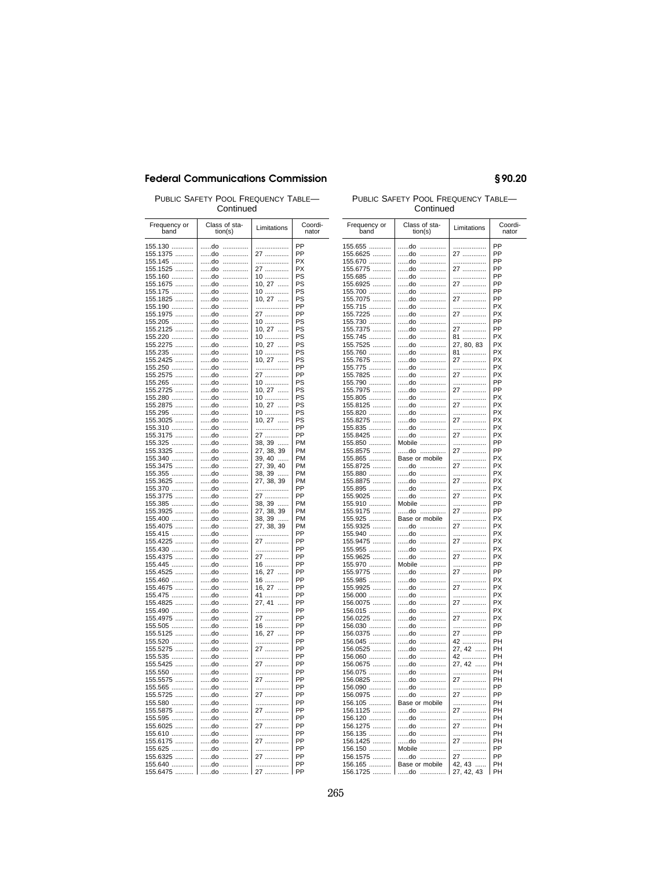Continued

| Frequency or<br>band              | Class of sta-<br>tion(s) | Limitations                                                      | Coordi-<br>nator |
|-----------------------------------|--------------------------|------------------------------------------------------------------|------------------|
| 155.130                           | do<br>.                  | .                                                                | PP               |
| 155.1375                          | .<br>do                  | 27                                                               | PP               |
| 155.145                           | do<br>.                  | .                                                                | PX               |
| 155.1525                          | do<br>.                  | 27                                                               | PX               |
| 155.160                           | .<br>do                  | 10                                                               | PS               |
| 155.1675                          | .<br>do                  | 10, 27                                                           | PS               |
| 155.175<br>155.1825               | do<br>.<br>do<br>.       | 10<br>10, 27                                                     | PS<br>PS         |
| 155.190                           | do<br>.                  |                                                                  | PP               |
| 155.1975                          | do<br>.                  | 27                                                               | PP               |
| 155.205                           | do<br>.                  | – .<br>10 …………                                                   | PS               |
| 155.2125                          | .<br>do                  | $10, 27$<br>10                                                   | PS               |
| 155.220                           | do<br>.                  |                                                                  | PS               |
| 155.2275                          | .<br>do                  | $10, 27$                                                         | PS               |
| 155.235                           | do<br>.                  | 10                                                               | PS               |
| 155.2425<br>155.250               | do<br>.<br>.<br>do       | $10, 27$<br>.                                                    | PS<br>PP         |
| 155.2575                          | do<br>.                  |                                                                  | PP               |
| 155.265                           | do<br>.                  | 27<br>10                                                         | PS               |
| 155.2725                          | .<br>do                  | $10, 27$                                                         | PS               |
| 155.280                           | do<br>.                  | 10                                                               | PS               |
| 155.2875                          | do<br>.                  | $10$<br>10, 27                                                   | PS               |
| 155.295                           | do<br>.                  | 10<br>10, 27                                                     | PS               |
| 155.3025                          | do<br>.                  |                                                                  | PS               |
| 155.310<br>155.3175               | do<br>.<br>do<br>.       | .                                                                | PP<br>PP         |
| 155.325                           | do<br>.                  | 27                                                               | PM               |
| 155.3325                          | do<br>.                  |                                                                  | PM               |
| 155.340                           | do<br>.                  |                                                                  | <b>PM</b>        |
| 155.3475                          | do<br>.                  |                                                                  | <b>PM</b>        |
| 155.355                           | do<br>.                  |                                                                  | <b>PM</b>        |
| 155.3625                          | .<br>do                  | 27<br>38, 39<br>27, 38, 39<br>39, 40<br>27, 39, 40<br>27, 38, 39 | PM               |
| 155.370                           | do<br>.                  | .                                                                | PP               |
| 155.3775                          | do<br>.                  | 27                                                               | PP<br>PM         |
| 155.385<br>155.3925               | do<br>.<br>.<br>do       | 38, 39<br>27, 38, 39                                             | <b>PM</b>        |
| 155.400                           | do<br>.                  |                                                                  | PM               |
| 155.4075                          | do<br>.                  | 38, 39<br>27, 38, 39                                             | PM               |
| 155.415                           | do<br>.                  | .                                                                | PP               |
| 155.4225                          | do<br>.                  | 27                                                               | PP               |
| 155.430                           | do<br>.                  | .                                                                | PP               |
| 155.4375                          | do<br>.                  | 27                                                               | PP               |
| 155.445                           | do<br>.                  | 16                                                               | PP<br>PP         |
| 155.4525<br>155.460               | do<br>.<br>do<br>.       | 16, 27<br>16                                                     | PP               |
| 155.4675                          | do<br>.                  | 16, 27                                                           | PP               |
| 155.475                           | do<br>.                  | 41                                                               | PP               |
| 155.4825                          | do<br>.                  | 27, 41                                                           | PP               |
| 155.490                           | do<br>.                  | .                                                                | PP               |
| 155.4975                          | do<br>.                  | 27<br>16                                                         | PP               |
| 155.505                           | do<br>.                  |                                                                  | PP               |
| 155.5125                          | do<br>.                  | $16, 27$                                                         | PP               |
| 155.520                           | do<br>.<br>do<br>.       | .                                                                | PP<br>PP         |
| 155.5275<br>155.535               | .<br>do                  | 27<br>.                                                          | PP               |
| 155.5425                          | do<br>.                  | 27                                                               | PP               |
| 155.550                           | do<br>.                  | .                                                                | PP               |
| 155.5575                          | .<br>do                  | 27                                                               | PP               |
| 155.565<br>1, 1, 1, 1, 1, 1, 1, 1 | do<br>.                  | .                                                                | PP               |
| 155.5725                          | do<br>.                  | 27                                                               | PP               |
| 155.580                           | .<br>do                  | .                                                                | PP               |
| 155.5875                          | do<br>.                  | 27                                                               | PP               |
| 155.595                           | do<br>.<br>.             | .                                                                | PP<br>PP         |
| 155.6025<br>155.610               | do<br>do<br>.            | 27<br>.                                                          | PP               |
| 155.6175                          | do<br>.                  | 27                                                               | PP               |
| 155.625                           | do<br>.                  | .                                                                | PP               |
| 155.6325                          | do<br>.                  | 27                                                               | PP               |
| 155.640                           | do<br>.                  | .                                                                | PP               |
| 155.6475<br>.                     | do                       | 27                                                               | PP               |

### PUBLIC SAFETY POOL FREQUENCY TABLE- PUBLIC SAFETY POOL FREQUENCY TABLE-Continued

| Frequency or<br>band | Class of sta-<br>tion(s) | Limitations                  | Coordi-<br>nator |
|----------------------|--------------------------|------------------------------|------------------|
| 155.655<br>155.6625  | do<br>.<br>do<br>.       | .<br>27                      | PP<br>PP         |
|                      |                          |                              |                  |
| 155.670              | do<br>.                  | .                            | PP               |
| 155.6775             | do<br>.                  | __<br>27 …………                | PP               |
| 155.685              | do<br>.                  | .                            | PP               |
| 155.6925             | do<br>.                  | 27<br>.                      | PP               |
|                      |                          |                              | PP               |
| 155.700              | do<br>.                  | .                            |                  |
| 155.7075             | do<br>.                  | 27<br>$\ldots \ldots \ldots$ | PP               |
| 155.715              | do<br>.                  | .                            | PX               |
| 155.7225             | do<br>.                  | 27                           | PX               |
| 155.730              | do<br>.                  | .                            | PP               |
| 155.7375             | do<br>.                  |                              | PP               |
|                      | do<br>.                  | 27<br>81                     | <b>PX</b>        |
| 155.745<br>155.7525  | do<br>.                  | 81<br>27, 80, 83<br>- .      | PX               |
|                      |                          |                              |                  |
| 155.760<br>155.7675  | do<br>.                  | 81                           | <b>PX</b>        |
|                      | do<br>.                  | 27<br>.                      | <b>PX</b>        |
| 155.775              | do<br>.                  |                              | <b>PX</b>        |
| 155.7825             | do<br>.                  | 27<br>.                      | <b>PX</b>        |
| 155.790              | do<br>.                  | .                            | PP               |
| 155.7975             | do<br>.                  | 27                           | PP               |
|                      |                          |                              | <b>PX</b>        |
| 155.805              | do<br>.                  |                              |                  |
| 155.8125             | do<br>.                  | 27                           | <b>PX</b>        |
| 155.820              | do<br>.                  |                              | PX               |
| 155.8275             | do<br>.                  | 27                           | <b>PX</b>        |
| 155.835              | do<br>.                  | .                            | <b>PX</b>        |
| 155.8425             | do<br>.                  | 27                           | PX               |
| 155.850              | Mobile                   | .                            | PP               |
|                      |                          |                              | PP               |
| 155.8575             | do<br>.                  | 27                           |                  |
| 155.865              | Base or mobile           | .                            | <b>PX</b>        |
| 155.8725             | do                       | 27                           | PX               |
| 155.880              | do<br>.                  | .                            | <b>PX</b>        |
| 155.8875             | do<br>.                  | 27                           | PX               |
| 155.895              | do<br>.                  | .                            | PX               |
| 155.9025             | do<br>.                  | 27                           | <b>PX</b>        |
| 155.910              | Mobile                   | .                            | PP               |
| 155.9175             | do                       | 27                           | PP               |
|                      |                          |                              |                  |
| 155.925              | Base or mobile           | .                            | PX               |
| 155.9325             | do                       | 27                           | PX               |
| 155.940              | do<br>.                  | .                            | PX               |
| 155.9475             | do<br>.                  | 27                           | PX               |
| 155.955              | do<br>.                  | .                            | <b>PX</b>        |
| 155.9625             | do<br>                   | 27                           | PX               |
| 155.970              | Mobile                   | .                            | PP               |
| 155.9775             | do<br>                   | 27                           | PP               |
| 155.985              | do<br>.                  | .                            | PX               |
|                      |                          |                              |                  |
| 155.9925             | do<br>.                  | 27                           | PX               |
| 156.000              | do<br>.                  | .                            | PX               |
| 156.0075             | do<br>.                  | 27                           | PX               |
| 156.015              | do<br>.                  | .                            | PX               |
| 156.0225             | do<br>.                  | 27                           | PX               |
| 156.030              | do<br>.                  | .                            | PP               |
| 156.0375             | do                       | ___<br>27 …………<br>42 …………    | PP               |
| 156.045              | do<br>.                  |                              | PH               |
|                      |                          |                              |                  |
| 156.0525             | do<br>.                  | 27, 42                       | PH               |
| 156.060              | do<br>.                  | 42<br>27, 42                 | PH               |
| 156.0675             | do<br>.                  |                              | PH               |
| 156.075              | do<br>.                  | .                            | PH               |
| 156.0825             | do<br>.                  | 27                           | PH               |
| 156.090              | do<br>.                  | .                            | PP               |
| 156.0975             | do<br>.                  | 27                           | PP               |
|                      | Base or mobile           | .                            | PH               |
| 156.105              |                          |                              |                  |
| 156.1125             | do                       | 27                           | PH               |
| 156.120              | do<br>.                  | .                            | PH               |
| 156.1275             | do<br>.                  | 27                           | PH               |
| 156.135              | do<br>.                  | .                            | PН               |
| 156.1425             | do<br>                   | 27                           | PH               |
| 156.150              | Mobile                   | .                            | PP               |
| 156.1575             | do                       | 27                           | PP               |
| 156.165              | Base or mobile           | 42, 43                       | PН               |
|                      |                          |                              | PH               |
| 156.1725             | do                       | 27, 42, 43                   |                  |

## §90.20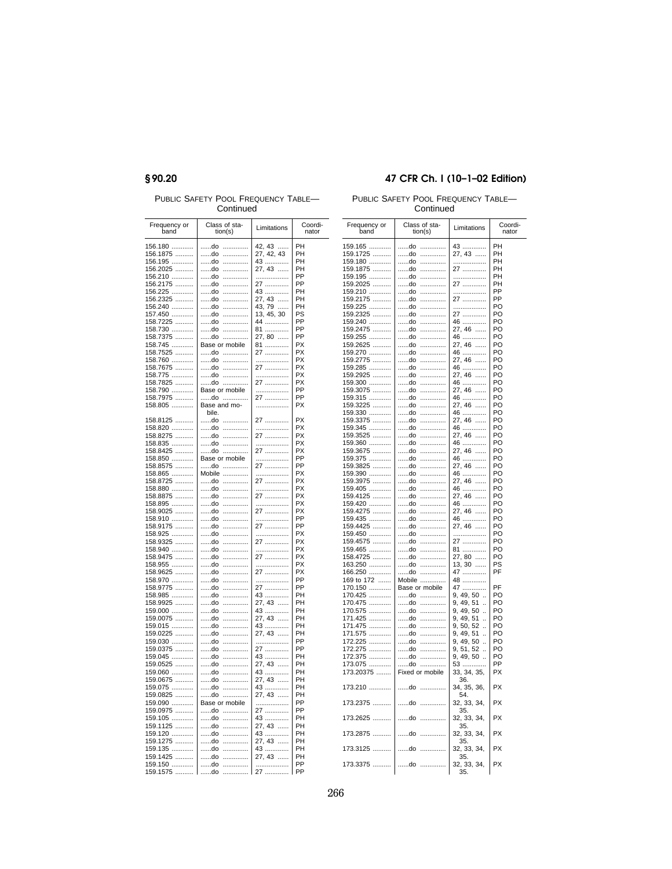# §90.20

PUBLIC SAFETY POOL FREQUENCY TABLE-Continued

| Frequency or<br>band | Class of sta-<br>tion(s) | Limitations  | Coordi-<br>nator |
|----------------------|--------------------------|--------------|------------------|
| 156.180              | do<br>.                  | 42, 43       | PH               |
| 156.1875             | do<br>.                  | 27, 42, 43   | PH               |
|                      |                          |              | PH               |
| 156.195              | do<br>.                  | $43$         |                  |
| 156.2025             | do<br>.                  | 27, 43       | PH               |
| 156.210              | do<br>.                  | .            | PP               |
| 156.2175             | do<br>.                  | 27           | PP               |
| 156.225              | .<br>do                  | –<br>43      | PH               |
| 156.2325             | do<br>.                  | 27, 43       | PH               |
| 156.240              | do<br>.                  | 43, 79       | PH               |
| 157.450              | do<br>.                  | 13, 45, 30   | PS               |
| 158.7225             | do<br>.                  | 44           | PP               |
| 158.730              | do                       |              | PP               |
|                      | .                        | 81<br>27, 80 | PP               |
| 158.7375             | do<br>.                  |              |                  |
| 158.745              | Base or mobile           | 81           | PX               |
| 158.7525             | do                       | 27           | <b>PX</b>        |
| 158.760              | do<br>.                  | .            | <b>PX</b>        |
| 158.7675             | do<br>.                  | 27           | <b>PX</b>        |
| 158.775              | do<br>.                  | .            | PX               |
| 158.7825             | do                       | 27           | PX               |
| 158.790              | Base or mobile           | .            | PP               |
| 158.7975             | do                       | 27           | PP               |
| 158.805              | Base and mo-             | .            | PX               |
|                      | bile.                    |              |                  |
| 158.8125             | do<br>                   | 27           | PX               |
| 158.820              | do                       | .            | <b>PX</b>        |
| 158.8275             | do                       | 27           | PX               |
| 158.835              | do                       | .            | PX               |
| 158.8425             | do                       | 27           | PX               |
| 158.850              | Base or mobile           | .            | PP               |
| 158.8575             | do                       | 27           | PP               |
| 158.865              | Mobile                   | .            | PX               |
| 158.8725             | do                       | 27           | PX               |
| 158.880              | do                       | .            | PX               |
| 158.8875             | do<br>.                  | 27           | <b>PX</b>        |
| 158.895              | do<br>.                  | .            | <b>PX</b>        |
| 158.9025             | do<br>.                  | 27           | PX               |
| 158.910              | do<br>.                  | .            | PP               |
| 158.9175             | do<br>                   | 27           | PP               |
| 158.925              | .                        | .            | PX               |
| 158.9325             | do<br>do<br>.            | 27           | PX               |
|                      |                          |              |                  |
| 158.940              | do<br>.                  | .            | <b>PX</b>        |
| 158.9475             | do<br>.                  | 27           | <b>PX</b>        |
| 158.955              | .<br>do                  | .            | <b>PX</b>        |
| 158.9625             | do<br>.                  | 27           | PX               |
| 158.970              | do<br>.                  | .            | PP               |
| 158.9775             | do<br>.                  | 27<br>43     | PP               |
| 158.985              | do<br>.                  |              | PH               |
| 158.9925             | do<br>.                  | 27, 43       | PH               |
| 159.000              | do<br>.                  |              | PH               |
| 159.0075             | do<br>.                  | 43<br>27, 43 | PH               |
| 159.015              | do<br>.                  |              | PH               |
| 159.0225             | do<br>.                  | 43<br>27, 43 | PH               |
|                      |                          |              | PP               |
| 159.030              | do<br>.                  | .            |                  |
| 159.0375             | do<br>.                  | 27           | PP               |
| 159.045              | .<br>do                  | 43           | PH               |
| 159.0525             | .<br>do                  | 27, 43       | PH               |
| 159.060              | .<br>do                  | 43           | PH               |
| 159.0675             | do<br>.                  | 27, 43       | PH               |
| 159.075              | .<br>do                  |              | PH               |
| 159.0825             | do<br>                   | 43<br>27, 43 | PH               |
| 159.090              | Base or mobile           | .            | PP               |
| 159.0975             | do<br>.                  | 27           | PP               |
| 159.105              | .<br>do                  | 43           | PH               |
|                      |                          |              | PH               |
| 159.1125             | do<br>.                  | 27, 43       |                  |
| 159.120              | .<br>do                  | 43           | PH               |
| 159.1275             | .<br>do                  | 27, 43       | PH               |
| 159.135              | .<br>do                  | 43           | PH               |
| 159.1425             | do<br>.                  | $27, 43$     | PH               |
| 159.150              | do<br>.                  | .            | PP               |
| 159.1575<br>.        | do                       | 27           | PP               |

## 47 CFR Ch. I (10-1-02 Edition)

PUBLIC SAFETY POOL FREQUENCY TABLE-

| Frequency or<br>band         | Class of sta-<br>tion(s) | Limitations                       | Coordi-<br>nator |
|------------------------------|--------------------------|-----------------------------------|------------------|
|                              |                          |                                   |                  |
| 159.165                      | do<br>.                  | 43                                | PH               |
| 159.1725                     | do<br>.                  | $27, 43$                          | PH               |
| 159.180                      | do<br>.                  | .                                 | PH               |
| 159.1875                     | do<br>.                  | 27                                | PH               |
| 159.195                      | do<br>.                  | .                                 | PH               |
| 159.2025                     | do<br>.                  | 27<br>.                           | PH               |
| 159.210                      | do<br>.                  | .                                 | PP               |
| 159.2175                     | do<br>.                  | 27<br>.                           | PP               |
|                              | do<br>.                  |                                   | PO               |
| 159.225                      |                          | .                                 |                  |
| 159.2325                     | do<br>.                  | 27<br>46                          | PO               |
| 159.240                      | do<br>.                  |                                   | PO               |
| 159.2475                     | do<br>.                  |                                   | PO               |
| 159.255                      | do<br>.                  |                                   | PO               |
| 159.2625                     | do<br>.                  |                                   | PO               |
| 159.270                      | do<br>.                  |                                   | PO               |
| 159.2775                     | do<br>.                  | 46<br>27, 46                      | PO               |
| 159.285                      | do<br>.                  |                                   | PO               |
| 159.2925                     | do<br>.                  |                                   | PO               |
| 159.300                      | do<br>.                  |                                   | PO               |
| 159.3075                     | do<br>.                  |                                   | PO               |
| 159.315                      | do<br>.                  |                                   | PO               |
|                              |                          | 46<br>27, 46                      | PO               |
| 159.3225                     | do                       |                                   | PO               |
| 159.330                      | do<br>.                  | 46<br>27, 46                      |                  |
| 159.3375                     | do<br>.                  |                                   | PO               |
| 159.345                      | do<br>.                  | 46<br>27, 46                      | PO               |
| 159.3525                     | do<br>.                  |                                   | PO               |
| 159.360                      | do<br>.                  | $46$                              | PO               |
| 159.3675                     | do<br>.                  | 27, 46                            | PO               |
| 159.375                      | do<br>.                  | 46                                | PO               |
| 159.3825                     | do<br>.                  | 27, 46                            | PO               |
| 159.390                      | do<br>.                  | $46$                              | PO               |
| 159.3975                     | do<br>.                  | 27, 46                            | PO               |
| 159.405                      | do<br>.                  | 46                                | PO               |
| 159.4125                     | do<br>.                  | 27, 46                            | PO               |
| 159.420                      | do<br>.                  | 46                                | PO               |
| 159.4275                     | do<br>.                  | 27, 46                            | PO               |
| 159.435                      | do<br>.                  |                                   | PO               |
| 159.4425                     | do<br>.                  | $46$<br>27, 46                    | PO               |
| 159.450                      | do<br>.                  | .                                 | PO               |
| 159.4575                     | do<br>.                  | 27                                | PO               |
| 159.465                      | do<br>.                  | 81                                | PO               |
| 158.4725                     |                          |                                   | PO               |
|                              | do<br>.                  | 27, 80                            |                  |
| 163.250                      | do<br>.                  | 13, 30                            | PS               |
| 166.250                      | do<br>.                  | 47                                | PF               |
| 169 to 172                   | Mobile                   | 48                                |                  |
| 170.150                      | Base or mobile           | 47                                | PF               |
| 170.425                      | do                       | 9, 49, 50.                        | PO               |
| 170.475                      | do<br>.                  | 9, 49, 51<br>                     | PO               |
| 170.575                      | do<br>.                  | 9, 49, 50<br>$\ddot{\phantom{a}}$ | PO               |
| 171.425                      | do<br>.                  | 9, 49, 51<br>$\ddot{\phantom{a}}$ | PO               |
| 171.475                      | do                       | 9, 50, 52<br>$\ddot{\phantom{a}}$ | PO               |
| 171.575                      | do                       | 9, 49, 51<br>$\ddot{\phantom{a}}$ | PO               |
| 172.225                      | do<br>.                  | 9, 49, 50<br>$\ddot{\phantom{a}}$ | PO               |
| 172.275<br>.                 | do<br>.                  | 9, 51, 52<br>Ω,                   | PO               |
| 172.375<br>                  | do<br>.                  | 9, 49, 50.                        | PO               |
|                              | do                       |                                   | PP               |
| 173.075<br>.<br>1.1.1.1.1.   | .                        | 53<br>33, 34, 35,                 |                  |
| 173.20375                    | Fixed or mobile          |                                   | РX               |
| 173.210                      | .                        | 36.                               | PX               |
|                              | do                       | 34, 35, 36,                       |                  |
| 173.2375<br>.                | do<br>.                  | 54.<br>32, 33, 34,                | PX               |
|                              |                          | 35.                               |                  |
| 173.2625<br>1, 1, 1, 1, 1, 1 | do<br>.                  | 32, 33, 34,                       | PX               |
|                              |                          | 35.                               |                  |
| 173.2875                     | do<br>.                  | 32, 33, 34,                       | PX               |
|                              |                          | 35.                               |                  |
| 173.3125                     | do<br>.                  | 32, 33, 34,                       | PX               |
| 173.3375                     | do<br>.                  | 35.<br>32, 33, 34,                | PX               |
|                              |                          | 35.                               |                  |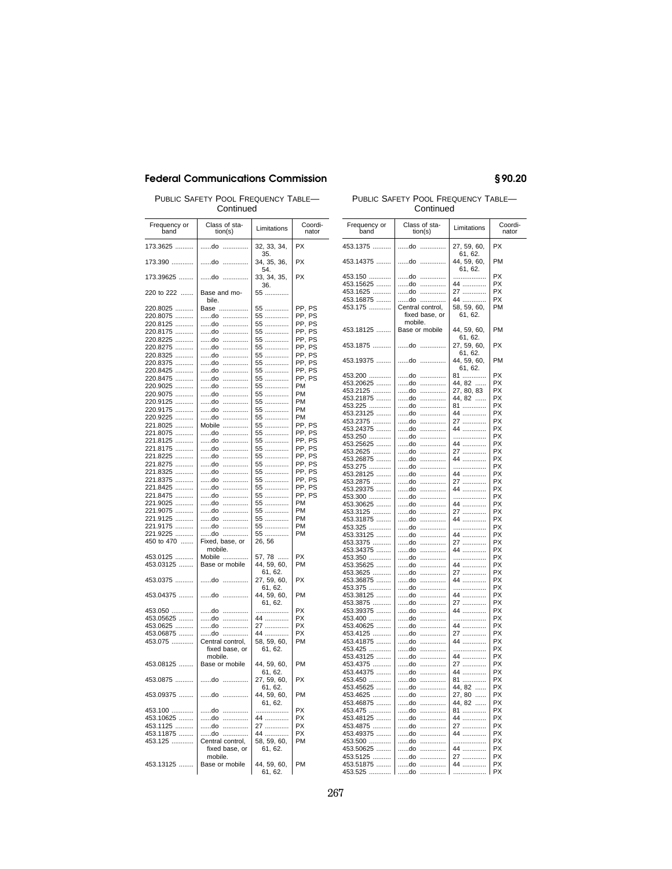PUBLIC SAFETY POOL FREQUENCY TABLE— Continued

| PUBLIC SAFETY POOL FREQUENCY TABLE- |  |
|-------------------------------------|--|
| Continued                           |  |

| Frequency or<br>band     | Class of sta-<br>tion(s)            | Limitations            | Coordi-<br>nator |
|--------------------------|-------------------------------------|------------------------|------------------|
| 173.3625                 | do<br>.                             | 32, 33, 34,<br>35.     | PX               |
| 173.390                  | do<br>.                             | 34, 35, 36,<br>54.     | PX               |
| 173.39625                | do<br>.                             | 33, 34, 35,<br>36.     | PX               |
| 220 to 222               | Base and mo-<br>bile.               | 55                     |                  |
| 220.8025                 | Base                                | 55                     | PP, PS           |
| 220.8075                 | do                                  | 55                     | PP, PS           |
| 220.8125                 | do                                  | 55                     | PP, PS           |
|                          |                                     |                        |                  |
| 220.8175                 | do<br>$\ldots \ldots \ldots \ldots$ | 55                     | PP, PS           |
| 220.8225                 | do                                  | 55                     | PP, PS           |
| 220.8275                 | do<br>.                             | 55                     | PP, PS           |
| 220.8325                 | do<br>.                             | 55                     | PP, PS           |
| 220.8375                 | do<br>.                             | 55                     | PP, PS           |
| 220.8425                 | do<br>.                             | 55                     | PP, PS           |
| 220.8475<br>.            | do<br>.                             | 55                     | PP, PS           |
| 220.9025<br>             | do<br>.                             | 55                     | PM               |
| 220.9075<br>             | do<br>.                             | 55                     | PM               |
|                          | do                                  | 55                     | PM               |
| 220.9125                 | .                                   |                        |                  |
| 220.9175                 | $d$ o<br>.                          | 55                     | PM               |
| 220.9225                 | do<br>.                             | 55                     | PM               |
| 221.8025                 | Mobile                              | 55                     | PP, PS           |
| 221.8075                 | do<br>.                             | 55                     | PP, PS           |
| 221.8125                 | do<br>.                             | 55                     | PP, PS           |
| 221.8175                 | do<br>.                             | 55                     | PP, PS           |
| 221.8225                 | do<br>.                             | 55                     | PP, PS           |
| 221.8275                 | $d$ o<br>.                          | 55                     | PP, PS           |
| 221.8325                 | do<br>.                             | 55                     | PP, PS           |
|                          |                                     |                        | PP, PS           |
| 221.8375                 | do<br>.                             | 55                     |                  |
| 221.8425<br>.            | do<br>.                             | 55                     | PP, PS           |
| 221.8475                 | do<br>.                             | 55                     | PP, PS           |
| 221.9025                 | do<br>.                             | 55                     | PM               |
| 221.9075<br>.            | do<br>.                             | 55                     | PM               |
| 221.9125                 | do<br>.                             | 55                     | PM               |
| 221.9175                 | do<br>.                             | 55                     | PM               |
| 221.9225                 | do                                  | 55                     | PM               |
| 450 to 470               | Fixed, base, or                     | 26, 56                 |                  |
|                          | mobile.                             |                        |                  |
| 453.0125                 | Mobile                              | 57, 78                 | PX               |
| 453.03125                | Base or mobile                      | 44, 59, 60,            | PM               |
|                          |                                     | 61, 62.                |                  |
| 453.0375                 | do<br>.                             | 27, 59, 60,            | PX               |
|                          |                                     | 61, 62.<br>44, 59, 60, | PM               |
| 453.04375                | do<br>.                             | 61, 62.                |                  |
| 453.050                  | do<br>.                             | .                      | PX               |
| 453.05625                | do<br>.                             |                        | PX               |
| 453.0625                 |                                     | 44                     | PX               |
|                          | do<br>                              | 27                     |                  |
| 453.06875                | do<br>.                             | 44                     | <b>PX</b>        |
| 453.075                  | Central control,                    | 58, 59, 60,            | PM               |
|                          | fixed base, or                      | 61, 62.                |                  |
|                          | mobile.                             |                        |                  |
| 453.08125<br>1.1.1.1.1.1 | Base or mobile                      | 44, 59, 60,            | PM               |
|                          |                                     | 61, 62.                |                  |
| 453.0875                 | do<br>.                             | 27, 59, 60,            | PX               |
|                          |                                     | 61, 62.                |                  |
| 453.09375                | do<br>.                             | 44, 59, 60,            | PM               |
|                          |                                     | 61, 62.                |                  |
| 453.100                  | do<br>.                             | .                      | PX               |
| 453.10625                | do                                  | 44                     | PX               |
| 453.1125                 | do                                  | 27                     | PX               |
| 453.11875                | do                                  | 44                     | РX               |
| 453.125                  | Central control,                    | 58, 59, 60,            | PM               |
|                          | fixed base, or                      | 61, 62.                |                  |
|                          | mobile.                             |                        |                  |
| 453.13125                | Base or mobile                      | 44, 59, 60,            | PM               |
|                          |                                     | 61, 62.                |                  |

| Continued             |                           |                                   |                  |  |
|-----------------------|---------------------------|-----------------------------------|------------------|--|
| Frequency or<br>band  | Class of sta-<br>tion(s)  | Limitations                       | Coordi-<br>nator |  |
| 453.1375              | do<br>.                   | 27, 59, 60,                       | PX               |  |
| 453.14375             | do<br>.                   | 61, 62.<br>44, 59, 60,<br>61, 62. | PM               |  |
| 453.150               | do<br>.                   | .                                 | PX               |  |
| 453.15625             | do<br>.                   | 44                                | PX               |  |
| 453.1625              | do<br>.                   |                                   | PX               |  |
| 453.16875             | nh d                      | 27<br>44                          | PX               |  |
| 453.175               | Central control,          | 58, 59, 60,                       | PM               |  |
|                       | fixed base, or<br>mobile. | 61, 62.                           |                  |  |
| 453.18125             | Base or mobile            | 44, 59, 60,<br>61, 62.            | PM               |  |
| 453.1875              | do<br>.                   | 27, 59, 60,<br>61, 62.            | РX               |  |
| 453.19375             | do<br>.                   | 44, 59, 60,<br>61, 62.            | PM               |  |
| 453.200               | do<br>.                   |                                   | РX               |  |
| 453.20625             | do<br>.                   | 81<br>44, 82<br>27, 80, 83        | PX               |  |
| 453.2125              | do<br>.                   |                                   | PX               |  |
| 453.21875             | do<br>.<br>do<br>.        | 44, 82                            | PX<br>PX         |  |
| 453.225<br>453.23125  | do<br>.                   | 81                                | <b>PX</b>        |  |
| 453.2375              | do<br>.                   | 44<br>27                          | PX               |  |
| 453.24375             | do<br>.                   | 44                                | <b>PX</b>        |  |
| 453.250               | do<br>.                   | .                                 | PX               |  |
| 453.25625             | do<br>.                   | 44                                | <b>PX</b>        |  |
| 453.2625              | do<br>.                   | 27                                | PX               |  |
| 453.26875             | do<br>.                   | 44                                | PX               |  |
| 453.275               | do<br>.                   | .                                 | PX               |  |
| 453.28125             | do<br>.                   | 44                                | PX               |  |
| 453.2875              | do<br>.                   | 27                                | PX               |  |
| 453.29375             | do<br>.                   | 44                                | PX               |  |
| 453.300               | .<br>do                   | .                                 | PX               |  |
| 453.30625             | .<br>do<br>.              | 44                                | PX<br>PX         |  |
| 453.3125<br>453.31875 | do<br>do<br>.             | 27<br>44                          | PX               |  |
| 453.325               | .<br>do                   | .                                 | <b>PX</b>        |  |
| 453.33125             | .<br>do                   | 44                                | PX               |  |
| 453.3375              | .<br>do                   | 27                                | <b>PX</b>        |  |
| 453.34375             | .<br>do                   | 44                                | PX               |  |
| 453.350               | .<br>do                   | .                                 | <b>PX</b>        |  |
| 453.35625             | .<br>do                   | 44                                | PX               |  |
| 453.3625              | do<br>.                   | 27                                | PX               |  |
| 453.36875             | .<br>do                   | 44                                | <b>PX</b>        |  |
| 453.375               | do<br>.                   | .                                 | PX               |  |
| 453.38125<br>453.3875 | .<br>do<br>do<br>.        | 44<br>27                          | <b>PX</b><br>PX  |  |
| 453.39375             | .<br>do                   | 44                                | <b>PX</b>        |  |
| 453.400               | .<br>do                   | .                                 | <b>PX</b>        |  |
| 453.40625             | .<br>do                   | 44                                | PX               |  |
| 453.4125              | .<br>do                   | 27                                | <b>PX</b>        |  |
| 453.41875             | do<br>.                   | 44                                | PX               |  |
| 453.425               | do<br>.                   | .                                 | <b>PX</b>        |  |
| 453.43125             | do<br>.                   | 44                                | PX               |  |
| 453.4375              | do<br>.                   | 27<br>44                          | PX               |  |
| 453.44375             | .<br>do                   |                                   | PX               |  |
| 453.450               | .<br>do                   | 81                                | PX               |  |
| 453.45625             | .<br>do                   | 44, 82                            | PX               |  |
| 453.4625              | do<br>.                   | $\cdots$<br>27, 80                | PX               |  |
| 453.46875             | .<br>do                   | $\cdots$<br>44.82                 | PX               |  |
| 453.475               | do<br>.                   | 81                                | <b>PX</b>        |  |
| 453.48125             | do<br>.                   | 44                                | <b>PX</b>        |  |
| 453.4875              | do<br>.                   | 27<br>.                           | <b>PX</b>        |  |
| 453.49375             | do<br>.<br>do<br>.        |                                   | PX<br><b>PX</b>  |  |
| 453.500<br>453.50625  | do<br>.                   | .<br>44                           | PX               |  |
|                       | do<br>.                   | <br>27                            | <b>PX</b>        |  |
| 453.5125<br>453.51875 | .<br>do                   | _<br>44 …………                      | PX               |  |
| 453.525               | do                        |                                   | PX               |  |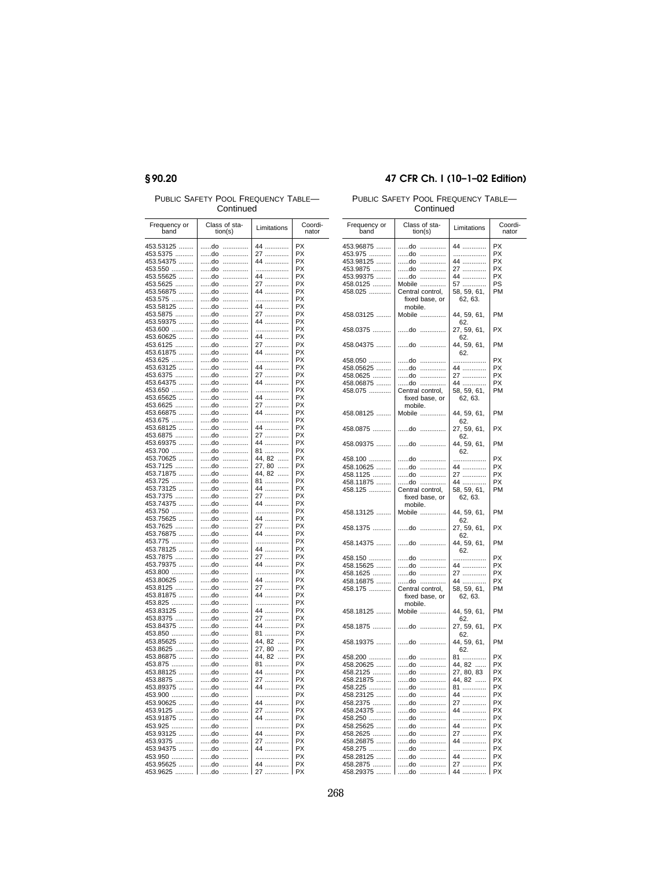# §90.20

PUBLIC SAFETY POOL FREQUENCY TABLE-Continued

| Frequency or           | Class of sta- |        |                  | Coordi-                |
|------------------------|---------------|--------|------------------|------------------------|
| band                   | tion(s)       |        | Limitations      | nator                  |
| 453.53125<br>453.5375  | do<br>do      | .<br>. | 44               | PX<br>PX               |
| 453.54375              | do            | .      | 27<br>44         | PX                     |
| 453.550                | do            | .      | .                | PX                     |
| 453.55625              | do            | .      | 44               | PX                     |
| 453.5625               | do            | .      | 27               | <b>PX</b>              |
| 453.56875              | do            | .      | 44               | PX                     |
| 453.575                | do            | .      | .                | PX                     |
| 453.58125              | do            | .      | 44               | <b>PX</b>              |
| 453.5875<br>453.59375  | do<br>do      | .<br>. | 27<br>44         | PX<br><b>PX</b>        |
| 453.600                | do            | .      | .                | PX                     |
| 453.60625              | do            | .      | 44               | PX                     |
| 453.6125               | do            | .      | 27               | PX                     |
| 453.61875              | do            | .      | 44               | PX                     |
| 453.625                | do            | .      | .                | PX                     |
| 453.63125              | do            | .      | 44               | PX                     |
| 453.6375               | do            | .      | 27               | PX                     |
| 453.64375<br>453.650   | do<br>do      | .<br>. | 44<br>.          | PX<br>PX               |
| 453.65625              | do            | .      | 44               | PX                     |
| 453.6625               | do            | .      | 27               | PX                     |
| 453.66875              | do            | .      | 44               | <b>PX</b>              |
| 453.675                | do            | .      | .                | PX                     |
| 453.68125              | do            | .      | 44               | PX                     |
| 453.6875               | do            | .      | 27               | PX                     |
| 453.69375              | do            | .      | 44               | PX                     |
| 453.700                | do            | .      | 81               | PX<br>PX               |
| 453.70625<br>453.7125  | do<br>do      | .<br>. | 44, 82<br>27, 80 | PX                     |
| 453.71875              | do            | .      | 44, 82           | РX                     |
| 453.725                | do            | .      | 81               | PX                     |
| 453.73125              | do            | .      | 44               | PX                     |
| 453.7375               | do            | .      | 27               | PX                     |
| 453.74375              | do            | .      | 44               | <b>PX</b>              |
| 453.750                | do            | .      | .                | <b>PX</b>              |
| 453.75625              | do            | .      | 44               | PX                     |
| 453.7625<br>453.76875  | do<br>do      | .<br>. | 27<br>44         | PX<br><b>PX</b>        |
| 453.775                | do            | .      | .                | PX                     |
| 453.78125              | do            | .      | 44               | PX                     |
| 453.7875               | do            | .      | 27               | PX                     |
| 453.79375              | do            | .      | _<br>44 …………     | PX                     |
| 453.800                | do            | .      | .                | PX                     |
| 453.80625              | do            | .      | 44               | PX                     |
| 453.8125               | do            | .      | 27<br>44         | PX                     |
| 453.81875              | do            | .      |                  | PX                     |
| 453.825                | do<br>do      | .<br>. | .<br>44          | PX<br>PX               |
| 453.83125<br>453.8375  | do            | .      |                  | PX                     |
| 453.84375              | do            | .      | 27<br>44         | PX                     |
| 453.850                | do            | .      | 81               | PX                     |
| 453.85625              | do            | .      | 44, 82           | PX                     |
| 453.8625               | do            | .      | 27, 80           | PX                     |
| 453.86875              | do            | .      | 44, 82           | PX                     |
| 453.875                | do            | .      | 81               | PX                     |
| 453.88125              | do            | .      | 44               | PX                     |
| 453.8875               | do            | .      | 27               | PX                     |
| 453.89375<br>453.900   | do<br>do      | .<br>. | 44<br>.          | <b>PX</b><br><b>PX</b> |
| 453.90625              | do            | .      | 44               | PX                     |
| 453.9125               | do            | .      |                  | <b>PX</b>              |
| 453.91875              | do            | .      | 27<br>44         | PX                     |
| 453.925                | do            | .      | .                | <b>PX</b>              |
| 453.93125              | do            | .      | 44               | PX                     |
| 453.9375               | do            | .      | 27<br>44         | PX                     |
| 453.94375              | do            | .      |                  | PX                     |
| 453.950                | do            | .      | .                | <b>PX</b>              |
| 453.95625<br>1.1.1.1.1 | do            | .      | 44               | <b>PX</b><br>PX        |
| 453.9625<br>$\cdots$   | do            |        | 27               |                        |

## 47 CFR Ch. I (10-1-02 Edition)

PUBLIC SAFETY POOL FREQUENCY TABLE-Continued

| Frequency or<br>band | Class of sta-<br>tion(s)            | Limitations                          | Coordi-<br>nator |
|----------------------|-------------------------------------|--------------------------------------|------------------|
| 453.96875            | do<br>.                             | 44                                   | <b>PX</b>        |
| 453.975              | do<br>$\ldots \ldots \ldots \ldots$ | .                                    | <b>PX</b>        |
| 453.98125            | do<br>.                             | 44                                   | <b>PX</b>        |
|                      | do                                  |                                      | PX               |
| 453.9875             | .                                   | 27                                   |                  |
| 453.99375            | do                                  | 44                                   | PX               |
| 458.0125             | <br>Mobile                          |                                      | PS               |
| 458.025              | Central control,                    | 57<br>58, 59, 61,                    | PM               |
|                      | fixed base, or                      | 62, 63.                              |                  |
|                      | mobile.                             |                                      |                  |
| 458.03125            | Mobile                              | 44, 59, 61,<br>62.                   | PM               |
| 458.0375             | do<br>.                             | 27, 59, 61,<br>62.                   | PX               |
| 458.04375            | do<br>                              | 44, 59, 61,<br>62.                   | PM               |
| 458.050              | $d$ o<br>.                          | .                                    | <b>PX</b>        |
| 458.05625            | do<br>.                             | 44                                   | <b>PX</b>        |
| 458.0625             | do<br>.                             |                                      | <b>PX</b>        |
|                      |                                     | 27                                   |                  |
| 458.06875            | do                                  | 44<br>58, 59, 61,                    | <b>PX</b>        |
| 458.075              | Central control,                    |                                      | PM               |
|                      | fixed base, or                      | 62, 63.                              |                  |
|                      | mobile.                             |                                      |                  |
| 458.08125            | Mobile                              | 44, 59, 61,                          | PM               |
|                      |                                     | 62.                                  |                  |
| 458.0875             | do                                  | 27, 59, 61,                          | <b>PX</b>        |
|                      |                                     | 62.                                  |                  |
| 458.09375            | do<br>.                             | 44, 59, 61,                          | PM               |
|                      |                                     |                                      |                  |
|                      |                                     | 62.                                  |                  |
| 458.100              | do<br>.                             | .                                    | PX               |
| 458.10625            | do                                  | 44                                   | <b>PX</b>        |
| 458.1125             | do                                  | 27                                   | <b>PX</b>        |
| 458.11875            | do                                  | 44                                   | PX               |
|                      |                                     |                                      | PM               |
| 458.125              | Central control,                    | 58, 59, 61,                          |                  |
|                      | fixed base, or                      | 62, 63.                              |                  |
|                      | mobile.                             |                                      |                  |
| 458.13125            | Mobile                              | 44, 59, 61,                          | PM               |
|                      |                                     | 62.                                  |                  |
| 458.1375             | do                                  | 27, 59, 61,                          | <b>PX</b>        |
|                      |                                     | 62.                                  |                  |
| 458.14375            | do                                  | 44, 59, 61,                          | PM               |
|                      |                                     | 62                                   |                  |
| 458.150              | do                                  | .                                    | <b>PX</b>        |
| 458.15625            | do                                  |                                      | <b>PX</b>        |
|                      |                                     | 44                                   |                  |
| 458.1625             | do                                  | 27                                   | <b>PX</b>        |
| 458.16875            | do                                  | 44                                   | <b>PX</b>        |
| 458.175              | Central control,                    | 58, 59, 61,                          | PM               |
|                      | fixed base, or                      | 62, 63.                              |                  |
|                      | mobile.                             |                                      |                  |
| 458.18125            | Mobile                              | 44, 59, 61,                          | PM               |
|                      |                                     | 62.                                  |                  |
| 458.1875             | do<br>$\ldots \ldots \ldots \ldots$ | 27, 59, 61,                          | PX               |
|                      |                                     | 62.                                  |                  |
| 458.19375            | do<br>.                             | 44, 59, 61,                          | PM               |
|                      |                                     | 62.                                  |                  |
| 458.200              | do<br>.                             | 81<br>44, 82<br>27, 80, 83<br>44, 82 | <b>PX</b>        |
| 458.20625            | do<br>.                             |                                      | <b>PX</b>        |
|                      |                                     |                                      |                  |
| 458.2125             | do<br>.                             |                                      | PX               |
| 458.21875            | do<br>.                             |                                      | PX               |
| 458.225              | do<br>                              | 81                                   | <b>PX</b>        |
| 458.23125            | do<br>.                             | 44                                   | <b>PX</b>        |
| 458.2375             | do<br>.                             |                                      | <b>PX</b>        |
|                      |                                     | 27                                   |                  |
| 458.24375            | $d$ o<br>                           | 44                                   | <b>PX</b>        |
| 458.250              | do<br>                              | .                                    | <b>PX</b>        |
| 458.25625            | do<br>.                             | 44                                   | <b>PX</b>        |
| 458.2625             | do<br>                              | 27                                   | PX               |
| 458.26875            | do                                  |                                      | PX               |
|                      |                                     | 44                                   |                  |
| 458.275              | do<br>.                             | .                                    | PX               |
| 458.28125            | do<br>                              | 44                                   | <b>PX</b>        |
| 458.2875             | do<br>                              | 27                                   | <b>PX</b>        |
| 458.29375            | do<br>.                             | 44                                   | <b>PX</b>        |
|                      |                                     |                                      |                  |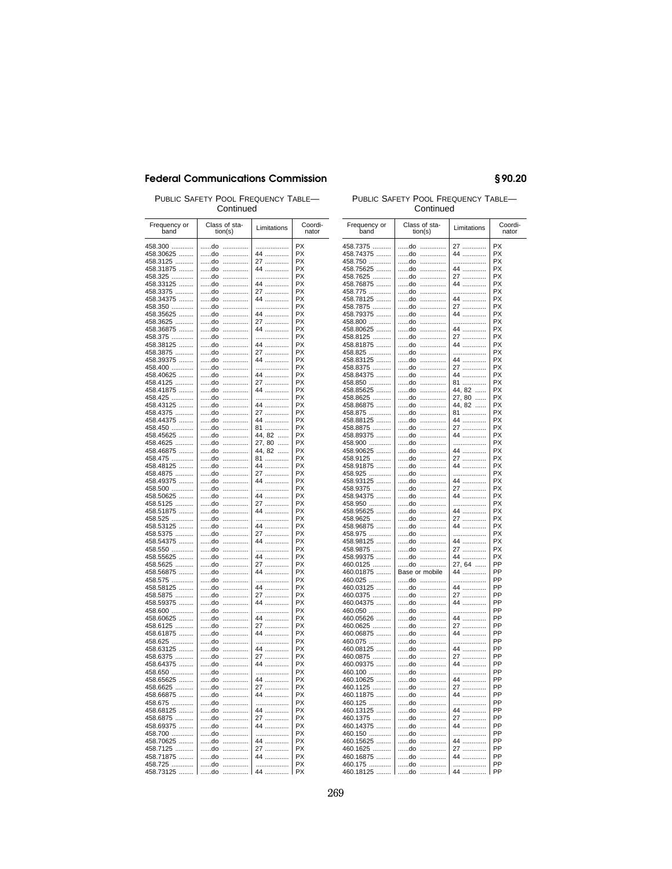PUBLIC SAFETY POOL FREQUENCY TABLE-Continued

| Frequency or<br>band  | Class of sta-<br>tion(s) |        | Limitations      | Coordi-<br>nator |
|-----------------------|--------------------------|--------|------------------|------------------|
| 458.300               | do                       | .      | .                | PX               |
| 458.30625             | do                       | .      | 44               | PX               |
| 458.3125              | do                       |        | 27               | PX               |
| 458.31875             | do                       | .      | -<br>44          | <b>PX</b>        |
| 458.325<br>458.33125  | do<br>do                 | .<br>. | .<br>44          | PX<br>PX         |
| 458.3375              | do                       | .      | 27               | PX               |
| 458.34375             | do                       | .      | --<br>44         | PX               |
| 458.350               | do                       | .      | .                | PX               |
| 458.35625             | do                       | .      | 44               | <b>PX</b>        |
| 458.3625              | do                       | .      | 27               | PX               |
| 458.36875<br>458.375  | do                       | .<br>. | 44<br>.          | PX<br>PX         |
| 458.38125             | do<br>do                 | .      | 44               | PX               |
| 458.3875              | do                       | .      |                  | PX               |
| 458.39375             | do                       | .      | 27<br>44         | PX               |
| 458.400               | do                       | .      | .                | <b>PX</b>        |
| 458.40625             | do                       | .      | 44               | PX               |
| 458.4125              | do                       | .      | 27<br>44         | PX<br>PX         |
| 458.41875<br>458.425  | do<br>do                 | .<br>. | .                | PX               |
| 458.43125             | do                       | .      | 44               | PX               |
| 458.4375              | do                       | .      |                  | PX               |
| 458.44375             | do                       | .      | 27<br>44         | PX               |
| 458.450               | do                       | .      | 81<br>44, 82     | РX               |
| 458.45625             | do                       | .      |                  | РX<br>PX         |
| 458.4625<br>458.46875 | do<br>do                 | .<br>. | 27, 80<br>44, 82 | PX               |
| 458.475               | do                       | .      | 81               | РX               |
| 458.48125             | do                       | .      | 44               | PX               |
| 458.4875              | do                       | .      | 27               | PX               |
| 458.49375             | do                       | .      | 44               | PX               |
| 458.500<br>458.50625  | do<br>do                 | .<br>. | .<br>44          | PX<br>PX         |
| 458.5125              | do                       | .      | 27               | PX               |
| 458.51875             | do                       | .      | 44               | PX               |
| 458.525               | do                       | .      | .                | PX               |
| 458.53125             | do                       | .      | 44               | PX               |
| 458.5375<br>458.54375 | do<br>do                 | .<br>. | 27<br>44         | PX<br>PX         |
| 458.550               | do                       | .      | .                | PX               |
| 458.55625             | do                       | .      | 44               | PX               |
| 458.5625              | do                       | .      | 27               | PX               |
| 458.56875             | do                       | .      | 44               | PX               |
| 458.575               | do                       | .      | .                | PX               |
| 458.58125<br>458.5875 | do<br>do                 | .<br>. | 44<br>27         | PX<br>PX         |
| 458.59375             | do                       | .      | 44               | PX               |
| 458.600               | do                       | .      | .                | PX               |
| 458.60625             | do                       | .      | 44               | PX               |
| 458.6125              | do                       | .      | 27               | PX               |
| 458.61875             | do                       | .      | 44               | PX               |
| 458.625<br>458.63125  | do<br>do                 | .<br>. | .<br>44          | PX<br>PX         |
| 458.6375              | do                       | .      |                  | PX               |
| 458.64375             | do                       | .      | 27<br>44         | РX               |
| 458.650               | do                       | .      | .                | РX               |
| 458.65625             | do                       | .      | 44               | PX               |
| 458.6625              | do                       | .      | 27               | PX<br>PX         |
| 458.66875<br>458.675  | do<br>do                 | .<br>. | 44<br>.          | PX               |
| 458.68125             | do                       | .      | 44               | PX               |
| 458.6875              | do                       | .      | 27               | PX               |
| 458.69375             | do                       | .      | 44               | PX               |
| 458.700               | do                       | .      | .                | РX               |
| 458.70625             | do                       | .      | 44               | РX               |
| 458.7125<br>458.71875 | do<br>do                 | .<br>. | 27<br>44         | РX<br>PX         |
| 458.725               | do                       | .      | .                | PX               |
| 458.73125             | do                       | .      | 44               | <b>PX</b>        |

### PUBLIC SAFETY POOL FREQUENCY TABLE-Continued

§90.20

| Frequency or<br>band | Class of sta-<br>tion(s) | Limitations        | Coordi-<br>nator |
|----------------------|--------------------------|--------------------|------------------|
| 458.7375             | do<br>.                  | 27                 | PX               |
| 458.74375            | do<br>.                  | 44                 | PX               |
| 458.750              | do<br>.                  | .                  | PX               |
|                      | do<br>.                  | 44                 | PX               |
| 458.75625            |                          |                    | PX               |
| 458.7625             | do<br>.                  | 27                 | <b>PX</b>        |
| 458.76875            | do<br>.                  | --<br>44           |                  |
| 458.775              | do<br>.                  | .                  | PX<br>PX         |
| 458.78125            | do<br>.<br>.             | 44                 | PX               |
| 458.7875             | do                       | 27                 |                  |
| 458.79375            | do<br>.                  | 44                 | PX               |
| 458.800              | do<br>.                  | .                  | PX               |
| 458.80625            | do<br>.                  | 44                 | <b>PX</b>        |
| 458.8125             | do<br>.                  | 27<br>             | PX               |
| 458.81875            | do<br>.                  | 44                 | PX               |
| 458.825              | do<br>.                  | .                  | <b>PX</b>        |
| 458.83125            | do<br>.                  | 44                 | <b>PX</b>        |
| 458.8375             | do<br>.                  | 27<br>             | <b>PX</b>        |
| 458.84375            | do<br>.                  | 44                 | <b>PX</b>        |
| 458.850              | do<br>.                  | 81                 | <b>PX</b>        |
| 458.85625            | do<br>.                  | 44, 82             | <b>PX</b>        |
| 458.8625             | do<br>.                  | 27, 80<br>$\cdots$ | <b>PX</b>        |
| 458.86875            | do<br>.                  | 44, 82<br>$\cdots$ | PX               |
| 458.875              | do<br>.                  | 81                 | <b>PX</b>        |
| 458.88125            | do<br>.                  | 44                 | <b>PX</b>        |
| 458.8875             | do<br>.                  | 27                 | <b>PX</b>        |
| 458.89375            | do<br>.                  | 44                 | <b>PX</b>        |
| 458.900              | do<br>.                  | .                  | <b>PX</b>        |
| 458.90625            | do<br>.                  | 44                 | <b>PX</b>        |
| 458.9125             | do<br>.                  | 27<br>.            | <b>PX</b>        |
| 458.91875            | do<br>.                  | 44                 | <b>PX</b>        |
| 458.925              | do<br>.                  | .                  | <b>PX</b>        |
| 458.93125            | do<br>.                  | 44                 | <b>PX</b>        |
| 458.9375             | do<br>.                  | 27<br>.            | <b>PX</b>        |
| 458.94375            | do<br>.                  | 44                 | <b>PX</b>        |
| 458.950              | do<br>.                  | .                  | <b>PX</b>        |
| 458.95625            | do<br>.                  | 44                 | <b>PX</b>        |
| 458.9625             | do<br>.                  | 27                 | PX               |
| 458.96875            | do<br>.                  | 44                 | <b>PX</b>        |
| 458.975              | do<br>.                  | .                  | <b>PX</b>        |
| 458.98125            | do<br>.                  | 44                 | <b>PX</b>        |
| 458.9875             | do<br>.                  | 27                 | PX               |
| 458.99375            | do<br>                   | 44                 | <b>PX</b>        |
| 460.0125             | do<br>.                  | 27, 64             | PP               |
| 460.01875            | Base or mobile           | 44                 | PP               |
| 460.025              | do<br>.                  | .                  | PP               |
| 460.03125            | do<br>                   | 44                 | PP               |
| 460.0375             | do<br>.                  | 27                 | PP               |
| 460.04375            | do<br>.                  | 44                 | PP               |
| 460.050              | do<br>.                  | .                  | PP               |
| 460.05626            | do<br>.                  | 44                 | PP               |
| 460.0625             | do<br>.                  | 27                 | PP               |
| 460.06875            | do<br>.                  | 44                 | PP               |
| 460.075              | do<br>.                  | .                  | PP               |
| 460.08125            | do<br>.                  | 44                 | PP               |
| 460.0875             | do<br>.                  | 27                 | PP               |
| 460.09375            | do<br>.                  | 44                 | PP               |
| 460.100              | do<br>.                  | .                  | PP               |
| 460.10625            | do<br>.                  | 44                 | PP               |
| 460.1125             | do<br>.                  | 27<br>.            | PP               |
| 460.11875            | do<br>.                  |                    | PP               |
| 460.125              | do<br>.                  | .                  | PP               |
| 460.13125            | do<br>.                  | 44                 | PP               |
| 460.1375             | do<br>.                  | 27<br>             | PP               |
| 460.14375            | do<br>.                  | 44                 | PP               |
| 460.150              | do<br>.                  | .                  | PP               |
| 460.15625            | do<br>.                  | 44                 | PP               |
| 460.1625             | do<br>.                  | 27                 | PP               |
| 460.16875            | do<br>.                  | 44                 | PP               |
| 460.175              | do<br>.                  | .                  | PP               |
| 460.18125            | do<br>.                  | 44                 | PP               |
|                      |                          |                    |                  |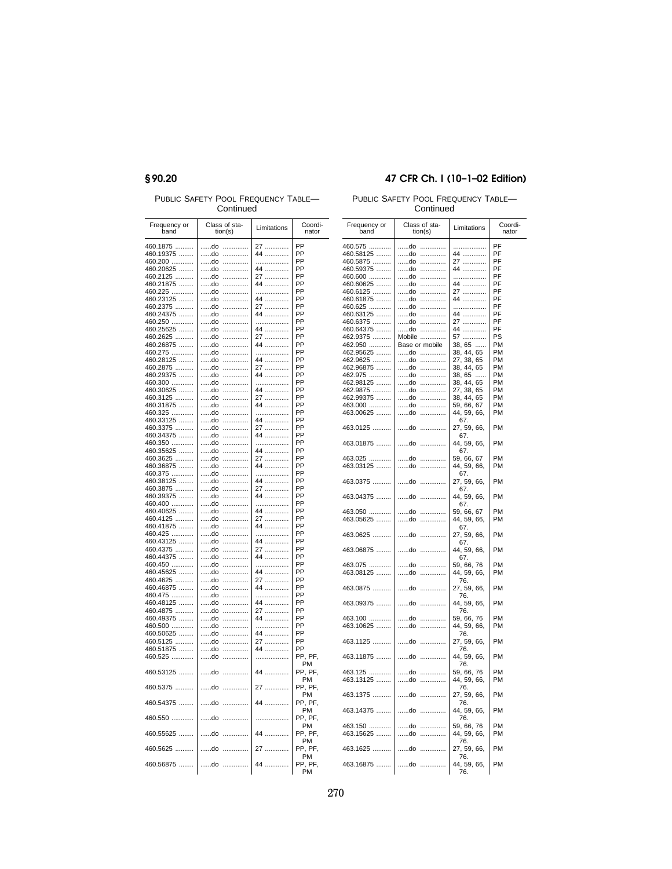## §90.20

PUBLIC SAFETY POOL FREQUENCY TABLE-Continued

| Frequency or<br>band | Class of sta-<br>tion(s) | Limitations  | Coordi-<br>nator |
|----------------------|--------------------------|--------------|------------------|
| 460.1875             | do<br>.                  | 27           | PP               |
| 460.19375            | do<br>.                  | 44           | PP               |
| 460.200              | do                       | .            | PP               |
| 460.20625            | do<br>.                  | 44           | PP               |
| 460.2125             | do<br>.                  |              | PP               |
| 460.21875            | do                       | 27<br>44     | PP               |
| 460.225              | do<br>.                  | .            | PP               |
| 460.23125            | do<br>.                  | 44           | PP               |
| 460.2375             | do                       | 27           | PP               |
| 460.24375            | do<br>.                  | 44           | PP               |
| 460.250              | do<br>.                  | .            | PP               |
| 460.25625            | do<br>.                  | 44           | PP               |
| 460.2625             | do<br>.                  | 27           | PP               |
| 460.26875            | do<br>.                  | 44           | PP               |
| 460.275              | do<br>.                  | .            | PP               |
| 460.28125            | do<br>.                  | 44           | PP               |
| 460.2875             | do<br>.<br>.             | 27<br>44     | PP<br>PP         |
| 460.29375            | do<br>do<br>.            | .            | PP               |
| 460.300<br>460.30625 | do<br>.                  | 44           | PP               |
| 460.3125             | do<br>.                  | 27           | PP               |
| 460.31875            | do<br>.                  | 44           | PP               |
| 460.325              | do                       | .            | PP               |
| 460.33125            | do<br>.                  | 44           | PP               |
| 460.3375             | do<br>.                  | 27<br>       | PP               |
| 460.34375            | do                       | 44           | PP               |
| 460.350              | do<br>.                  | .            | PP               |
| 460.35625            | do<br>.                  | 44           | PP               |
| 460.3625             | do<br>.                  | 27           | PP               |
| 460.36875            | do<br>.                  | 44           | PP               |
| 460.375              | do<br>.                  | .            | PP               |
| 460.38125            | do<br>.                  | 44           | PP               |
| 460.3875             | $d$ o<br>.               | 27           | PP               |
| 460.39375            | do<br>.                  | 44           | PP               |
| 460.400              | do<br>.                  | .            | PP               |
| 460.40625            | do<br>.                  | 44           | PP               |
| 460.4125             | do<br>.<br>do<br>.       | 27           | PP<br>PP         |
| 460.41875<br>460.425 | do<br>.                  | 44<br>.      | PP               |
| 460.43125            | do<br>.                  | 44           | PP               |
| 460.4375             | do<br>.                  | 27           | PP               |
| 460.44375            | do<br>.                  | 44           | PP               |
| 460.450              | do<br>.                  | .            | PP               |
| 460.45625            | do<br>.                  | 44           | PP               |
| 460.4625             | do<br>.                  | 27           | PP               |
| 460.46875            | do<br>.                  | 44           | PP               |
| 460.475              | do                       | .            | PP               |
| 460.48125            | do<br>.                  | 44           | PP               |
| 460.4875             | do<br>.                  | 27           | PP               |
| 460.49375            | do<br>.                  | 44           | PP               |
| 460.500              | do<br>.                  | .            | PP               |
| 460.50625            | do<br>.                  | 44           | PP               |
| 460.5125             | do<br>.                  | 27           | PP               |
| 460.51875            | do<br>.                  | _<br>44 ………… | PP               |
| 460.525              | do<br>.                  | .            | PP, PF,          |
|                      |                          |              | PM               |
| 460.53125            | do<br>.                  | 44           | PP, PF,          |
|                      |                          |              | PM               |
| 460.5375             | do<br>.                  | 27<br>.      | PP, PF,          |
|                      |                          |              | PM               |
| 460.54375            | do<br>.                  | 44           | PP, PF,          |
|                      |                          |              | PM               |
| 460.550              | do                       |              | PP, PF,          |
|                      |                          |              | PM               |
| 460.55625            | do                       | 44           | PP, PF,          |
|                      |                          |              | PM               |
| 460.5625             | do<br>.                  | 27           | PP, PF,<br>PM    |
| 460.56875            | do<br>.                  | 44           | PP, PF,          |
|                      |                          |              | PM               |
|                      |                          |              |                  |

## 47 CFR Ch. I (10-1-02 Edition)

PUBLIC SAFETY POOL FREQUENCY TABLE-

| Frequency or<br>band    | Class of sta-<br>tion(s) | Limitations              | Coordi-<br>nator |
|-------------------------|--------------------------|--------------------------|------------------|
| 460.575                 | do<br>.                  | .                        | PF               |
| 460.58125               | do<br>.                  | 44                       | PF               |
| 460.5875                | do                       | 27<br>.                  | PF               |
|                         |                          |                          | PF               |
| 460.59375               | do                       | 44                       |                  |
| 460.600                 | do<br>.                  | .                        | PF               |
| 460.60625<br>1.1.1.1.1. | do<br>.                  | 44                       | PF               |
| 460.6125                | do<br>.                  | 27<br>                   | PF               |
| 460.61875               | do<br>.                  | 44                       | PF               |
| 460.625                 | do                       | .                        | PF               |
| 460.63125               | do<br>.                  | 44                       | PF               |
| 460.6375                | do<br>.                  | 27<br>                   | PF               |
| 460.64375               | do<br>.                  | 44                       | PF               |
| 462.9375                | Mobile                   |                          | PS               |
| 462.950                 | Base or mobile           | 57<br>38, 65             | <b>PM</b>        |
| 462.95625               | do                       | 38, 44, 65               | <b>PM</b>        |
| 462.9625                | .<br>do<br>.             | 27, 38, 65               | <b>PM</b>        |
|                         |                          |                          |                  |
| 462.96875               | do<br>.                  | 38, 44, 65               | <b>PM</b>        |
| 462.975                 | do<br>.                  | oo, 65<br>38, 44, 65     | <b>PM</b>        |
| 462.98125<br>1.1.1.1.1  | do<br>.                  |                          | <b>PM</b>        |
| 462.9875                | do                       |                          | <b>PM</b>        |
| 462.99375               | do<br>.                  | 27, 38, 65<br>38, 44, 65 | <b>PM</b>        |
| 463.000                 | do<br>.                  | 59, 66, 67               | PM               |
| 463.00625               | do<br>.                  | 44, 59, 66,              | PM               |
|                         |                          | 67.                      |                  |
| 463.0125                | do<br>.                  | 27, 59, 66,              | PM               |
|                         |                          | 67.                      |                  |
| 463.01875               | do                       | 44, 59, 66,              | PM               |
|                         | .                        |                          |                  |
|                         |                          | 67.                      |                  |
| 463.025                 | do<br>.                  | 59, 66, 67               | PM               |
| 463.03125               | do<br>.                  | 44, 59, 66,              | PM               |
|                         |                          | 67.                      |                  |
| 463.0375                | do<br>.                  | 27, 59, 66,              | PM               |
|                         |                          | 67.                      |                  |
| 463.04375               | do<br>.                  | 44, 59, 66,              | <b>PM</b>        |
|                         |                          | 67.                      |                  |
| 463.050                 | do<br>.                  | 59, 66, 67               | PM               |
| 463.05625               | do<br>.                  | 44, 59, 66,              | PM               |
|                         |                          | 67.                      |                  |
| 463.0625                | do<br>.                  | 27, 59, 66,              | PM               |
|                         |                          | 67.                      |                  |
| 463.06875               | do<br>.                  | 44, 59, 66,              | PM               |
|                         |                          | 67.                      |                  |
| 463.075                 | do<br>.                  | 59, 66, 76               | PM               |
| 463.08125               | do                       | 44, 59, 66,              | PM               |
|                         |                          |                          |                  |
|                         |                          | 76.                      |                  |
| 463.0875                | do<br>.                  | 27, 59, 66,              | PM               |
|                         |                          | 76.                      |                  |
| 463.09375               | do<br>.                  | 44, 59, 66,              | PM               |
|                         |                          | 76.                      |                  |
| 463.100                 | do<br>.                  | 59, 66, 76               | PM               |
| 463.10625               | do<br>.                  | 44, 59, 66,              | PM               |
|                         |                          | 76.                      |                  |
| 463.1125                | do<br>.                  | 27, 59, 66,              | PM               |
|                         |                          | 76.                      |                  |
| 463.11875               | do<br>.                  | 44, 59, 66,              | <b>PM</b>        |
|                         |                          | 76.                      |                  |
| 463.125                 |                          |                          | <b>PM</b>        |
|                         | do                       | 59, 66, 76               |                  |
| 463.13125               | do                       | 44, 59, 66,              | PM               |
|                         |                          | 76.                      |                  |
| 463.1375                | do<br>.                  | 27, 59, 66,              | PM               |
|                         |                          | 76.                      |                  |
| 463.14375               | do<br>.                  | 44, 59, 66,              | PM               |
|                         |                          | 76.                      |                  |
| 463.150                 | do<br>.                  | 59, 66, 76               | PM               |
| 463.15625               | do                       | 44, 59, 66,              | PM               |
|                         |                          | 76.                      |                  |
| 463.1625                | do                       | 27, 59, 66,              | PM               |
|                         |                          | 76.                      |                  |
| 463.16875               | do<br>.                  | 44, 59, 66,              | PM               |
|                         |                          | 76.                      |                  |
|                         |                          |                          |                  |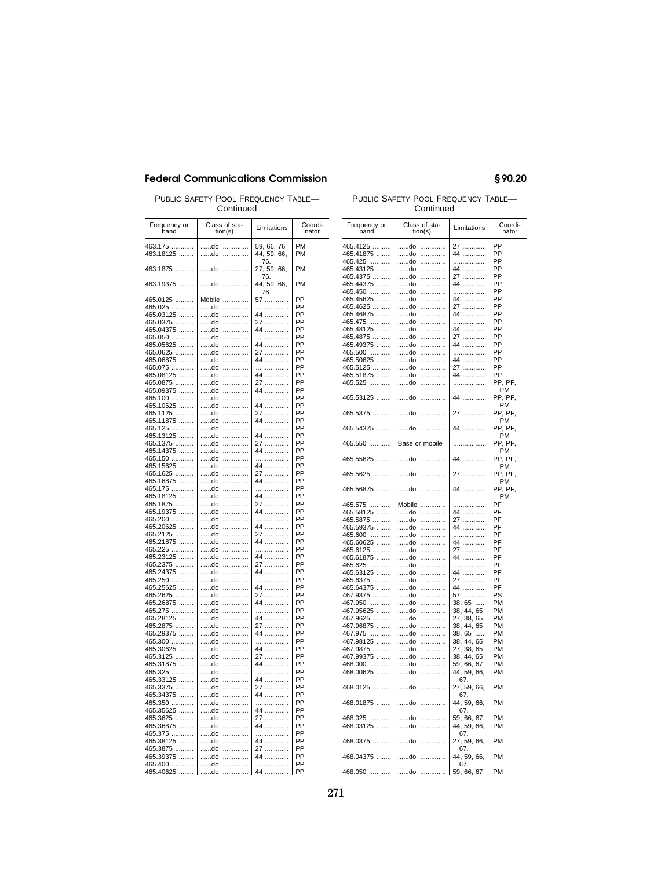Continued

| Frequency or<br>band  |          | Class of sta-<br>tion(s) | Limitations    | Coordi-<br>nator |
|-----------------------|----------|--------------------------|----------------|------------------|
| 463.175               | do       | .                        | 59, 66, 76     | PM               |
| 463.18125             | do       | .                        | 44, 59, 66,    | PM               |
|                       |          |                          | 76.            |                  |
| 463.1875              | do       | .                        | 27, 59, 66,    | PM               |
|                       |          |                          | 76.            |                  |
| 463.19375             | do       | .                        | 44, 59, 66,    | PM               |
|                       |          |                          | 76.            |                  |
| 465.0125              | Mobile   | .                        | 57             | PP               |
| 465.025               | do       | .                        | .              | PP               |
| 465.03125             | do       | .                        | 44             | PP<br>PP         |
| 465.0375              | do<br>do | .<br>.                   | 27<br>$44$     | PP               |
| 465.04375<br>465.050  | do       | .                        | .              | PP               |
| 465.05625             | do       | .                        | 44             | PP               |
| 465.0625              | do       | .                        | 27             | PP               |
| 465.06875             | do       | .                        | 27<br>44       | PP               |
| 465.075               | do       | .                        | .              | PP               |
| 465.08125             | do       | .                        | 44             | PP               |
| 465.0875              | do       | .                        | 27<br>44       | PP               |
| 465.09375             | do       | .                        |                | PP               |
| 465.100               | do       | .                        | .              | PP               |
| 465.10625             | do       | .                        | 44             | PP               |
| 465.1125              | do       | .                        | 27<br>44       | PP               |
| 465.11875             | do       | .                        |                | PP               |
| 465.125               | do       | .                        | .              | PP               |
| 465.13125             | do       | .                        | 44             | PP               |
| 465.1375              | do       | .                        | 27<br>         | PP<br>PP         |
| 465.14375<br>465.150  | do<br>do | .<br>.                   | 44<br>.        | PP               |
| 465.15625             | do       | .                        | 44             | PP               |
| 465.1625              | do       | .                        | 27<br>.        | PP               |
| 465.16875             | do       | .                        | 44             | PP               |
| 465.175               | do       | .                        | .              | PP               |
| 465.18125             | do       | .                        | 44             | PP               |
| 465.1875              | do       |                          | 27             | PP               |
| 465.19375             | do       | .                        | 44             | PP               |
| 465.200               | do       | .                        | .              | PP               |
| 465.20625             | do       |                          | 44             | PP               |
| 465.2125              | do       | .                        | 27             | PP               |
| 465.21875             | do<br>do | .<br>.                   | 44<br>.        | PP<br>PP         |
| 465.225<br>465.23125  | do       | .                        | 44             | PP               |
| 465.2375              | do       | .                        | 27             | PP               |
| 465.24375             | do       | .                        | 44             | PP               |
| 465.250               | do       | .                        | .              | PP               |
| 465.25625             | do       | .                        | 44             | PP               |
| 465.2625              | do       | .                        | 27             | PP               |
| 465.26875             | do       | .                        | 44             | PP               |
| 465.275               | do       | .                        | .              | PP               |
| 465.28125             | do       | .                        | 44             | PP               |
| 465.2875              | do       | .                        | 27             | PP               |
| 465.29375             | do       | .                        | 44             | PP               |
| 465.300               | do       | .                        | .              | PP               |
| 465.30625             | do       | .                        | 44             | PP               |
| 465.3125              | do       | .                        | 27<br>27<br>44 | PP               |
| 465.31875             | do<br>do | .<br>.                   | .              | PP<br>PP         |
| 465.325               | do       | .                        | 44             | PP               |
| 465.33125<br>465.3375 | do       | .                        | 27<br>         | PP               |
| 465.34375             | do       | .                        | 44             | PP               |
| 465.350               | do       | .                        | .              | PP               |
| 465.35625             | do       | .                        | 44             | PP               |
| 465.3625              | do       | .                        | 27             | PP               |
| 465.36875             | do       | .                        | 44             | PP               |
| 465.375               | do       | .                        | .              | PP               |
| 465.38125             | do       |                          | 44             | PP               |
| 465.3875              | do       | .                        | 27             | PP               |
| 465.39375             | do       | .                        | 44             | PP               |
| 465.400               | do       | .                        | .              | PP               |
| 465.40625             | do       | .                        | 44             | PP               |

# PUBLIC SAFETY POOL FREQUENCY TABLE- PUBLIC SAFETY POOL FREQUENCY TABLE-

| PUBLIC SAFETY POOL FREQUENCY TABLE-<br>Continued |                                     |             |                  |  |  |
|--------------------------------------------------|-------------------------------------|-------------|------------------|--|--|
| Frequency or<br>band                             | Class of sta-<br>tion(s)            | Limitations | Coordi-<br>nator |  |  |
| 465.4125                                         | do<br>                              | 27          | PP               |  |  |
| 465.41875                                        | do<br>.                             | 44          | PP               |  |  |
| 465.425                                          | do<br>.                             | .           | PP               |  |  |
| 465.43125                                        | do<br>.                             | 44          | PP               |  |  |
| 465.4375                                         | do<br>.                             | 27          | PP               |  |  |
| 465.44375                                        | do<br>                              | 44          | PP               |  |  |
| 465.450                                          | do<br>.                             | .           | PP               |  |  |
| 465.45625                                        | do<br>.                             | 44          | PP               |  |  |
| 465.4625                                         | do<br>.                             | 27          | PP               |  |  |
| 465.46875                                        | do<br>.                             | 44          | PP               |  |  |
| 465.475                                          | do<br>                              | .           | PP               |  |  |
|                                                  | do                                  | 44          | PP               |  |  |
| 465.48125                                        | .                                   |             |                  |  |  |
| 465.4875                                         | do<br>.                             | 27<br>44    | PP<br>PP         |  |  |
| 465.49375                                        | do<br>                              |             |                  |  |  |
| 465.500                                          | do<br>.                             | .           | PP               |  |  |
| 465.50625                                        | do<br>                              | 44          | PP               |  |  |
| 465.5125                                         | do<br>.                             | 27          | PP               |  |  |
| 465.51875                                        | do<br>.                             | 44          | PP               |  |  |
| 465.525                                          | do<br>.                             | .           | PP, PF,          |  |  |
|                                                  |                                     |             | PM               |  |  |
| 465.53125                                        | do<br>.                             | 44          | PP, PF,          |  |  |
|                                                  |                                     |             | PM               |  |  |
| 465.5375                                         | do                                  | 27          | PP. PF.          |  |  |
|                                                  |                                     |             | PM               |  |  |
| 465.54375                                        | do                                  | 44          | PP, PF,          |  |  |
|                                                  |                                     |             | PM               |  |  |
| 465.550                                          | Base or mobile                      | .           | PP, PF,          |  |  |
|                                                  |                                     |             | PM               |  |  |
| 465.55625                                        | do<br>.                             | 44          | PP, PF,          |  |  |
|                                                  |                                     |             | PM               |  |  |
| 465.5625                                         | do<br>                              | 27          | PP, PF,          |  |  |
|                                                  |                                     |             | PM               |  |  |
| 465.56875                                        | do                                  | 44          | PP, PF,          |  |  |
|                                                  |                                     |             | PM               |  |  |
| 465.575                                          | Mobile                              | .           | PF               |  |  |
| 465.58125                                        | do                                  | 44          | PF               |  |  |
| 465.5875                                         | do<br>.                             | 27          | PF               |  |  |
| 465.59375                                        | do<br>                              | 44          | PF               |  |  |
| 465.600                                          |                                     |             |                  |  |  |
|                                                  | do<br>.                             | .           | PF               |  |  |
| 465.60625                                        | do<br>                              | 44          | PF               |  |  |
| 465.6125                                         | do<br>.                             | 27          | PF               |  |  |
| 465.61875                                        | do<br>.                             | 44          | PF               |  |  |
| 465.625                                          | do<br>.                             | .           | PF               |  |  |
| 465.63125                                        | do<br>.                             | 44          | PF               |  |  |
| 465.6375                                         | do<br>                              | 27          | PF               |  |  |
| 465.64375                                        | do<br>.                             | 44          | PF               |  |  |
| 467.9375                                         | do<br>.                             | 57          | PS               |  |  |
| 467.950                                          | do<br>                              | 38, 65      | <b>PM</b>        |  |  |
| 467.95625                                        | do<br>.                             | 38, 44, 65  | <b>PM</b>        |  |  |
| 467.9625                                         | $d$ o<br>.                          | 27, 38, 65  | <b>PM</b>        |  |  |
| 467.96875                                        | do<br>.                             | 38, 44, 65  | <b>PM</b>        |  |  |
| 467.975                                          | do<br>                              | 38.65       | <b>PM</b>        |  |  |
| 467.98125                                        | do<br>                              | 38, 44, 65  | <b>PM</b>        |  |  |
| 467.9875                                         | do<br>                              | 27, 38, 65  | <b>PM</b>        |  |  |
| 467.99375                                        | do<br>$\ldots \ldots \ldots \ldots$ |             | <b>PM</b>        |  |  |
|                                                  |                                     | 38, 44, 65  |                  |  |  |
| 468.000                                          | do<br>.                             | 59, 66, 67  | <b>PM</b>        |  |  |
| 468.00625                                        | do<br>                              | 44, 59, 66, | <b>PM</b>        |  |  |
|                                                  |                                     | 67          |                  |  |  |
| 468.0125                                         | do                                  | 27, 59, 66, | PM               |  |  |
|                                                  |                                     | 67.         |                  |  |  |
| 468.01875                                        | do                                  | 44, 59, 66, | PM               |  |  |
|                                                  |                                     | 67.         |                  |  |  |
| 468.025                                          | do                                  | 59, 66, 67  | <b>PM</b>        |  |  |
| 468.03125                                        | do                                  | 44, 59, 66, | PM               |  |  |
|                                                  |                                     | 67.         |                  |  |  |
| 468.0375                                         | do                                  | 27, 59, 66, | <b>PM</b>        |  |  |
|                                                  |                                     | 67.         |                  |  |  |
| 468.04375                                        | do                                  | 44, 59, 66, | <b>PM</b>        |  |  |
|                                                  |                                     | 67.         |                  |  |  |
| 468.050    do                                    |                                     | 59, 66, 67  | <b>PM</b>        |  |  |

## §90.20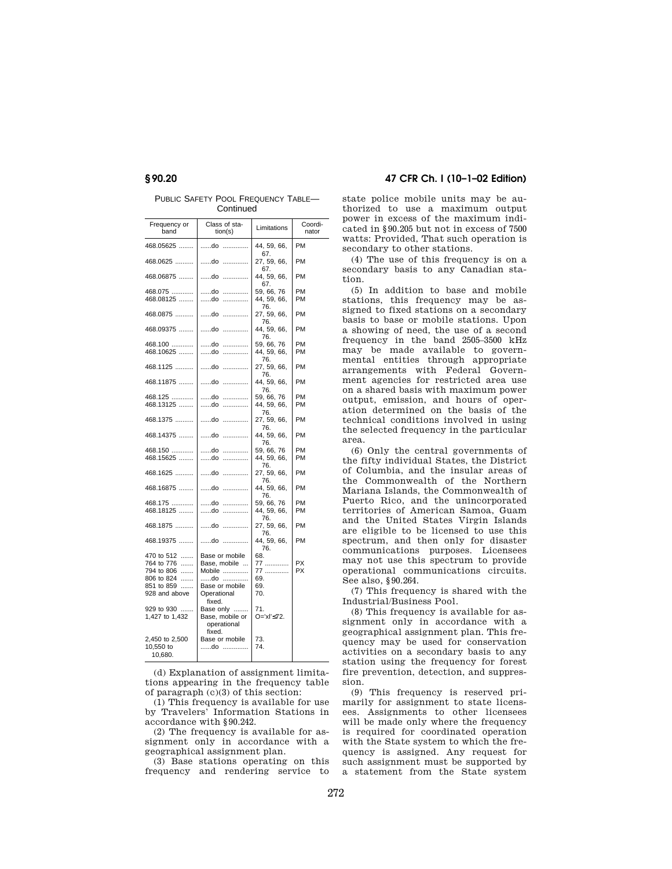PUBLIC SAFETY POOL FREQUENCY TABLE-**Continued** 

| Frequency or<br>band | Class of sta-<br>tion(s)                 | Limitations               | Coordi-<br>nator |
|----------------------|------------------------------------------|---------------------------|------------------|
| 468.05625            | do<br>.                                  | 44, 59, 66,<br>67.        | PM               |
| 468.0625             | do<br>.                                  | 27, 59, 66,<br>67.        | PM               |
| 468.06875            | do<br>.                                  | 44, 59, 66,<br>67.        | PM               |
| 468.075              | do<br>.                                  | 59, 66, 76                | PM               |
| 468.08125            | do<br>.                                  | 44, 59, 66,<br>76.        | PM               |
| 468.0875             | do<br>.                                  | 27, 59, 66,<br>76.        | PM               |
| 468.09375            | do<br>.                                  | 44, 59, 66,<br>76.        | PM               |
| 468.100              |                                          |                           | PM               |
|                      | do<br>.                                  | 59, 66, 76                |                  |
| 468.10625            | do                                       | 44, 59, 66,<br>76.        | <b>PM</b>        |
| 468.1125             | do                                       | 27, 59, 66,<br>76.        | PM               |
| 468.11875            | do                                       | 44, 59, 66,<br>76.        | PM               |
| 468.125              | do<br>.                                  | 59, 66, 76                | <b>PM</b>        |
| 468.13125            | do<br>.                                  | 44, 59, 66,<br>76.        | <b>PM</b>        |
| 468.1375             | do<br>.                                  | 27, 59, 66,<br>76.        | <b>PM</b>        |
| 468.14375            | do<br>.                                  | 44, 59, 66,<br>76.        | <b>PM</b>        |
| 468.150              | do<br>.                                  | 59, 66, 76                | <b>PM</b>        |
| 468.15625            | do<br>.                                  | 44, 59, 66,               | PM               |
| 468.1625             | do                                       | 76.<br>27, 59, 66,<br>76. | PM               |
| 468.16875            | do                                       | 44, 59, 66,<br>76.        | PM               |
| 468.175              | do<br>.                                  | 59, 66, 76                | PM               |
| 468.18125            | do<br>.                                  | 44, 59, 66,<br>76.        | PM               |
| 468.1875             | do                                       | 27, 59, 66,<br>76.        | PM               |
| 468.19375            | do                                       | 44, 59, 66,<br>76.        | PM               |
| 470 to 512           | Base or mobile                           | 68.                       |                  |
| 764 to 776           | Base, mobile                             |                           | <b>PX</b>        |
| 1.1.1.1.1            |                                          | 77                        |                  |
| 794 to 806           | Mobile                                   | 77                        | <b>PX</b>        |
| 806 to 824           | do                                       | 69.                       |                  |
| 851 to 859           | Base or mobile                           | 69.                       |                  |
| 928 and above        | Operational<br>fixed.                    | 70.                       |                  |
| 929 to 930           | Base only                                | 71.                       |                  |
| 1,427 to 1,432       | Base, mobile or<br>operational<br>fixed. | O='xl'≤72.                |                  |
| 2,450 to 2,500       | Base or mobile                           | 73.                       |                  |
| 10,550 to            | do                                       | 74.                       |                  |
| 10,680.              |                                          |                           |                  |

(d) Explanation of assignment limitations appearing in the frequency table of paragraph (c)(3) of this section:

(1) This frequency is available for use by Travelers' Information Stations in accordance with § 90.242.

(2) The frequency is available for assignment only in accordance with a geographical assignment plan.

(3) Base stations operating on this frequency and rendering service to

## **§ 90.20 47 CFR Ch. I (10–1–02 Edition)**

state police mobile units may be authorized to use a maximum output power in excess of the maximum indicated in § 90.205 but not in excess of 7500 watts: Provided, That such operation is secondary to other stations.

(4) The use of this frequency is on a secondary basis to any Canadian station.

(5) In addition to base and mobile stations, this frequency may be assigned to fixed stations on a secondary basis to base or mobile stations. Upon a showing of need, the use of a second frequency in the band 2505–3500 kHz may be made available to governmental entities through appropriate arrangements with Federal Government agencies for restricted area use on a shared basis with maximum power output, emission, and hours of operation determined on the basis of the technical conditions involved in using the selected frequency in the particular area.

(6) Only the central governments of the fifty individual States, the District of Columbia, and the insular areas of the Commonwealth of the Northern Mariana Islands, the Commonwealth of Puerto Rico, and the unincorporated territories of American Samoa, Guam and the United States Virgin Islands are eligible to be licensed to use this spectrum, and then only for disaster communications purposes. Licensees may not use this spectrum to provide operational communications circuits. See also, § 90.264.

(7) This frequency is shared with the Industrial/Business Pool.

(8) This frequency is available for assignment only in accordance with a geographical assignment plan. This frequency may be used for conservation activities on a secondary basis to any station using the frequency for forest fire prevention, detection, and suppression.

(9) This frequency is reserved primarily for assignment to state licensees. Assignments to other licensees will be made only where the frequency is required for coordinated operation with the State system to which the frequency is assigned. Any request for such assignment must be supported by a statement from the State system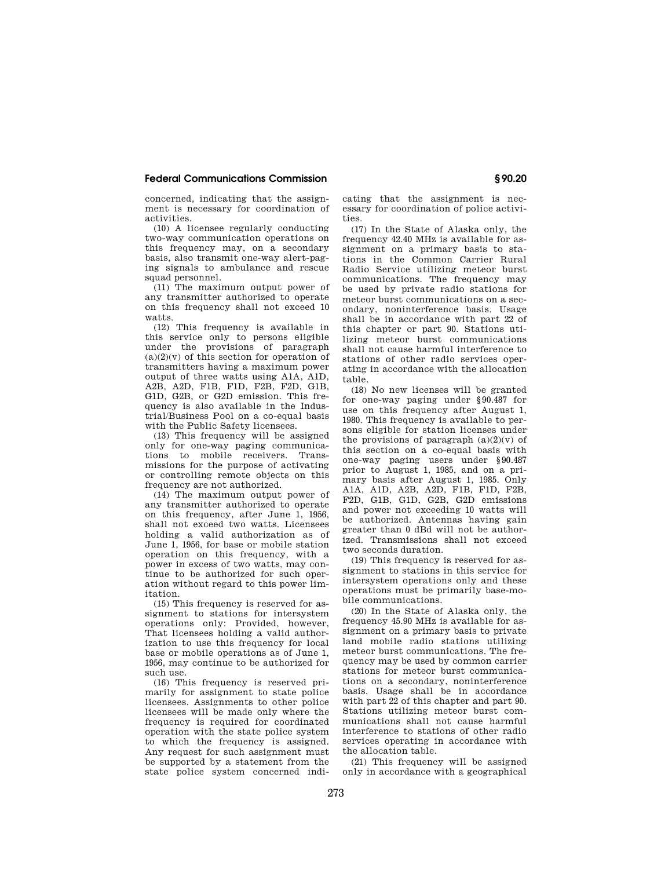concerned, indicating that the assignment is necessary for coordination of activities.

(10) A licensee regularly conducting two-way communication operations on this frequency may, on a secondary basis, also transmit one-way alert-paging signals to ambulance and rescue squad personnel.

(11) The maximum output power of any transmitter authorized to operate on this frequency shall not exceed 10 watts.

(12) This frequency is available in this service only to persons eligible under the provisions of paragraph  $(a)(2)(v)$  of this section for operation of transmitters having a maximum power output of three watts using A1A, A1D, A2B, A2D, F1B, F1D, F2B, F2D, G1B, G1D, G2B, or G2D emission. This frequency is also available in the Industrial/Business Pool on a co-equal basis with the Public Safety licensees.

(13) This frequency will be assigned only for one-way paging communications to mobile receivers. Transmissions for the purpose of activating or controlling remote objects on this frequency are not authorized.

(14) The maximum output power of any transmitter authorized to operate on this frequency, after June 1, 1956, shall not exceed two watts. Licensees holding a valid authorization as of June 1, 1956, for base or mobile station operation on this frequency, with a power in excess of two watts, may continue to be authorized for such operation without regard to this power limitation.

(15) This frequency is reserved for assignment to stations for intersystem operations only: Provided, however, That licensees holding a valid authorization to use this frequency for local base or mobile operations as of June 1, 1956, may continue to be authorized for such use.

(16) This frequency is reserved primarily for assignment to state police licensees. Assignments to other police licensees will be made only where the frequency is required for coordinated operation with the state police system to which the frequency is assigned. Any request for such assignment must be supported by a statement from the state police system concerned indicating that the assignment is necessary for coordination of police activities.

(17) In the State of Alaska only, the frequency 42.40 MHz is available for assignment on a primary basis to stations in the Common Carrier Rural Radio Service utilizing meteor burst communications. The frequency may be used by private radio stations for meteor burst communications on a secondary, noninterference basis. Usage shall be in accordance with part 22 of this chapter or part 90. Stations utilizing meteor burst communications shall not cause harmful interference to stations of other radio services operating in accordance with the allocation table.

(18) No new licenses will be granted for one-way paging under § 90.487 for use on this frequency after August 1, 1980. This frequency is available to persons eligible for station licenses under the provisions of paragraph  $(a)(2)(v)$  of this section on a co-equal basis with one-way paging users under § 90.487 prior to August 1, 1985, and on a primary basis after August 1, 1985. Only A1A, A1D, A2B, A2D, F1B, F1D, F2B, F2D, G1B, G1D, G2B, G2D emissions and power not exceeding 10 watts will be authorized. Antennas having gain greater than 0 dBd will not be authorized. Transmissions shall not exceed two seconds duration.

(19) This frequency is reserved for assignment to stations in this service for intersystem operations only and these operations must be primarily base-mobile communications.

(20) In the State of Alaska only, the frequency 45.90 MHz is available for assignment on a primary basis to private land mobile radio stations utilizing meteor burst communications. The frequency may be used by common carrier stations for meteor burst communications on a secondary, noninterference basis. Usage shall be in accordance with part 22 of this chapter and part 90. Stations utilizing meteor burst communications shall not cause harmful interference to stations of other radio services operating in accordance with the allocation table.

(21) This frequency will be assigned only in accordance with a geographical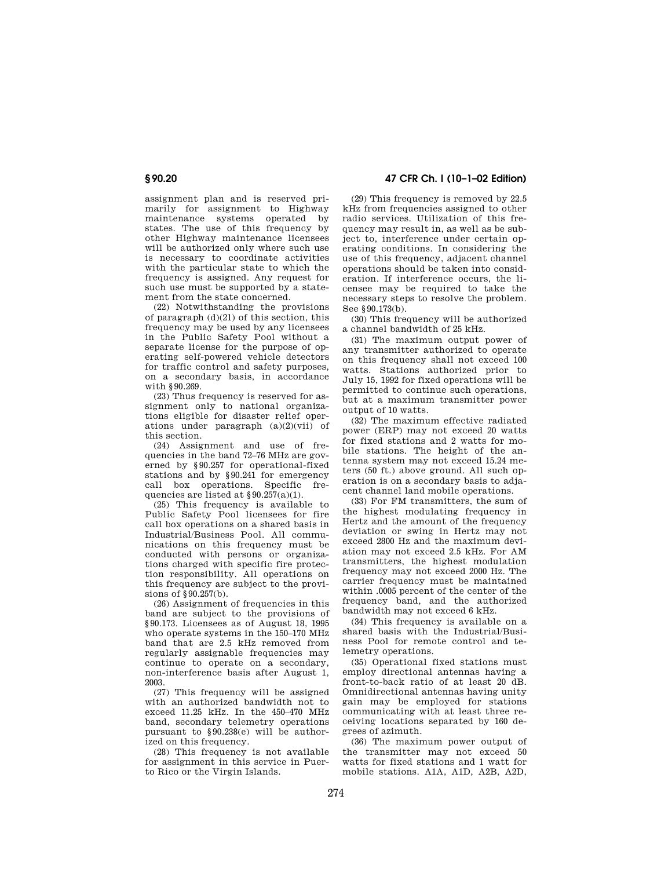assignment plan and is reserved primarily for assignment to Highway maintenance systems operated by states. The use of this frequency by other Highway maintenance licensees will be authorized only where such use is necessary to coordinate activities with the particular state to which the frequency is assigned. Any request for such use must be supported by a statement from the state concerned.

(22) Notwithstanding the provisions of paragraph (d)(21) of this section, this frequency may be used by any licensees in the Public Safety Pool without a separate license for the purpose of operating self-powered vehicle detectors for traffic control and safety purposes, on a secondary basis, in accordance with § 90.269.

(23) Thus frequency is reserved for assignment only to national organizations eligible for disaster relief operations under paragraph  $(a)(2)(vii)$  of this section.

(24) Assignment and use of frequencies in the band 72–76 MHz are governed by § 90.257 for operational-fixed stations and by § 90.241 for emergency call box operations. Specific frequencies are listed at § 90.257(a)(1).

(25) This frequency is available to Public Safety Pool licensees for fire call box operations on a shared basis in Industrial/Business Pool. All communications on this frequency must be conducted with persons or organizations charged with specific fire protection responsibility. All operations on this frequency are subject to the provisions of § 90.257(b).

(26) Assignment of frequencies in this band are subject to the provisions of § 90.173. Licensees as of August 18, 1995 who operate systems in the 150–170 MHz band that are 2.5 kHz removed from regularly assignable frequencies may continue to operate on a secondary, non-interference basis after August 1, 2003.

(27) This frequency will be assigned with an authorized bandwidth not to exceed 11.25 kHz. In the 450–470 MHz band, secondary telemetry operations pursuant to § 90.238(e) will be authorized on this frequency.

(28) This frequency is not available for assignment in this service in Puerto Rico or the Virgin Islands.

**§ 90.20 47 CFR Ch. I (10–1–02 Edition)**

(29) This frequency is removed by 22.5 kHz from frequencies assigned to other radio services. Utilization of this frequency may result in, as well as be subject to, interference under certain operating conditions. In considering the use of this frequency, adjacent channel operations should be taken into consideration. If interference occurs, the licensee may be required to take the necessary steps to resolve the problem. See § 90.173(b).

(30) This frequency will be authorized a channel bandwidth of 25 kHz.

(31) The maximum output power of any transmitter authorized to operate on this frequency shall not exceed 100 watts. Stations authorized prior to July 15, 1992 for fixed operations will be permitted to continue such operations, but at a maximum transmitter power output of 10 watts.

(32) The maximum effective radiated power (ERP) may not exceed 20 watts for fixed stations and 2 watts for mobile stations. The height of the antenna system may not exceed 15.24 meters (50 ft.) above ground. All such operation is on a secondary basis to adjacent channel land mobile operations.

(33) For FM transmitters, the sum of the highest modulating frequency in Hertz and the amount of the frequency deviation or swing in Hertz may not exceed 2800 Hz and the maximum deviation may not exceed 2.5 kHz. For AM transmitters, the highest modulation frequency may not exceed 2000 Hz. The carrier frequency must be maintained within .0005 percent of the center of the frequency band, and the authorized bandwidth may not exceed 6 kHz.

(34) This frequency is available on a shared basis with the Industrial/Business Pool for remote control and telemetry operations.

(35) Operational fixed stations must employ directional antennas having a front-to-back ratio of at least 20 dB. Omnidirectional antennas having unity gain may be employed for stations communicating with at least three receiving locations separated by 160 degrees of azimuth.

(36) The maximum power output of the transmitter may not exceed 50 watts for fixed stations and 1 watt for mobile stations. A1A, A1D, A2B, A2D,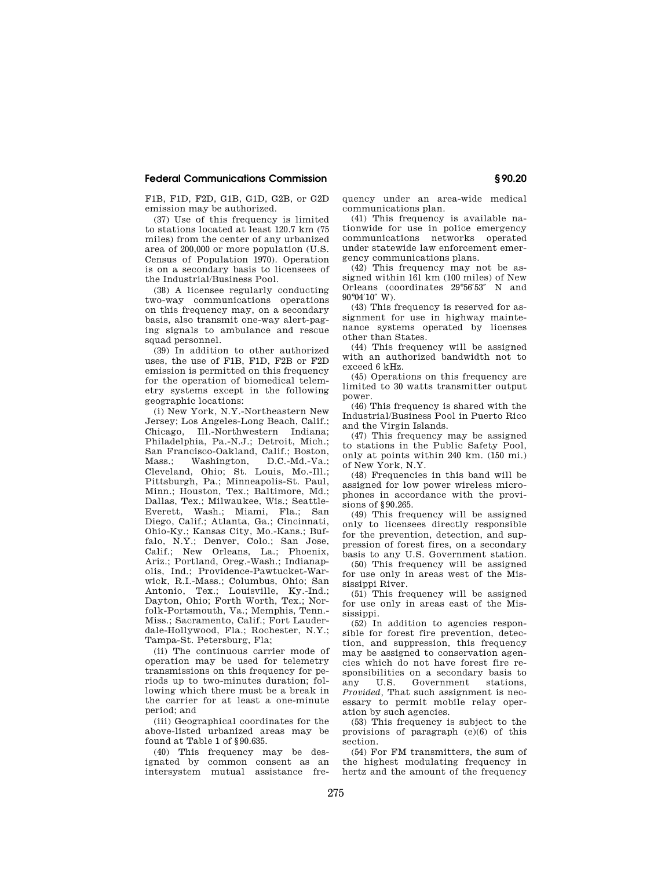F1B, F1D, F2D, G1B, G1D, G2B, or G2D emission may be authorized.

(37) Use of this frequency is limited to stations located at least 120.7 km (75 miles) from the center of any urbanized area of 200,000 or more population (U.S. Census of Population 1970). Operation is on a secondary basis to licensees of the Industrial/Business Pool.

(38) A licensee regularly conducting two-way communications operations on this frequency may, on a secondary basis, also transmit one-way alert-paging signals to ambulance and rescue squad personnel.

(39) In addition to other authorized uses, the use of F1B, F1D, F2B or F2D emission is permitted on this frequency for the operation of biomedical telemetry systems except in the following geographic locations:

(i) New York, N.Y.-Northeastern New Jersey; Los Angeles-Long Beach, Calif.; Chicago, Ill.-Northwestern Indiana; Philadelphia, Pa.-N.J.; Detroit, Mich.; San Francisco-Oakland, Calif.; Boston, Mass.; Washington, D.C.-Md.-Va.; Cleveland, Ohio; St. Louis, Mo.-Ill.; Pittsburgh, Pa.; Minneapolis-St. Paul, Minn.; Houston, Tex.; Baltimore, Md.; Dallas, Tex.; Milwaukee, Wis.; Seattle-Everett, Wash.; Miami, Fla.; San Diego, Calif.; Atlanta, Ga.; Cincinnati, Ohio-Ky.; Kansas City, Mo.-Kans.; Buffalo, N.Y.; Denver, Colo.; San Jose, Calif.; New Orleans, La.; Phoenix, Ariz.; Portland, Oreg.-Wash.; Indianapolis, Ind.; Providence-Pawtucket-Warwick, R.I.-Mass.; Columbus, Ohio; San Antonio, Tex.; Louisville, Ky.-Ind.; Dayton, Ohio; Forth Worth, Tex.; Norfolk-Portsmouth, Va.; Memphis, Tenn.- Miss.; Sacramento, Calif.; Fort Lauderdale-Hollywood, Fla.; Rochester, N.Y.; Tampa-St. Petersburg, Fla;

(ii) The continuous carrier mode of operation may be used for telemetry transmissions on this frequency for periods up to two-minutes duration; following which there must be a break in the carrier for at least a one-minute period; and

(iii) Geographical coordinates for the above-listed urbanized areas may be found at Table 1 of § 90.635.

(40) This frequency may be designated by common consent as an intersystem mutual assistance frequency under an area-wide medical communications plan.

(41) This frequency is available nationwide for use in police emergency communications networks operated under statewide law enforcement emergency communications plans.

(42) This frequency may not be assigned within 161 km (100 miles) of New Orleans (coordinates 29°56′53″ N and 90°04′10″ W).

(43) This frequency is reserved for assignment for use in highway maintenance systems operated by licenses other than States.

(44) This frequency will be assigned with an authorized bandwidth not to exceed 6 kHz.

(45) Operations on this frequency are limited to 30 watts transmitter output power.

(46) This frequency is shared with the Industrial/Business Pool in Puerto Rico and the Virgin Islands.

(47) This frequency may be assigned to stations in the Public Safety Pool, only at points within 240 km. (150 mi.) of New York, N.Y.

(48) Frequencies in this band will be assigned for low power wireless microphones in accordance with the provisions of \$90.265.

(49) This frequency will be assigned only to licensees directly responsible for the prevention, detection, and suppression of forest fires, on a secondary basis to any U.S. Government station.

(50) This frequency will be assigned for use only in areas west of the Mississippi River.

(51) This frequency will be assigned for use only in areas east of the Mississippi.

(52) In addition to agencies responsible for forest fire prevention, detection, and suppression, this frequency may be assigned to conservation agencies which do not have forest fire responsibilities on a secondary basis to any U.S. Government stations, *Provided,* That such assignment is necessary to permit mobile relay operation by such agencies.

(53) This frequency is subject to the provisions of paragraph (e)(6) of this section.

(54) For FM transmitters, the sum of the highest modulating frequency in hertz and the amount of the frequency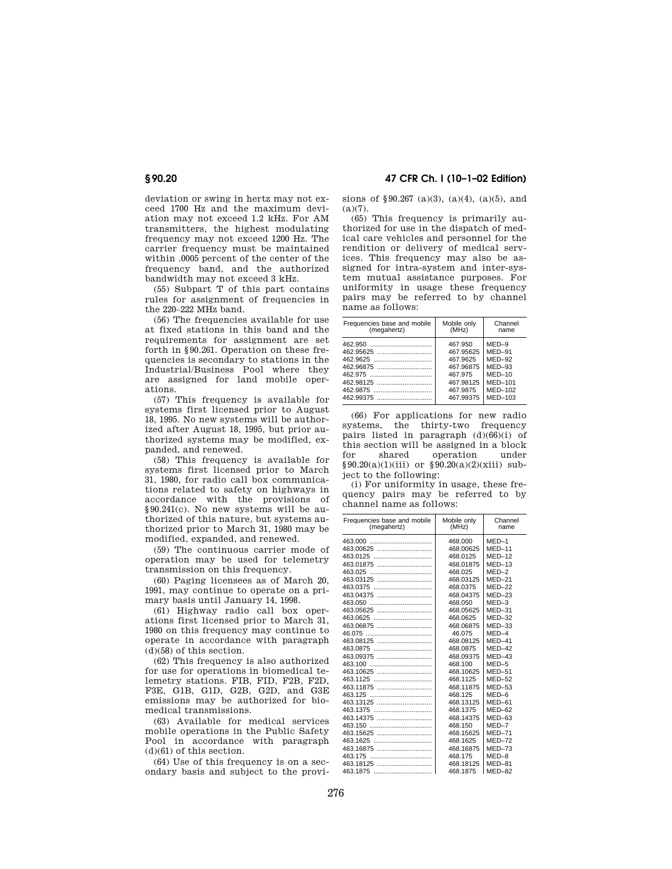deviation or swing in hertz may not exceed 1700 Hz and the maximum deviation may not exceed 1.2 kHz. For AM transmitters, the highest modulating frequency may not exceed 1200 Hz. The carrier frequency must be maintained within .0005 percent of the center of the frequency band, and the authorized bandwidth may not exceed 3 kHz.

(55) Subpart T of this part contains rules for assignment of frequencies in the 220–222 MHz band.

(56) The frequencies available for use at fixed stations in this band and the requirements for assignment are set forth in § 90.261. Operation on these frequencies is secondary to stations in the Industrial/Business Pool where they are assigned for land mobile operations.

(57) This frequency is available for systems first licensed prior to August 18, 1995. No new systems will be authorized after August 18, 1995, but prior authorized systems may be modified, expanded, and renewed.

(58) This frequency is available for systems first licensed prior to March 31, 1980, for radio call box communications related to safety on highways in accordance with the provisions of § 90.241(c). No new systems will be authorized of this nature, but systems authorized prior to March 31, 1980 may be modified, expanded, and renewed.

(59) The continuous carrier mode of operation may be used for telemetry transmission on this frequency.

(60) Paging licensees as of March 20, 1991, may continue to operate on a primary basis until January 14, 1998.

(61) Highway radio call box operations first licensed prior to March 31, 1980 on this frequency may continue to operate in accordance with paragraph (d)(58) of this section.

(62) This frequency is also authorized for use for operations in biomedical telemetry stations. FIB, FID, F2B, F2D, F3E, G1B, G1D, G2B, G2D, and G3E emissions may be authorized for biomedical transmissions.

(63) Available for medical services mobile operations in the Public Safety Pool in accordance with paragraph (d)(61) of this section.

(64) Use of this frequency is on a secondary basis and subject to the provi-

### **§ 90.20 47 CFR Ch. I (10–1–02 Edition)**

sions of § 90.267 (a)(3), (a)(4), (a)(5), and  $(a)(7)$ .

(65) This frequency is primarily authorized for use in the dispatch of medical care vehicles and personnel for the rendition or delivery of medical services. This frequency may also be assigned for intra-system and inter-system mutual assistance purposes. For uniformity in usage these frequency pairs may be referred to by channel name as follows:

| Frequencies base and mobile | Mobile only | Channel  |
|-----------------------------|-------------|----------|
| (megahertz)                 | (MHz)       | name     |
|                             | 467.950     | $MED-9$  |
| 462.95625                   | 467.95625   | $MED-91$ |
| 462.9625                    | 467.9625    | $MED-92$ |
| 462.96875                   | 467.96875   | $MED-93$ |
|                             | 467.975     | $MED-10$ |
| 462.98125                   | 467.98125   | MED-101  |
| 462.9875                    | 467.9875    | MED-102  |
|                             | 467.99375   | MED-103  |

(66) For applications for new radio systems, the thirty-two frequency pairs listed in paragraph (d)(66)(i) of this section will be assigned in a block for shared operation under  $§ 90.20(a)(1)(iii)$  or  $§ 90.20(a)(2)(xiii)$  subject to the following:

(i) For uniformity in usage, these frequency pairs may be referred to by channel name as follows:

| Frequencies base and mobile<br>(megahertz)                                                                                                                                                   | Mobile only<br>(MHz)                                                                                                                                                                                                                                                                                                      | Channel<br>name                                                                                                                                                                                                                                                                                           |
|----------------------------------------------------------------------------------------------------------------------------------------------------------------------------------------------|---------------------------------------------------------------------------------------------------------------------------------------------------------------------------------------------------------------------------------------------------------------------------------------------------------------------------|-----------------------------------------------------------------------------------------------------------------------------------------------------------------------------------------------------------------------------------------------------------------------------------------------------------|
| 463.00625<br>463.01875<br>463.03125<br>463.0375<br>463.04375<br>463.05625<br>463.0625<br>463.06875<br>463.08125<br>463.0875<br>463.09375<br>463.10625<br>463.11875<br>463.13125<br>463.14375 | 468.000<br>468.00625<br>468.0125<br>468.01875<br>468.025<br>468.03125<br>468.0375<br>468.04375<br>468.050<br>468.05625<br>468.0625<br>468.06875<br>46.075<br>468.08125<br>468.0875<br>468.09375<br>468.100<br>468.10625<br>468.1125<br>468.11875<br>468.125<br>468.13125<br>468.1375<br>468.14375<br>468.150<br>468.15625 | $MED-1$<br>$MED-11$<br>$MED-12$<br>$MED-13$<br>$MED-2$<br>$MED-21$<br>$MED-22$<br>$MED-23$<br>$MED-3$<br>$MED-31$<br>$MED-32$<br>$MED-33$<br>$MED-4$<br>$MED-41$<br>$MED-42$<br>$MED-43$<br>$MED-5$<br>$MED-51$<br>$MED-52$<br>$MED-53$<br>$MED-6$<br>MED-61<br>$MED-62$<br>$MED-63$<br>MED-7<br>$MED-71$ |
| 463.1625                                                                                                                                                                                     | 468.1625                                                                                                                                                                                                                                                                                                                  | $MED-72$                                                                                                                                                                                                                                                                                                  |
| 463.16875                                                                                                                                                                                    | 468.16875                                                                                                                                                                                                                                                                                                                 | $MED-73$                                                                                                                                                                                                                                                                                                  |
|                                                                                                                                                                                              | 468.175                                                                                                                                                                                                                                                                                                                   | $MED-8$                                                                                                                                                                                                                                                                                                   |
| 463.18125                                                                                                                                                                                    | 468.18125                                                                                                                                                                                                                                                                                                                 | MED-81                                                                                                                                                                                                                                                                                                    |
|                                                                                                                                                                                              |                                                                                                                                                                                                                                                                                                                           |                                                                                                                                                                                                                                                                                                           |
| 463.1875                                                                                                                                                                                     | 468.1875                                                                                                                                                                                                                                                                                                                  | $MED-82$                                                                                                                                                                                                                                                                                                  |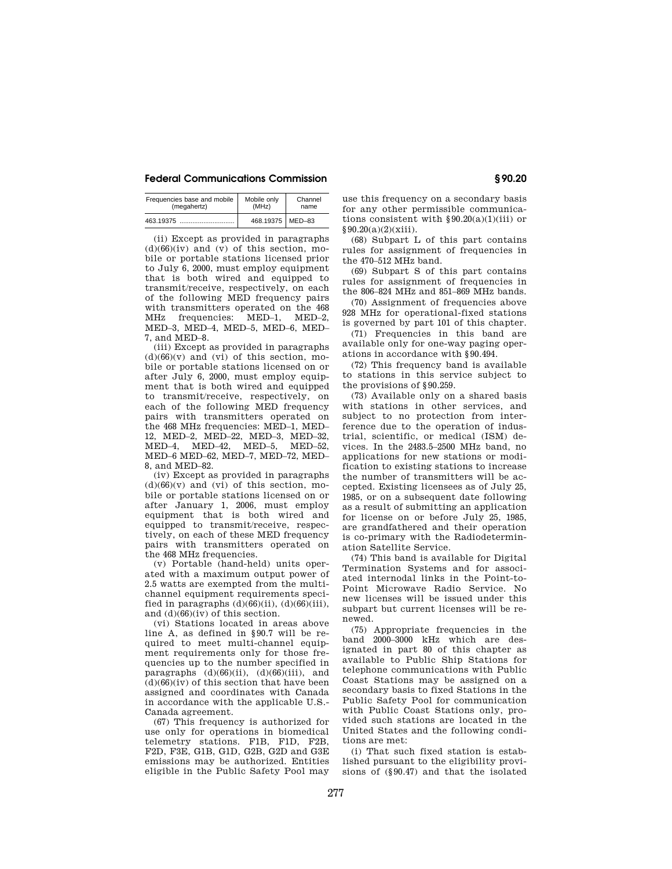| Frequencies base and mobile | Mobile only        | Channel |  |
|-----------------------------|--------------------|---------|--|
| (megahertz)                 | (MHz)              | name    |  |
| 463.19375                   | 468.19375   MED-83 |         |  |

(ii) Except as provided in paragraphs  $(d)(66)(iv)$  and  $(v)$  of this section, mobile or portable stations licensed prior to July 6, 2000, must employ equipment that is both wired and equipped to transmit/receive, respectively, on each of the following MED frequency pairs with transmitters operated on the 468 MHz frequencies: MED–1, MED–2, MED–3, MED–4, MED–5, MED–6, MED– 7, and MED–8.

(iii) Except as provided in paragraphs  $(d)(66)(v)$  and  $(vi)$  of this section, mobile or portable stations licensed on or after July 6, 2000, must employ equipment that is both wired and equipped to transmit/receive, respectively, on each of the following MED frequency pairs with transmitters operated on the 468 MHz frequencies: MED–1, MED– 12, MED–2, MED–22, MED–3, MED–32, MED–4, MED–42, MED–5, MED–52, MED–6 MED–62, MED–7, MED–72, MED– 8, and MED–82.

(iv) Except as provided in paragraphs  $(d)(66)(v)$  and  $(vi)$  of this section, mobile or portable stations licensed on or after January 1, 2006, must employ equipment that is both wired and equipped to transmit/receive, respectively, on each of these MED frequency pairs with transmitters operated on the 468 MHz frequencies.

(v) Portable (hand-held) units operated with a maximum output power of 2.5 watts are exempted from the multichannel equipment requirements specified in paragraphs  $(d)(66)(ii)$ ,  $(d)(66)(iii)$ , and (d)(66)(iv) of this section.

(vi) Stations located in areas above line A, as defined in § 90.7 will be required to meet multi-channel equipment requirements only for those frequencies up to the number specified in paragraphs  $(d)(66)(ii)$ ,  $(d)(66)(iii)$ , and  $(d)(66)(iv)$  of this section that have been assigned and coordinates with Canada in accordance with the applicable U.S.- Canada agreement.

(67) This frequency is authorized for use only for operations in biomedical telemetry stations. F1B, F1D, F2B, F2D, F3E, G1B, G1D, G2B, G2D and G3E emissions may be authorized. Entities eligible in the Public Safety Pool may

use this frequency on a secondary basis for any other permissible communications consistent with  $\S 90.20(a)(1)(iii)$  or  $§ 90.20(a)(2)(xiii).$ 

(68) Subpart L of this part contains rules for assignment of frequencies in the 470–512 MHz band.

(69) Subpart S of this part contains rules for assignment of frequencies in the 806–824 MHz and 851–869 MHz bands.

(70) Assignment of frequencies above 928 MHz for operational-fixed stations is governed by part 101 of this chapter.

(71) Frequencies in this band are available only for one-way paging operations in accordance with § 90.494.

(72) This frequency band is available to stations in this service subject to the provisions of § 90.259.

(73) Available only on a shared basis with stations in other services, and subject to no protection from interference due to the operation of industrial, scientific, or medical (ISM) devices. In the 2483.5–2500 MHz band, no applications for new stations or modification to existing stations to increase the number of transmitters will be accepted. Existing licensees as of July 25, 1985, or on a subsequent date following as a result of submitting an application for license on or before July 25, 1985, are grandfathered and their operation is co-primary with the Radiodetermination Satellite Service.

(74) This band is available for Digital Termination Systems and for associated internodal links in the Point-to-Point Microwave Radio Service. No new licenses will be issued under this subpart but current licenses will be renewed.

(75) Appropriate frequencies in the band 2000–3000 kHz which are designated in part 80 of this chapter as available to Public Ship Stations for telephone communications with Public Coast Stations may be assigned on a secondary basis to fixed Stations in the Public Safety Pool for communication with Public Coast Stations only, provided such stations are located in the United States and the following conditions are met:

(i) That such fixed station is established pursuant to the eligibility provisions of (§ 90.47) and that the isolated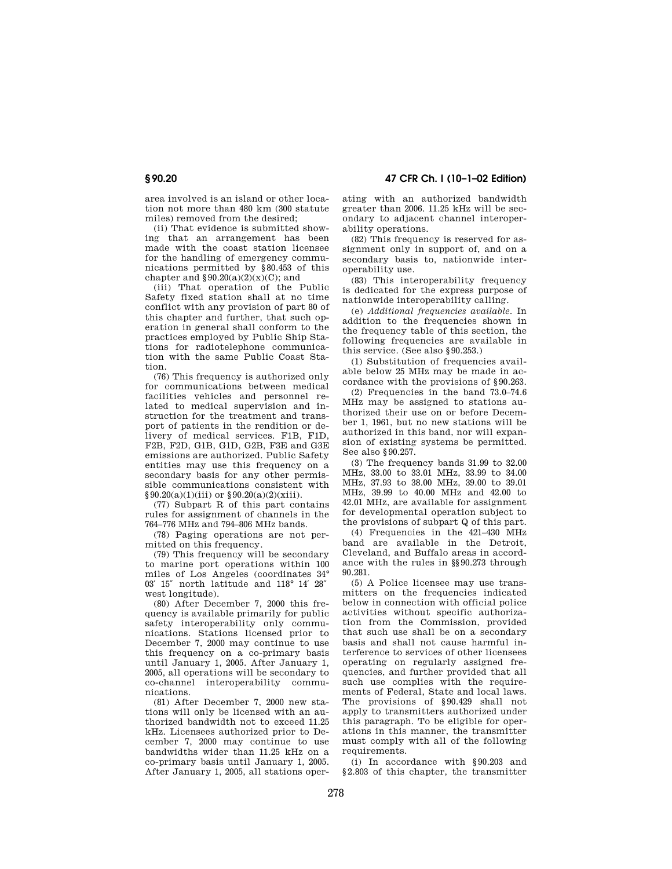area involved is an island or other location not more than 480 km (300 statute miles) removed from the desired;

(ii) That evidence is submitted showing that an arrangement has been made with the coast station licensee for the handling of emergency communications permitted by § 80.453 of this chapter and  $$90.20(a)(2)(x)(C)$ ; and

(iii) That operation of the Public Safety fixed station shall at no time conflict with any provision of part 80 of this chapter and further, that such operation in general shall conform to the practices employed by Public Ship Stations for radiotelephone communication with the same Public Coast Station.

(76) This frequency is authorized only for communications between medical facilities vehicles and personnel related to medical supervision and instruction for the treatment and transport of patients in the rendition or delivery of medical services. F1B, F1D, F2B, F2D, G1B, G1D, G2B, F3E and G3E emissions are authorized. Public Safety entities may use this frequency on a secondary basis for any other permissible communications consistent with  $§ 90.20(a)(1)(iii)$  or  $§ 90.20(a)(2)(xiii)$ .

(77) Subpart R of this part contains rules for assignment of channels in the 764–776 MHz and 794–806 MHz bands.

(78) Paging operations are not permitted on this frequency.

(79) This frequency will be secondary to marine port operations within 100 miles of Los Angeles (coordinates 34° 03′ 15″ north latitude and 118° 14′ 28″ west longitude).

(80) After December 7, 2000 this frequency is available primarily for public safety interoperability only communications. Stations licensed prior to December 7, 2000 may continue to use this frequency on a co-primary basis until January 1, 2005. After January 1, 2005, all operations will be secondary to co-channel interoperability communications.

(81) After December 7, 2000 new stations will only be licensed with an authorized bandwidth not to exceed 11.25 kHz. Licensees authorized prior to December 7, 2000 may continue to use bandwidths wider than 11.25 kHz on a co-primary basis until January 1, 2005. After January 1, 2005, all stations oper-

**§ 90.20 47 CFR Ch. I (10–1–02 Edition)**

ating with an authorized bandwidth greater than 2006. 11.25 kHz will be secondary to adjacent channel interoperability operations.

(82) This frequency is reserved for assignment only in support of, and on a secondary basis to, nationwide interoperability use.

(83) This interoperability frequency is dedicated for the express purpose of nationwide interoperability calling.

(e) *Additional frequencies available.* In addition to the frequencies shown in the frequency table of this section, the following frequencies are available in this service. (See also § 90.253.)

(1) Substitution of frequencies available below 25 MHz may be made in accordance with the provisions of § 90.263.

(2) Frequencies in the band 73.0–74.6 MHz may be assigned to stations authorized their use on or before December 1, 1961, but no new stations will be authorized in this band, nor will expansion of existing systems be permitted. See also § 90.257.

(3) The frequency bands 31.99 to 32.00 MHz, 33.00 to 33.01 MHz, 33.99 to 34.00 MHz, 37.93 to 38.00 MHz, 39.00 to 39.01 MHz, 39.99 to 40.00 MHz and 42.00 to 42.01 MHz, are available for assignment for developmental operation subject to the provisions of subpart Q of this part.

(4) Frequencies in the 421–430 MHz band are available in the Detroit, Cleveland, and Buffalo areas in accordance with the rules in §§ 90.273 through 90.281.

(5) A Police licensee may use transmitters on the frequencies indicated below in connection with official police activities without specific authorization from the Commission, provided that such use shall be on a secondary basis and shall not cause harmful interference to services of other licensees operating on regularly assigned frequencies, and further provided that all such use complies with the requirements of Federal, State and local laws. The provisions of § 90.429 shall not apply to transmitters authorized under this paragraph. To be eligible for operations in this manner, the transmitter must comply with all of the following requirements.

(i) In accordance with § 90.203 and §2.803 of this chapter, the transmitter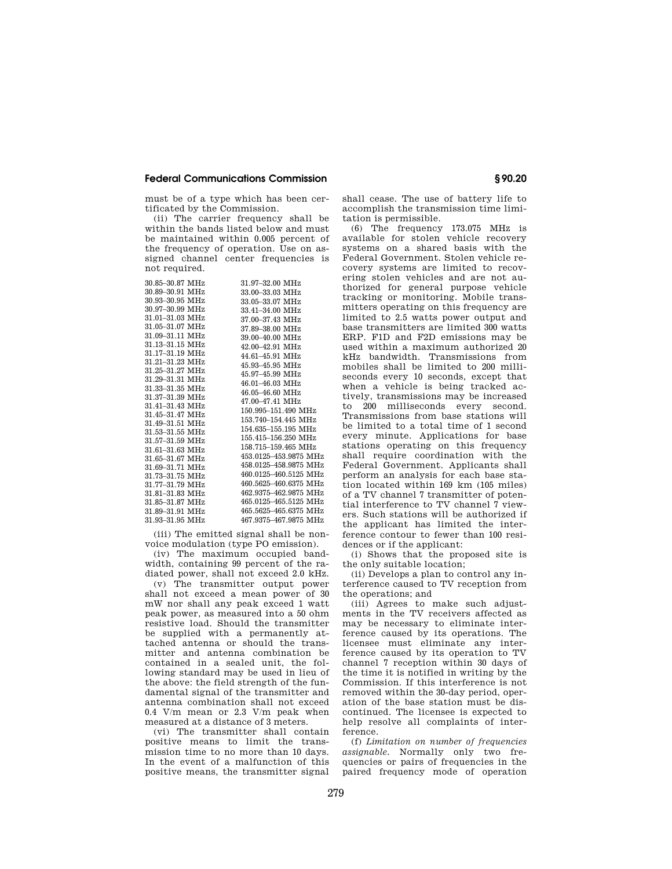must be of a type which has been certificated by the Commission.

(ii) The carrier frequency shall be within the bands listed below and must be maintained within 0.005 percent of the frequency of operation. Use on assigned channel center frequencies is not required.

| 30.85-30.87 MHz | 31.97–32.00 MHz       |
|-----------------|-----------------------|
| 30.89–30.91 MHz | 33.00-33.03 MHz       |
| 30.93-30.95 MHz | 33.05-33.07 MHz       |
| 30.97-30.99 MHz | 33.41-34.00 MHz       |
| 31.01-31.03 MHz | 37.00-37.43 MHz       |
| 31.05-31.07 MHz | 37.89-38.00 MHz       |
| 31.09-31.11 MHz | 39.00-40.00 MHz       |
| 31.13-31.15 MHz | 42.00-42.91 MHz       |
| 31.17–31.19 MHz | 44.61-45.91 MHz       |
| 31.21-31.23 MHz | 45.93-45.95 MHz       |
| 31 25-31 27 MHz | 45.97-45.99 MHz       |
| 31.29-31.31 MHz | 46.01-46.03 MHz       |
| 31.33-31.35 MHz | 46.05-46.60 MHz       |
| 31.37-31.39 MHz | 47.00-47.41 MHz       |
| 31.41-31.43 MHz | 150.995-151.490 MHz   |
| 31.45-31.47 MHz | 153.740-154.445 MHz   |
| 31.49-31.51 MHz | 154.635-155.195 MHz   |
| 31.53–31.55 MHz | 155.415-156.250 MHz   |
| 31.57-31.59 MHz | 158.715-159.465 MHz   |
| 31.61-31.63 MHz | 453.0125-453.9875 MHz |
| 31.65–31.67 MHz | 458 0125-458 9875 MHz |
| 31.69-31.71 MHz | 460.0125-460.5125 MHz |
| 31.73-31.75 MHz | 460.5625-460.6375 MHz |
| 31.77-31.79 MHz |                       |
| 31.81-31.83 MHz | 462.9375-462.9875 MHz |
| 31.85-31.87 MHz | 465.0125-465.5125 MHz |
| 31.89-31.91 MHz | 465.5625-465.6375 MHz |
| 31.93-31.95 MHz | 467.9375-467.9875 MHz |

(iii) The emitted signal shall be nonvoice modulation (type PO emission).

(iv) The maximum occupied bandwidth, containing 99 percent of the radiated power, shall not exceed 2.0 kHz.

(v) The transmitter output power shall not exceed a mean power of 30 mW nor shall any peak exceed 1 watt peak power, as measured into a 50 ohm resistive load. Should the transmitter be supplied with a permanently attached antenna or should the transmitter and antenna combination be contained in a sealed unit, the following standard may be used in lieu of the above: the field strength of the fundamental signal of the transmitter and antenna combination shall not exceed 0.4 V/m mean or 2.3 V/m peak when measured at a distance of 3 meters.

(vi) The transmitter shall contain positive means to limit the transmission time to no more than 10 days. In the event of a malfunction of this positive means, the transmitter signal shall cease. The use of battery life to accomplish the transmission time limitation is permissible.

(6) The frequency 173.075 MHz is available for stolen vehicle recovery systems on a shared basis with the Federal Government. Stolen vehicle recovery systems are limited to recovering stolen vehicles and are not authorized for general purpose vehicle tracking or monitoring. Mobile transmitters operating on this frequency are limited to 2.5 watts power output and base transmitters are limited 300 watts ERP. F1D and F2D emissions may be used within a maximum authorized 20 kHz bandwidth. Transmissions from mobiles shall be limited to 200 milliseconds every 10 seconds, except that when a vehicle is being tracked actively, transmissions may be increased to 200 milliseconds every second. Transmissions from base stations will be limited to a total time of 1 second every minute. Applications for base stations operating on this frequency shall require coordination with the Federal Government. Applicants shall perform an analysis for each base station located within 169 km (105 miles) of a TV channel 7 transmitter of potential interference to TV channel 7 viewers. Such stations will be authorized if the applicant has limited the interference contour to fewer than 100 residences or if the applicant:

(i) Shows that the proposed site is the only suitable location;

(ii) Develops a plan to control any interference caused to TV reception from the operations; and

(iii) Agrees to make such adjustments in the TV receivers affected as may be necessary to eliminate interference caused by its operations. The licensee must eliminate any interference caused by its operation to TV channel 7 reception within 30 days of the time it is notified in writing by the Commission. If this interference is not removed within the 30-day period, operation of the base station must be discontinued. The licensee is expected to help resolve all complaints of interference.

(f) *Limitation on number of frequencies assignable.* Normally only two frequencies or pairs of frequencies in the paired frequency mode of operation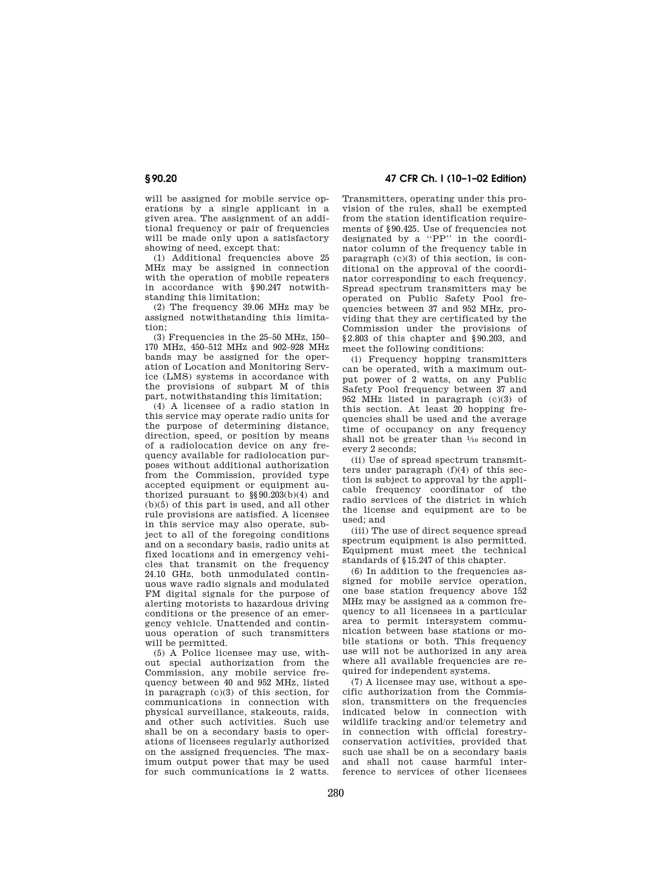will be assigned for mobile service operations by a single applicant in a given area. The assignment of an additional frequency or pair of frequencies will be made only upon a satisfactory showing of need, except that:

(1) Additional frequencies above 25 MHz may be assigned in connection with the operation of mobile repeaters in accordance with § 90.247 notwithstanding this limitation;

(2) The frequency 39.06 MHz may be assigned notwithstanding this limitation;

 $(3)$  Frequencies in the 25–50 MHz, 150– 170 MHz, 450–512 MHz and 902–928 MHz bands may be assigned for the operation of Location and Monitoring Service (LMS) systems in accordance with the provisions of subpart M of this part, notwithstanding this limitation;

(4) A licensee of a radio station in this service may operate radio units for the purpose of determining distance, direction, speed, or position by means of a radiolocation device on any frequency available for radiolocation purposes without additional authorization from the Commission, provided type accepted equipment or equipment authorized pursuant to  $\S$ § 90.203(b)(4) and (b)(5) of this part is used, and all other rule provisions are satisfied. A licensee in this service may also operate, subject to all of the foregoing conditions and on a secondary basis, radio units at fixed locations and in emergency vehicles that transmit on the frequency 24.10 GHz, both unmodulated continuous wave radio signals and modulated FM digital signals for the purpose of alerting motorists to hazardous driving conditions or the presence of an emergency vehicle. Unattended and continuous operation of such transmitters will be permitted.

(5) A Police licensee may use, without special authorization from the Commission, any mobile service frequency between 40 and 952 MHz, listed in paragraph (c)(3) of this section, for communications in connection with physical surveillance, stakeouts, raids, and other such activities. Such use shall be on a secondary basis to operations of licensees regularly authorized on the assigned frequencies. The maximum output power that may be used for such communications is 2 watts.

**§ 90.20 47 CFR Ch. I (10–1–02 Edition)**

Transmitters, operating under this provision of the rules, shall be exempted from the station identification requirements of § 90.425. Use of frequencies not designated by a ''PP'' in the coordinator column of the frequency table in paragraph (c)(3) of this section, is conditional on the approval of the coordinator corresponding to each frequency. Spread spectrum transmitters may be operated on Public Safety Pool frequencies between 37 and 952 MHz, providing that they are certificated by the Commission under the provisions of § 2.803 of this chapter and § 90.203, and meet the following conditions:

(i) Frequency hopping transmitters can be operated, with a maximum output power of 2 watts, on any Public Safety Pool frequency between 37 and 952 MHz listed in paragraph (c)(3) of this section. At least 20 hopping frequencies shall be used and the average time of occupancy on any frequency shall not be greater than 1⁄10 second in every 2 seconds;

(ii) Use of spread spectrum transmitters under paragraph (f)(4) of this section is subject to approval by the applicable frequency coordinator of the radio services of the district in which the license and equipment are to be used; and

(iii) The use of direct sequence spread spectrum equipment is also permitted. Equipment must meet the technical standards of § 15.247 of this chapter.

(6) In addition to the frequencies assigned for mobile service operation, one base station frequency above 152 MHz may be assigned as a common frequency to all licensees in a particular area to permit intersystem communication between base stations or mobile stations or both. This frequency use will not be authorized in any area where all available frequencies are required for independent systems.

(7) A licensee may use, without a specific authorization from the Commission, transmitters on the frequencies indicated below in connection with wildlife tracking and/or telemetry and in connection with official forestryconservation activities, provided that such use shall be on a secondary basis and shall not cause harmful interference to services of other licensees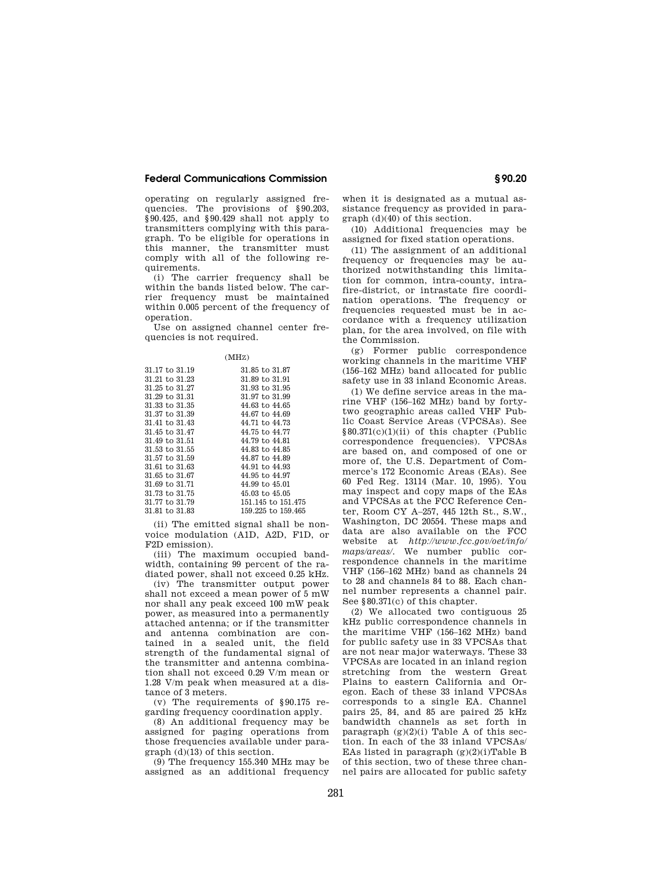operating on regularly assigned frequencies. The provisions of § 90.203, § 90.425, and § 90.429 shall not apply to transmitters complying with this paragraph. To be eligible for operations in this manner, the transmitter must comply with all of the following requirements.

(i) The carrier frequency shall be within the bands listed below. The carrier frequency must be maintained within 0.005 percent of the frequency of operation.

Use on assigned channel center frequencies is not required.

| 31.17 to 31.19 | 31.85 to 31.87            |
|----------------|---------------------------|
| 31.21 to 31.23 | 31.89 to 31.91            |
| 31.25 to 31.27 | 31.93 to 31.95            |
| 31.29 to 31.31 | 31.97 to 31.99            |
| 31.33 to 31.35 | 44.63 to 44.65            |
| 31.37 to 31.39 | 44.67 to 44.69            |
| 31.41 to 31.43 | 44.71 to 44.73            |
| 31.45 to 31.47 | 44.75 to 44.77            |
| 31.49 to 31.51 | 44.79 to 44.81            |
| 31.53 to 31.55 | 44.83 to 44.85            |
| 31.57 to 31.59 | 44.87 to 44.89            |
| 31.61 to 31.63 | 44.91 to 44.93            |
| 31.65 to 31.67 | 44.95 to 44.97            |
| 31.69 to 31.71 | 44.99 to 45.01            |
| 31.73 to 31.75 | $45.03 \text{ to } 45.05$ |
| 31.77 to 31.79 | 151.145 to 151.475        |
| 31.81 to 31.83 | 159,225 to 159,465        |

(ii) The emitted signal shall be nonvoice modulation (A1D, A2D, F1D, or F2D emission).

(iii) The maximum occupied bandwidth, containing 99 percent of the radiated power, shall not exceed 0.25 kHz.

(iv) The transmitter output power shall not exceed a mean power of 5 mW nor shall any peak exceed 100 mW peak power, as measured into a permanently attached antenna; or if the transmitter and antenna combination are contained in a sealed unit, the field strength of the fundamental signal of the transmitter and antenna combination shall not exceed 0.29 V/m mean or 1.28 V/m peak when measured at a distance of 3 meters.

(v) The requirements of § 90.175 regarding frequency coordination apply.

(8) An additional frequency may be assigned for paging operations from those frequencies available under paragraph (d)(13) of this section.

(9) The frequency 155.340 MHz may be assigned as an additional frequency

when it is designated as a mutual assistance frequency as provided in paragraph (d)(40) of this section.

(10) Additional frequencies may be assigned for fixed station operations.

(11) The assignment of an additional frequency or frequencies may be authorized notwithstanding this limitation for common, intra-county, intrafire-district, or intrastate fire coordination operations. The frequency or frequencies requested must be in accordance with a frequency utilization plan, for the area involved, on file with the Commission.

(g) Former public correspondence working channels in the maritime VHF (156–162 MHz) band allocated for public safety use in 33 inland Economic Areas.

(1) We define service areas in the marine VHF (156–162 MHz) band by fortytwo geographic areas called VHF Public Coast Service Areas (VPCSAs). See § 80.371(c)(1)(ii) of this chapter (Public correspondence frequencies). VPCSAs are based on, and composed of one or more of, the U.S. Department of Commerce's 172 Economic Areas (EAs). See 60 Fed Reg. 13114 (Mar. 10, 1995). You may inspect and copy maps of the EAs and VPCSAs at the FCC Reference Center, Room CY A–257, 445 12th St., S.W., Washington, DC 20554. These maps and data are also available on the FCC website at *http://www.fcc.gov/oet/info/ maps/areas/.* We number public correspondence channels in the maritime VHF (156–162 MHz) band as channels 24 to 28 and channels 84 to 88. Each channel number represents a channel pair. See § 80.371(c) of this chapter.

(2) We allocated two contiguous 25 kHz public correspondence channels in the maritime VHF (156–162 MHz) band for public safety use in 33 VPCSAs that are not near major waterways. These 33 VPCSAs are located in an inland region stretching from the western Great Plains to eastern California and Oregon. Each of these 33 inland VPCSAs corresponds to a single EA. Channel pairs 25, 84, and 85 are paired 25 kHz bandwidth channels as set forth in paragraph  $(g)(2)(i)$  Table A of this section. In each of the 33 inland VPCSAs/ EAs listed in paragraph  $(g)(2)(i)$ Table B of this section, two of these three channel pairs are allocated for public safety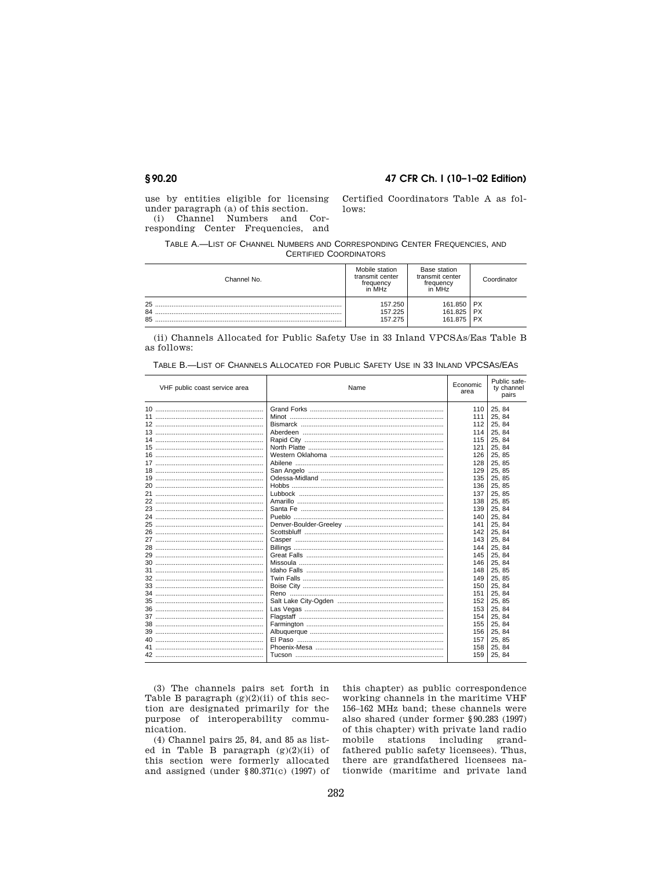### 47 CFR Ch. I (10-1-02 Edition)

use by entities eligible for licensing under paragraph (a) of this section. (i) Channel Numbers and Corresponding Center Frequencies, and

Certified Coordinators Table A as follows:

TABLE A.-LIST OF CHANNEL NUMBERS AND CORRESPONDING CENTER FREQUENCIES, AND **CERTIFIED COORDINATORS** 

| Channel No. | Mobile station<br>transmit center<br>frequency<br>in MHz | Base station<br>transmit center<br>frequency<br>in MHz | Coordinator |
|-------------|----------------------------------------------------------|--------------------------------------------------------|-------------|
| 25          | 157.250                                                  | 161.850                                                | <b>PX</b>   |
| 84          | 157.225                                                  | 161.825                                                | <b>PX</b>   |
| 85          | 157.275                                                  | 161.875                                                | <b>PX</b>   |

(ii) Channels Allocated for Public Safety Use in 33 Inland VPCSAs/Eas Table B as follows:

| VHF public coast service area | Name | Economic<br>area | Public safe-<br>ty channel<br>pairs |
|-------------------------------|------|------------------|-------------------------------------|
|                               |      | 110              | 25, 84                              |
|                               |      | 111              | 25, 84                              |
|                               |      | 112              | 25, 84                              |
|                               |      | 114              | 25, 84                              |
|                               |      | 115              | 25, 84                              |
|                               |      | 121              | 25, 84                              |
|                               |      | 126              | 25, 85                              |
|                               |      | 128              | 25, 85                              |
|                               |      | 129              | 25, 85                              |
|                               |      | 135              | 25, 85                              |
|                               |      | 136              | 25, 85                              |
|                               |      | 137              | 25, 85                              |
|                               |      | 138              | 25, 85                              |
|                               |      | 139              | 25, 84                              |
|                               |      | 140              | 25, 84                              |
|                               |      | 141              | 25, 84                              |
|                               |      | 142              | 25, 84                              |
|                               |      | 143              | 25, 84                              |
|                               |      | 144              | 25, 84                              |
|                               |      | 145              | 25, 84                              |
|                               |      | 146              | 25, 84                              |
|                               |      | 148              | 25, 85                              |
|                               |      | 149              | 25, 85                              |
|                               |      | 150              | 25.84                               |
|                               |      | 151              | 25, 84                              |
|                               |      | 152              | 25, 85                              |
|                               |      | 153              | 25, 84                              |
|                               |      | 154              | 25, 84                              |
|                               |      | 155              | 25, 84                              |
|                               |      | 156              | 25, 84                              |
|                               |      | 157              | 25, 85                              |
|                               |      | 158              | 25, 84                              |
|                               |      | 159              | 25, 84                              |

TABLE B.-LIST OF CHANNELS ALLOCATED FOR PUBLIC SAFETY USE IN 33 INLAND VPCSAS/EAS

(3) The channels pairs set forth in Table B paragraph  $(g)(2)(ii)$  of this section are designated primarily for the purpose of interoperability communication.

(4) Channel pairs 25, 84, and 85 as listed in Table B paragraph  $(g)(2)(ii)$  of this section were formerly allocated and assigned (under  $$80.371(c)$  (1997) of this chapter) as public correspondence working channels in the maritime VHF 156-162 MHz band; these channels were also shared (under former §90.283 (1997) of this chapter) with private land radio mobile stations including grandfathered public safety licensees). Thus, there are grandfathered licensees nationwide (maritime and private land

## §90.20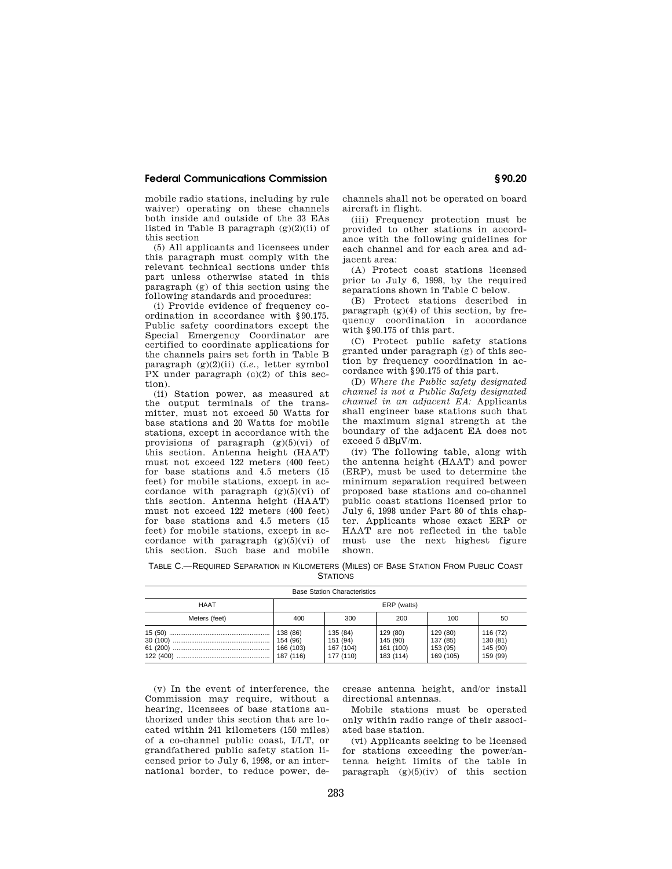mobile radio stations, including by rule waiver) operating on these channels both inside and outside of the 33 EAs listed in Table B paragraph  $(g)(2)(ii)$  of this section

(5) All applicants and licensees under this paragraph must comply with the relevant technical sections under this part unless otherwise stated in this paragraph (g) of this section using the following standards and procedures:

(i) Provide evidence of frequency coordination in accordance with § 90.175. Public safety coordinators except the Special Emergency Coordinator are certified to coordinate applications for the channels pairs set forth in Table B paragraph (g)(2)(ii) (*i.e.,* letter symbol PX under paragraph (c)(2) of this section).

(ii) Station power, as measured at the output terminals of the transmitter, must not exceed 50 Watts for base stations and 20 Watts for mobile stations, except in accordance with the provisions of paragraph  $(g)(5)(vi)$  of this section. Antenna height (HAAT) must not exceed 122 meters (400 feet) for base stations and 4.5 meters (15 feet) for mobile stations, except in accordance with paragraph  $(g)(5)(vi)$  of this section. Antenna height (HAAT) must not exceed 122 meters (400 feet) for base stations and 4.5 meters (15 feet) for mobile stations, except in accordance with paragraph  $(g)(5)(vi)$  of this section. Such base and mobile channels shall not be operated on board aircraft in flight.

(iii) Frequency protection must be provided to other stations in accordance with the following guidelines for each channel and for each area and adjacent area:

(A) Protect coast stations licensed prior to July 6, 1998, by the required separations shown in Table C below.

(B) Protect stations described in paragraph  $(g)(4)$  of this section, by frequency coordination in accordance with § 90.175 of this part.

(C) Protect public safety stations granted under paragraph (g) of this section by frequency coordination in accordance with § 90.175 of this part.

(D) *Where the Public safety designated channel is not a Public Safety designated channel in an adjacent EA:* Applicants shall engineer base stations such that the maximum signal strength at the boundary of the adjacent EA does not exceed 5 dBµV/m.

(iv) The following table, along with the antenna height (HAAT) and power (ERP), must be used to determine the minimum separation required between proposed base stations and co-channel public coast stations licensed prior to July 6, 1998 under Part 80 of this chapter. Applicants whose exact ERP or HAAT are not reflected in the table must use the next highest figure shown.

TABLE C.—REQUIRED SEPARATION IN KILOMETERS (MILES) OF BASE STATION FROM PUBLIC COAST **STATIONS** 

| <b>Base Station Characteristics</b> |                                    |                                                |                                                |                                               |                                              |
|-------------------------------------|------------------------------------|------------------------------------------------|------------------------------------------------|-----------------------------------------------|----------------------------------------------|
| <b>HAAT</b>                         | ERP (watts)                        |                                                |                                                |                                               |                                              |
| Meters (feet)                       | 400                                | 300                                            | 200                                            | 100                                           | 50                                           |
|                                     | 138 (86)<br>166 (103)<br>187 (116) | 135 (84)<br>151 (94)<br>167 (104)<br>177 (110) | 129 (80)<br>145 (90)<br>161 (100)<br>183 (114) | 129 (80)<br>137 (85)<br>153 (95)<br>169 (105) | 116 (72)<br>130 (81)<br>145 (90)<br>159 (99) |

(v) In the event of interference, the Commission may require, without a hearing, licensees of base stations authorized under this section that are located within 241 kilometers (150 miles) of a co-channel public coast, I/LT, or grandfathered public safety station licensed prior to July 6, 1998, or an international border, to reduce power, decrease antenna height, and/or install directional antennas.

Mobile stations must be operated only within radio range of their associated base station.

(vi) Applicants seeking to be licensed for stations exceeding the power/antenna height limits of the table in paragraph (g)(5)(iv) of this section